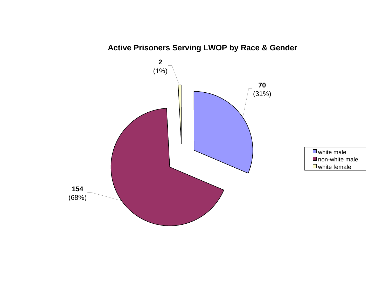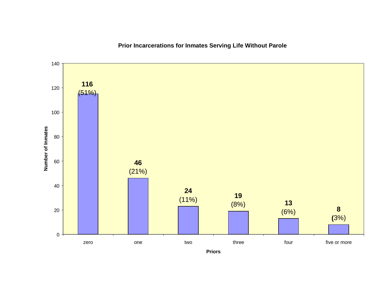

**Prior Incarcerations for Inmates Serving Life Without Parole**

**Priors**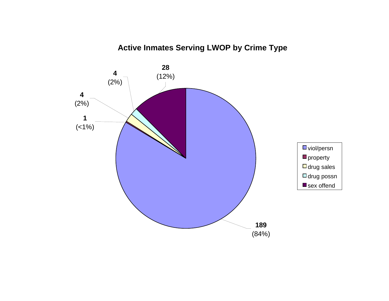# **Active Inmates Serving LWOP by Crime Type**

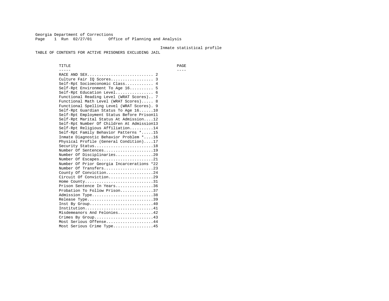Georgia Department of Corrections Page 1 Run 02/27/01 Office of Planning and Analysis

### Inmate statistical profile

TABLE OF CONTENTS FOR ACTIVE PRISONERS EXCLUDING JAIL

 TITLE PAGE ----- ---- RACE AND SEX............................ 2 Culture Fair IQ Scores.................. 3 Self-Rpt Socioeconomic Class............ 4 Self-Rpt Environment To Age 16.......... 5 Self-Rpt Education Level................ 6 Functional Reading Level (WRAT Scores).. 7 Functional Math Level (WRAT Scores)..... 8 Functional Spelling Level (WRAT Scores). 9 Self-Rpt Guardian Status To Age 16......10 Self-Rpt Employment Status Before Prison11 Self-Rpt Marital Status At Admission....12 Self-Rpt Number Of Children At Admission13 Self-Rpt Religious Affiliation..........14 Self-Rpt Family Behavior Patterns \*.....15 Inmate Diagnostic Behavior Problem \*....16 Physical Profile (General Condition)....17 Security Status...........................18 Number Of Sentences.....................19 Number Of Disciplinaries................20 Number Of Escapes........................21 Number Of Prior Georgia Incarcerations \*22 Number Of Transfers.....................23 County Of Conviction....................24 Circuit Of Conviction...................29 Home County................................31 Prison Sentence In Years................36 Probation To Follow Prison..............37Admission Type.............................38 Release Type...............................39 Inst By Group..............................40 Institution.............................41 Misdemeanors And Felonies...............42 Crimes By Group.........................43 Most Serious Offense....................44 Most Serious Crime Type.................45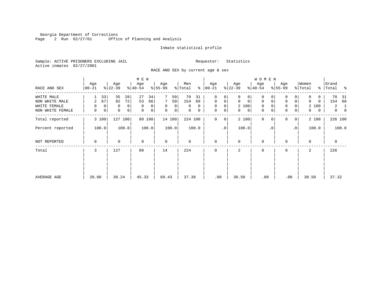Georgia Department of Corrections Page 2 Run 02/27/01 Office of Planning and Analysis

## Inmate statistical profile

Sample: ACTIVE PRISONERS EXCLUDING JAIL **Requestor:** Statistics Active inmates 02/27/2001

RACE AND SEX by current age & sex

|                  |                  |                  | M E N            |                            |                |                      |                            | <b>WOMEN</b>               |                               |                   |                            |
|------------------|------------------|------------------|------------------|----------------------------|----------------|----------------------|----------------------------|----------------------------|-------------------------------|-------------------|----------------------------|
| RACE AND SEX     | Age<br>$ 00-21 $ | Age<br>$ 22-39 $ | Age<br>$ 40-54 $ | Age<br>$8 55-99$           | Men<br>% Total | Age<br>$8   00 - 21$ | Age<br>$ 22-39 $           | Age<br>$ 40-54 $           | Age<br>$8 55-99$              | Women<br>% Total  | Grand<br>% Total %         |
| WHITE MALE       | 33               | 35<br>28         | 27<br>34         | 50                         | 70<br>31       | $\mathbf 0$<br>0     | $\Omega$<br>0              | 0                          | 0<br>0                        | 0<br>0            | 70<br>-31                  |
| NON WHITE MALE   | 67<br>2          | 72<br>92         | 53<br>66         | 7<br>50                    | 154<br>69      | $\mathbf 0$<br>0     | $\mathbf 0$<br>$\mathbf 0$ | $\mathbf 0$<br>$\mathbf 0$ | $\mathbf 0$<br>$\overline{0}$ | $\Omega$<br>0     | 154<br>68                  |
| WHITE FEMALE     | 0<br>$\Omega$    | 0<br>0           | $\mathbf 0$<br>0 | $\Omega$<br>$\overline{0}$ | $\Omega$<br>0  | $\mathbf 0$<br>0     | 2 100                      | 0                          | $\mathbf 0$                   | 2 100             | 2<br>1                     |
| NON WHITE FEMALE | 0<br>0           | 0<br>0           | 0<br>0           | 0<br> 0                    | 0<br>0         | 0<br>$\mathbf 0$     | $\mathbf{0}$<br>0          | 0                          | $\mathbf 0$<br>$\overline{0}$ | $\mathbf{0}$<br>0 | $\overline{0}$<br>$\Omega$ |
| Total reported   | 3 100            | 127<br>100       | 80 100           | 14 100                     | 224 100        | $\Omega$<br>0        | 2 100                      | $\Omega$<br>$\Omega$       | $\Omega$<br>0 <sup>1</sup>    | 2 100             | 226 100                    |
| Percent reported | 100.0            | 100.0            | 100.0            | 100.0                      | 100.0          | $\cdot$ 0            | 100.0                      | $\cdot$ 0                  | $\cdot$ 0                     | 100.0             | 100.0                      |
| NOT REPORTED     | 0                | $\Omega$         | $\Omega$         | $\mathbf 0$                | $\Omega$       | $\mathbf 0$          | $\Omega$                   | $\Omega$                   | $\Omega$                      | $\Omega$          | $\mathbf 0$                |
| Total            | 3                | 127              | 80               | 14                         | 224            | $\mathbf 0$          | 2                          | 0                          | $\Omega$                      | 2                 | 226                        |
|                  |                  |                  |                  |                            |                |                      |                            |                            |                               |                   |                            |
|                  |                  |                  |                  |                            |                |                      |                            |                            |                               |                   |                            |
| AVERAGE AGE      | 20.00            | 30.24            | 45.33            | 60.43                      | 37.38          | .00                  | 30.50                      | .00                        | .00                           | 30.50             | 37.32                      |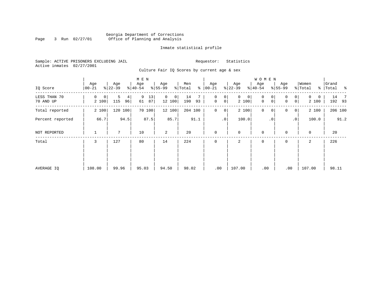## Georgia Department of Corrections Page 3 Run 02/27/01 Office of Planning and Analysis

## Inmate statistical profile

Sample: ACTIVE PRISONERS EXCLUDING JAIL **Requestor:** Statistics Active inmates 02/27/2001

Culture Fair IQ Scores by current age & sex

|                           |                  |                                  | M E N               |                         |                      |                               |                            | <b>WOMEN</b>     |                                                  |                        |                    |
|---------------------------|------------------|----------------------------------|---------------------|-------------------------|----------------------|-------------------------------|----------------------------|------------------|--------------------------------------------------|------------------------|--------------------|
| IQ Score                  | Age<br>$00 - 21$ | Age<br>$ 22-39 $                 | Age<br>$8 40-54$    | Age<br>$8 55-99$        | Men<br>နွ<br>% Total | Age<br>$ 00 - 21 $            | Age<br>$ 22-39$            | Age<br>$8 40-54$ | Age<br>$8 55-99$                                 | Women<br>% Total       | Grand<br>% Total % |
| LESS THAN 70<br>70 AND UP | 0<br>0<br>2 100  | 5<br>4 <sup>1</sup><br>115<br>96 | 9<br>13<br>61<br>87 | $\Omega$<br>0<br>12 100 | 14<br>190<br>93      | 0<br>0<br>$\mathbf 0$<br> 0   | $\mathbf{0}$<br>0<br>2 100 | 0<br>0<br>0<br>0 | $\overline{0}$<br>$\Omega$<br> 0 <br>$\mathbf 0$ | $\Omega$<br>0<br>2 100 | 14 7<br>192 93     |
| Total reported            | 2 100            | 120 100                          | 70 100              | 12 100                  | 204 100              | $\mathbf 0$<br>$\overline{0}$ | 2 100                      | $\mathbf 0$<br>0 | 0<br> 0                                          | 2 100                  | 206 100            |
| Percent reported          | 66.7             | 94.5                             | 87.5                | 85.7                    | 91.1                 | .0 <sup>1</sup>               | 100.0                      | $\cdot$ 0        | $\cdot$ 0                                        | 100.0                  | 91.2               |
| NOT REPORTED              | 1                | 7                                | 10                  | 2                       | 20                   | $\mathbf 0$                   | $\mathbf 0$                | $\mathbf 0$      | $\Omega$                                         | $\mathbf 0$            | 20                 |
| Total                     | 3                | 127                              | 80                  | 14                      | 224                  | $\mathbf 0$                   | 2                          | $\mathbf 0$      | 0                                                | 2                      | 226                |
|                           |                  |                                  |                     |                         |                      |                               |                            |                  |                                                  |                        |                    |
|                           |                  |                                  |                     |                         |                      |                               |                            |                  |                                                  |                        |                    |
| AVERAGE IQ                | 108.00           | 99.96                            | 95.03               | 94.50                   | 98.02                | .00                           | 107.00                     | .00              | .00                                              | 107.00                 | 98.11              |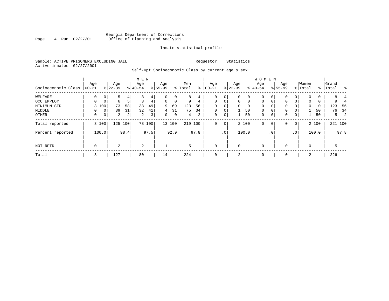## Georgia Department of Corrections<br>4 Run 02/27/01 Office of Planning and Analysis Page 4 Run 02/27/01 Office of Planning and Analysis

## Inmate statistical profile

Sample: ACTIVE PRISONERS EXCLUDING JAIL **Requestor:** Statistics Active inmates 02/27/2001

Self-Rpt Socioeconomic Class by current age & sex

|                     |                 |                |                  |      | M E N            |                |                  |             |                |      |                  |                 |                  |             | <b>WOMEN</b>     |                 |                    |                 |                  |       |                    |         |
|---------------------|-----------------|----------------|------------------|------|------------------|----------------|------------------|-------------|----------------|------|------------------|-----------------|------------------|-------------|------------------|-----------------|--------------------|-----------------|------------------|-------|--------------------|---------|
| Socioeconomic Class | Age<br>$ 00-21$ |                | Age<br>$ 22-39 $ |      | Age<br>$8 40-54$ |                | Age<br>$8 55-99$ |             | Men<br>% Total | ⊱    | Age<br>$00 - 21$ |                 | Age<br>$ 22-39 $ |             | Age<br>$8 40-54$ |                 | Age<br>$8155 - 99$ |                 | Women<br>% Total |       | Grand<br>%   Total | ಿ       |
| WELFARE             | 0               | 0 <sup>1</sup> |                  | 4    |                  | 4              |                  | 0           | 8              | 4    | 0                | 0               | 0                | 0           | 0                | 0               | 0                  | 0               |                  | U     | 8.                 |         |
| OCC EMPLOY          | 0               | $\overline{0}$ | 6                |      | 3                | 4              | 0                | $\mathbf 0$ | 9              | 4    | $\mathbf 0$      | $\mathbf 0$     | $\mathbf{0}$     | $\mathbf 0$ | $\mathbf 0$      | $\mathbf 0$     | $\Omega$           | 0               | $\mathbf 0$      | 0     | 9                  |         |
| MINIMUM STD         |                 | 3 100          | 73               | 58   | 38               | 49             | 9                | 69          | 123            | 56   | $\Omega$         |                 | $\Omega$         | 0           | $\mathbf 0$      | $\Omega$        | 0                  |                 | $\Omega$         | 0     | 123                | - 56    |
| MIDDLE              | 0               | 0 <sup>1</sup> | 39               | 31   | 32               | 41             | 4                | 31          | 75             | 34   | $\mathbf 0$      | 0               |                  | 50          | $\mathbf 0$      | $\mathbf 0$     | $\mathbf 0$        | 0               |                  | 50    | 76                 | 34      |
| OTHER               | $\mathbf 0$     | 0 <sup>1</sup> | $\overline{a}$   | 2    | 2                | 3 <sub>1</sub> | 0                | $\mathbf 0$ | 4              | 2    | 0                | 0               |                  | 50          | $\mathbf 0$      | $\mathbf 0$     | $\mathbf 0$        | 0               |                  | 50    |                    | 5<br>2  |
| Total reported      |                 | 3 100          | 125 100          |      |                  | 78 100         |                  | 13 100      | 219 100        |      | $\mathbf{0}$     | 0               |                  | 2 100       | $\mathbf 0$      | 0               | 0                  | 0               |                  | 2 100 |                    | 221 100 |
| Percent reported    |                 | 100.0          |                  | 98.4 |                  | 97.5           |                  | 92.9        |                | 97.8 |                  | .0 <sup>1</sup> |                  | 100.0       |                  | .0 <sup>°</sup> |                    | .0 <sup>1</sup> |                  | 100.0 |                    | 97.8    |
| NOT RPTD            | $\mathbf 0$     |                | $\overline{a}$   |      | 2                |                |                  |             | 5              |      | $\mathbf{0}$     |                 | $\mathbf 0$      |             | $\mathbf 0$      |                 | $\Omega$           |                 | $\Omega$         |       | 5                  |         |
| Total               | 3               |                | 127              |      | 80               |                | 14               |             | 224            |      | $\mathbf{0}$     |                 | 2                |             | 0                |                 | 0                  |                 | 2                |       | 226                |         |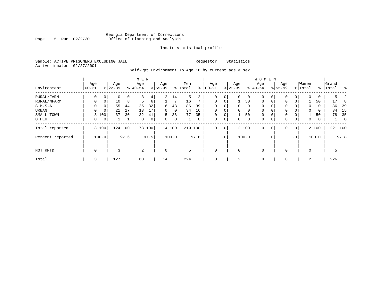## Georgia Department of Corrections Page 5 Run 02/27/01 Office of Planning and Analysis

## Inmate statistical profile

Sample: ACTIVE PRISONERS EXCLUDING JAIL **Requestor:** Statistics Active inmates 02/27/2001

Self-Rpt Environment To Age 16 by current age & sex

|                  |                  |             |                  |      | M E N            |        |                    |        |                |                |                  |             |                 |             | <b>WOMEN</b>     |             |                    |                 |                  |       |                |             |
|------------------|------------------|-------------|------------------|------|------------------|--------|--------------------|--------|----------------|----------------|------------------|-------------|-----------------|-------------|------------------|-------------|--------------------|-----------------|------------------|-------|----------------|-------------|
| Environment      | Age<br>$00 - 21$ |             | Age<br>$8 22-39$ |      | Age<br>$8 40-54$ |        | Age<br>$8155 - 99$ |        | Men<br>% Total | ႜ              | Age<br>$00 - 21$ |             | Age<br>$ 22-39$ |             | Age<br>$8 40-54$ |             | Age<br>$8155 - 99$ |                 | Women<br>% Total | ႜၟ    | Grand<br>Total | ႜ           |
| RURAL/FARM       | 0                | $\mathbf 0$ | 0                | 0    | 3                | 4      | $\overline{2}$     | 14     | 5              | $\overline{a}$ | $\mathbf 0$      | 0           | 0               | 0           | $\mathbf 0$      |             | 0                  | 0               | 0                | 0     | 5.             |             |
| RURAL/NFARM      | $\Omega$         | $\mathbf 0$ | 10               | 8    | 5                | 6      |                    | 7      | 16             | 7              | $\mathbf 0$      | $\mathbf 0$ |                 | 50          | $\mathbf 0$      | $\Omega$    | $\Omega$           | $\overline{0}$  |                  | 50    | 17             | 8           |
| S.M.S.A          | 0                | 0           | 55               | 44   | 25               | 32     | 6                  | 43     | 86             | 39             | $\mathbf 0$      | 0           | $\mathbf 0$     | $\mathbf 0$ | 0                |             | 0                  | 0               | 0                | 0     | 86             | 39          |
| URBAN            | $\Omega$         | $\mathbf 0$ | 21               | 17   | 13               | 17     | 0                  | 0      | 34             | 16             | $\mathbf 0$      | 0           | $\mathbf 0$     | $\mathbf 0$ | $\mathbf 0$      |             | 0                  | 0               | 0                | 0     | 34             | 15          |
| SMALL TOWN       |                  | 3 100       | 37               | 30   | 32               | 41     | 5                  | 36     | 77             | 35             | $\mathbf 0$      | 0           |                 | 50          | $\mathbf 0$      |             | 0                  | 0               |                  | 50    | 78             | 35          |
| OTHER            | 0                | 0           |                  |      | 0                | 0      | 0                  | 0      |                | 0              | $\mathbf 0$      | 0           | $\mathbf 0$     | $\mathbf 0$ | 0                | 0           | 0                  | 0               | 0                | 0     |                | $\mathbf 0$ |
| Total reported   |                  | 3 100       | 124              | 100  |                  | 78 100 |                    | 14 100 | 219            | 100            | 0                | $\mathbf 0$ |                 | 2 100       | $\mathbf 0$      | $\mathbf 0$ | $\Omega$           | $\circ$         |                  | 2 100 |                | 221 100     |
| Percent reported |                  | 100.0       |                  | 97.6 |                  | 97.5   |                    | 100.0  |                | 97.8           |                  | .0'         |                 | 100.0       |                  | $\cdot$ 0   |                    | .0 <sup>1</sup> |                  | 100.0 |                | 97.8        |
|                  |                  |             |                  |      |                  |        |                    |        |                |                |                  |             |                 |             |                  |             |                    |                 |                  |       |                |             |
| NOT RPTD         | $\mathbf 0$      |             | 3                |      | 2                |        | $\mathbf 0$        |        | 5              |                | $\mathbf{0}$     |             | $\mathbf 0$     |             | $\mathbf 0$      |             | $\Omega$           |                 | $\mathbf 0$      |       | 5              |             |
| Total            | 3                |             | 127              |      | 80               |        | 14                 |        | 224            |                | 0                |             | 2               |             | 0                |             | $\mathbf 0$        |                 | 2                |       | 226            |             |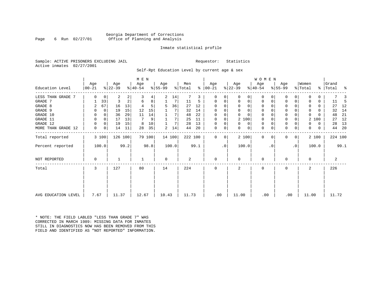## Georgia Department of Corrections Page 6 Run 02/27/01 Office of Planning and Analysis

## Inmate statistical profile

Sample: ACTIVE PRISONERS EXCLUDING JAIL **Requestor:** Statistics Active inmates 02/27/2001

Self-Rpt Education Level by current age & sex

|                     |                  |       |                  |         | M E N            |        |                 |        |                |      |                   |    |                  |          | WOMEN            |          |                  |           |                  |       |                    |         |
|---------------------|------------------|-------|------------------|---------|------------------|--------|-----------------|--------|----------------|------|-------------------|----|------------------|----------|------------------|----------|------------------|-----------|------------------|-------|--------------------|---------|
| Education Level     | Age<br>$00 - 21$ |       | Age<br>$ 22-39 $ |         | Age<br>$ 40-54 $ |        | Age<br>$ 55-99$ |        | Men<br>% Total | ⊱    | Age<br>$ 00 - 21$ |    | Age<br>$ 22-39 $ |          | Age<br>$ 40-54 $ |          | Age<br>$8 55-99$ |           | Women<br>% Total |       | Grand<br>% Total % |         |
|                     |                  |       |                  |         |                  |        |                 |        |                |      |                   |    |                  |          |                  |          |                  |           |                  |       |                    |         |
| LESS THAN GRADE 7   | $\Omega$         | 0     | 2                | 2       | 3                | 4      | 2               | 14     |                | 3    | O                 | 0  | $\Omega$         | 0        | $\mathbf 0$      | O        | 0                |           |                  |       |                    |         |
| GRADE 7             |                  | 33    | 3                | 2       | 6                | 8      |                 |        | 11             | 5    | 0                 | 0  | 0                | 0        | 0                | 0        | $\Omega$         |           |                  | 0     | 11                 | -5      |
| GRADE 8             | 2                | 67    | 16               | 13      |                  | 5      | 5               | 36     | 27             | 12   | $\Omega$          |    | $\Omega$         | 0        | $\Omega$         |          | $\Omega$         |           |                  | 0     | 27                 | 12      |
| GRADE 9             |                  | 0     | 19               | 15      | 12               | 15     |                 |        | 32             | 14   |                   |    | $\Omega$         | 0        | 0                | O        | 0                |           |                  | U     | 32                 | 14      |
| GRADE 10            | 0                | 0     | 36               | 29      | 11               | 14     |                 |        | 48             | 22   | $\Omega$          | 0  | $\Omega$         | $\Omega$ | $\mathbf 0$      | O        | 0                |           | $\Omega$         |       | 48                 | 21      |
| GRADE 11            | $\Omega$         | 0     | 17               | 13      | 7                | 9      |                 |        | 25             | 11   | $\Omega$          |    |                  | 2 100    | 0                |          | $\Omega$         |           | 2                | 100   | 27                 | 12      |
| GRADE 12            | 0                | 0     | 19               | 15      | 8                | 10     |                 | 7      | 28             | 13   | $\Omega$          | 0  | $\Omega$         | 0        | 0                | $\Omega$ | 0                |           | 0                | 0     | 28                 | 13      |
| MORE THAN GRADE 12  | 0                | 0     | 14               | 11      | 28               | 35     | 2               | 14     | 44             | 20   | 0                 | 0  | 0                | 0        | 0                | 0        | 0                | 0         | 0                | 0     | 44                 | -20     |
| Total reported      |                  | 3 100 |                  | 126 100 |                  | 79 100 |                 | 14 100 | 222 100        |      | $\Omega$          | 0  |                  | 2 100    | $\mathbf 0$      | $\Omega$ | 0                | 0         |                  | 2 100 |                    | 224 100 |
| Percent reported    |                  | 100.0 |                  | 99.2    |                  | 98.8   |                 | 100.0  |                | 99.1 |                   | .0 | 100.0            |          |                  | . 0      |                  | $\cdot$ 0 |                  | 100.0 |                    | 99.1    |
| <b>NOT REPORTED</b> | $\Omega$         |       |                  |         |                  |        | $\Omega$        |        | 2              |      | $\Omega$          |    | $\Omega$         |          | $\mathbf 0$      |          | $\Omega$         |           | $\Omega$         |       | 2                  |         |
| Total               | 3                |       | 127              |         | 80               |        | 14              |        | 224            |      | $\Omega$          |    | 2                |          | $\mathbf 0$      |          | $\Omega$         |           | $\mathbf{2}$     |       | 226                |         |
|                     |                  |       |                  |         |                  |        |                 |        |                |      |                   |    |                  |          |                  |          |                  |           |                  |       |                    |         |
| AVG EDUCATION LEVEL | 7.67             |       | 11.37            |         | 12.67            |        | 10.43           |        | 11.73          |      | .00               |    | 11.00            |          | .00              |          | .00              |           | 11.00            |       | 11.72              |         |
|                     |                  |       |                  |         |                  |        |                 |        |                |      |                   |    |                  |          |                  |          |                  |           |                  |       |                    |         |

\* NOTE: THE FIELD LABLED "LESS THAN GRADE 7" WAS CORRECTED IN MARCH 1989: MISSING DATA FOR INMATES STILL IN DIAGNOSTICS NOW HAS BEEN REMOVED FROM THIS FIELD AND IDENTIFIED AS "NOT REPORTED" INFORMATION.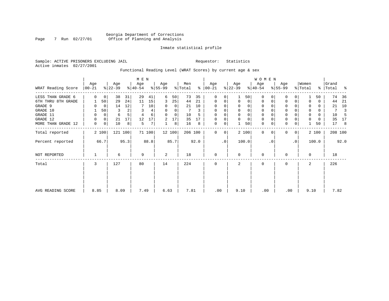## Georgia Department of Corrections Page 7 Run 02/27/01 Office of Planning and Analysis

## Inmate statistical profile

Sample: ACTIVE PRISONERS EXCLUDING JAIL **Requestor:** Statistics Active inmates 02/27/2001

## Functional Reading Level (WRAT Scores) by current age & sex

|                     |                  |       |                  |         | M E N            |        |                  |        |                |      |                 |           |                  |             | W O M E N        |          |                  |                |                  |       |                    |         |
|---------------------|------------------|-------|------------------|---------|------------------|--------|------------------|--------|----------------|------|-----------------|-----------|------------------|-------------|------------------|----------|------------------|----------------|------------------|-------|--------------------|---------|
| WRAT Reading Score  | Age<br>$00 - 21$ |       | Age<br>$ 22-39 $ |         | Age<br>$ 40-54 $ |        | Age<br>$ 55-99 $ |        | Men<br>% Total | ⊱    | Age<br>$ 00-21$ |           | Age<br>$ 22-39 $ |             | Age<br>$ 40-54 $ |          | Age<br>$8 55-99$ |                | Women<br>% Total |       | Grand<br>%   Total | ႜ       |
| LESS THAN GRADE 6   | $\Omega$         | 0     | 38               | 31      | 29               | 41     | 6                | 50     | 73             | 35   | $\mathbf 0$     | 0         |                  | 50          | $\Omega$         | $\Omega$ | $\Omega$         | 0              |                  | 50    | 74                 | 36      |
| 6TH THRU 8TH GRADE  |                  | 50    | 29               | 24      | 11               | 15     | 3                | 25     | 44             | 21   | $\mathbf 0$     | 0         | $\mathbf 0$      | $\mathbf 0$ | $\mathbf 0$      | 0        | 0                | 0              |                  | 0     | 44                 | 21      |
| GRADE 9             |                  | 0     | 14               | 12      |                  | 10     | 0                | 0      | 21             | 10   | $\mathbf 0$     | 0         |                  | 0           | 0                |          | $\Omega$         |                |                  | 0     | 21                 | 10      |
| GRADE 10            |                  | 50    | 3                | 2       | 3                | 4      | 0                | 0      |                | 3    | $\mathbf 0$     | 0         | $\mathbf 0$      | 0           | $\mathbf 0$      |          | 0                |                | $\mathbf 0$      | 0     | 7                  | 3       |
| GRADE 11            | 0                | 0     | 6                |         | 4                | 6      | $\Omega$         | 0      | 10             |      | $\Omega$        |           |                  | $\mathbf 0$ | 0                |          | $\mathbf 0$      |                |                  | 0     | 10                 | -5      |
| GRADE 12            | 0                | 0     | 21               | 17      | 12               | 17     | 2                | 17     | 35             | 17   | $\mathbf 0$     | 0         | $\Omega$         | $\mathbf 0$ | 0                |          | 0                |                | 0                | 0     | 35                 | 17      |
| MORE THAN GRADE 12  | 0                | 0     | 10               | 8       | 5                | 7      |                  | 8      | 16             | 8    | 0               | 0         |                  | 50          | 0                | 0        | $\mathbf 0$      | 0              |                  | 50    | 17                 | 8       |
| Total reported      |                  | 2 100 |                  | 121 100 |                  | 71 100 |                  | 12 100 | 206 100        |      | 0               | 0         |                  | 2 100       | $\mathbf 0$      | $\Omega$ | $\Omega$         | $\overline{0}$ |                  | 2 100 |                    | 208 100 |
| Percent reported    |                  | 66.7  |                  | 95.3    |                  | 88.8   |                  | 85.7   |                | 92.0 |                 | $\cdot$ 0 |                  | 100.0       |                  | . 0      |                  | $\cdot$ 0      |                  | 100.0 |                    | 92.0    |
| <b>NOT REPORTED</b> |                  |       | 6                |         | 9                |        | 2                |        | 18             |      | $\mathbf 0$     |           | $\Omega$         |             | $\mathbf 0$      |          | $\Omega$         |                | $\Omega$         |       | 18                 |         |
| Total               | 3                |       | 127              |         | 80               |        | 14               |        | 224            |      | $\mathbf 0$     |           | 2                |             | $\mathbf 0$      |          | 0                |                | 2                |       | 226                |         |
|                     |                  |       |                  |         |                  |        |                  |        |                |      |                 |           |                  |             |                  |          |                  |                |                  |       |                    |         |
| AVG READING SCORE   | 8.85             |       | 8.09             |         | 7.49             |        | 6.63             |        | 7.81           |      | .00             |           | 9.10             |             | .00              |          | .00              |                | 9.10             |       | 7.82               |         |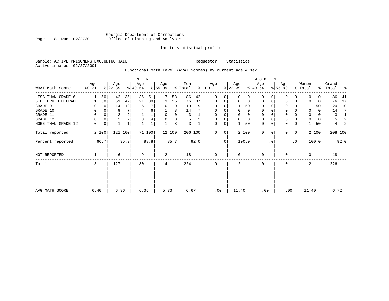## Georgia Department of Corrections Page 8 Run 02/27/01 Office of Planning and Analysis

## Inmate statistical profile

Sample: ACTIVE PRISONERS EXCLUDING JAIL **Requestor:** Statistics Active inmates 02/27/2001

## Functional Math Level (WRAT Scores) by current age & sex

|                     |                  |             |                         |         | M E N            |        |                  |             |                |      |                 |           |                  |             | W O M E N        |          |                  |                |                  |       |                    |      |
|---------------------|------------------|-------------|-------------------------|---------|------------------|--------|------------------|-------------|----------------|------|-----------------|-----------|------------------|-------------|------------------|----------|------------------|----------------|------------------|-------|--------------------|------|
| WRAT Math Score     | Age<br>$00 - 21$ |             | Age<br>$ 22-39 $        |         | Age<br>$ 40-54 $ |        | Age<br>$ 55-99 $ |             | Men<br>% Total | ွေ   | Age<br>$ 00-21$ |           | Age<br>$ 22-39 $ |             | Age<br>$ 40-54 $ |          | Age<br>$8 55-99$ |                | Women<br>% Total |       | Grand<br>%   Total | ိ    |
| LESS THAN GRADE 6   |                  | 50          | 42                      | 35      | 36               | 51     |                  | 58          | 86             | 42   | $\mathbf 0$     | 0         | $\Omega$         | $\Omega$    | $\Omega$         | $\Omega$ | $\Omega$         | $\Omega$       | $\Omega$         | 0     | 86                 | 41   |
| 6TH THRU 8TH GRADE  |                  | 50          | 51                      | 42      | 21               | 30     | 3                | 25          | 76             | 37   | $\mathbf 0$     | 0         | $\mathbf 0$      | $\mathbf 0$ | $\mathbf 0$      | 0        | 0                | 0              |                  | 0     | 76                 | 37   |
| GRADE 9             |                  | $\Omega$    | 14                      | 12      | 5                |        | 0                | $\mathbf 0$ | 19             | 9    | $\mathbf 0$     | 0         |                  | 50          | $\mathbf 0$      |          | $\Omega$         |                |                  | 50    | 20                 | 10   |
| GRADE 10            | 0                | 0           | 9                       |         |                  | 6      |                  | 8           | 14             |      | $\mathbf 0$     | 0         | $\mathbf 0$      | 0           | $\mathbf 0$      |          | 0                |                | $\mathbf 0$      | 0     | 14                 | -7   |
| GRADE 11            | $\mathbf 0$      | $\mathbf 0$ | 2                       |         |                  | 1      | $\Omega$         | $\mathbf 0$ | 3              |      | $\mathbf 0$     |           |                  | $\mathbf 0$ | $\mathbf 0$      |          | $\mathbf 0$      |                |                  | 0     | 3                  | 1    |
| GRADE 12            | 0                | $\mathbf 0$ | $\overline{\mathbf{c}}$ |         | 3                | 4      | $\Omega$         | 0           | 5              | 2    | $\mathbf 0$     | 0         | $\Omega$         | $\mathbf 0$ | 0                |          | 0                |                | $\Omega$         | 0     | 5                  | 2    |
| MORE THAN GRADE 12  | 0                | 0           | 1                       | 1       |                  | 1      |                  | 8           | 3              |      | 0               | 0         |                  | 50          | $\mathbf 0$      | 0        | $\mathbf 0$      | 0              |                  | 50    | 4                  | 2    |
| Total reported      |                  | 2 100       |                         | 121 100 |                  | 71 100 |                  | 12 100      | 206 100        |      | 0               | 0         |                  | 2 100       | $\mathbf 0$      | $\Omega$ | $\Omega$         | $\overline{0}$ |                  | 2 100 | 208 100            |      |
| Percent reported    |                  | 66.7        |                         | 95.3    |                  | 88.8   |                  | 85.7        |                | 92.0 |                 | $\cdot$ 0 |                  | 100.0       |                  | . 0      |                  | $\cdot$ 0      |                  | 100.0 |                    | 92.0 |
| <b>NOT REPORTED</b> |                  |             | 6                       |         | 9                |        | 2                |             | 18             |      | $\mathbf{0}$    |           | $\Omega$         |             | $\mathbf 0$      |          | $\Omega$         |                | $\Omega$         |       | 18                 |      |
| Total               | 3                |             | 127                     |         | 80               |        | 14               |             | 224            |      | $\mathbf 0$     |           | 2                |             | $\mathbf 0$      |          | 0                |                | 2                |       | 226                |      |
|                     |                  |             |                         |         |                  |        |                  |             |                |      |                 |           |                  |             |                  |          |                  |                |                  |       |                    |      |
| AVG MATH SCORE      | 6.40             |             | 6.96                    |         | 6.35             |        | 5.73             |             | 6.67           |      | .00             |           | 11.40            |             | .00              |          | .00              |                | 11.40            |       | 6.72               |      |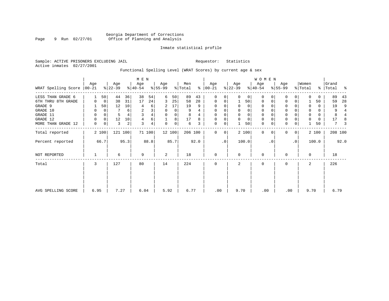## Georgia Department of Corrections Page 9 Run 02/27/01 Office of Planning and Analysis

## Inmate statistical profile

Sample: ACTIVE PRISONERS EXCLUDING JAIL **Requestor:** Statistics Active inmates 02/27/2001

## Functional Spelling Level (WRAT Scores) by current age & sex

|                     |                  |       |                  |         | M E N            |        |                  |             |                |      |                   |           |                  |             | W O M E N        |          |                  |                |                  |       |                    |                |
|---------------------|------------------|-------|------------------|---------|------------------|--------|------------------|-------------|----------------|------|-------------------|-----------|------------------|-------------|------------------|----------|------------------|----------------|------------------|-------|--------------------|----------------|
| WRAT Spelling Score | Age<br>$00 - 21$ |       | Age<br>$ 22-39 $ |         | Age<br>$ 40-54 $ |        | Age<br>$ 55-99 $ |             | Men<br>% Total | ⊱    | Age<br>$ 00 - 21$ |           | Age<br>$ 22-39 $ |             | Age<br>$ 40-54 $ |          | Age<br>$8 55-99$ |                | Women<br>% Total |       | Grand<br>%   Total | ႜ              |
| LESS THAN GRADE 6   |                  | 50    | 44               | 36      | 38               | 54     | 6                | 50          | 89             | 43   | 0                 | 0         | $\Omega$         | $\Omega$    | $\Omega$         | $\Omega$ | $\Omega$         | $\Omega$       |                  | U     | 89                 | 43             |
| 6TH THRU 8TH GRADE  | 0                | 0     | 38               | 31      | 17               | 24     | 3                | 25          | 58             | 28   | $\mathbf 0$       | 0         |                  | 50          | $\mathbf 0$      | 0        | 0                | $\Omega$       |                  | 50    | 59                 | 28             |
| GRADE 9             |                  | 50    | 12               | 10      | 4                | 6      | 2                | 17          | 19             | 9    | 0                 | 0         |                  | 0           | $\mathbf 0$      |          | $\Omega$         |                |                  | 0     | 19                 | 9              |
| GRADE 10            | 0                | 0     |                  | 6       | $\overline{c}$   | 3      | $\Omega$         | 0           | 9              |      | 0                 | 0         | $\mathbf 0$      | 0           | $\mathbf 0$      |          | 0                |                | $\mathbf 0$      | 0     | 9                  | $\overline{4}$ |
| GRADE 11            | 0                | 0     | 5                |         | 3                | 4      | $\Omega$         | 0           | 8              |      | $\Omega$          |           |                  | $\mathbf 0$ | 0                |          | $\mathbf 0$      |                |                  | 0     | 8                  |                |
| GRADE 12            | 0                | 0     | 12               | 10      | 4                | 6      |                  | 8           | 17             | 8    | $\mathbf 0$       | 0         | $\Omega$         | $\mathbf 0$ | 0                |          | 0                |                | 0                | 0     | 17                 | 8              |
| MORE THAN GRADE 12  | 0                | 0     | 3                | 2       | 3                | 4      | $\Omega$         | $\mathbf 0$ | 6              | 3    | $\mathbf 0$       | 0         |                  | 50          | $\mathbf 0$      | 0        | $\mathbf 0$      | 0              |                  | 50    | 7                  | 3              |
| Total reported      |                  | 2 100 |                  | 121 100 |                  | 71 100 |                  | 12 100      | 206 100        |      | 0                 | 0         |                  | 2 100       | $\mathbf 0$      | $\Omega$ | $\Omega$         | $\overline{0}$ |                  | 2 100 | 208 100            |                |
| Percent reported    |                  | 66.7  |                  | 95.3    |                  | 88.8   |                  | 85.7        |                | 92.0 |                   | $\cdot$ 0 |                  | 100.0       |                  | . 0      |                  | $\cdot$ 0      |                  | 100.0 |                    | 92.0           |
| <b>NOT REPORTED</b> |                  |       | 6                |         | 9                |        | 2                |             | 18             |      | $\mathbf{0}$      |           | $\Omega$         |             | $\mathbf 0$      |          | $\Omega$         |                | $\Omega$         |       | 18                 |                |
| Total               | 3                |       | 127              |         | 80               |        | 14               |             | 224            |      | $\mathbf 0$       |           | 2                |             | $\mathbf 0$      |          | 0                |                | 2                |       | 226                |                |
|                     |                  |       |                  |         |                  |        |                  |             |                |      |                   |           |                  |             |                  |          |                  |                |                  |       |                    |                |
| AVG SPELLING SCORE  | 6.95             |       | 7.27             |         | 6.04             |        | 5.92             |             | 6.77           |      | .00               |           | 9.70             |             | .00              |          | .00              |                | 9.70             |       | 6.79               |                |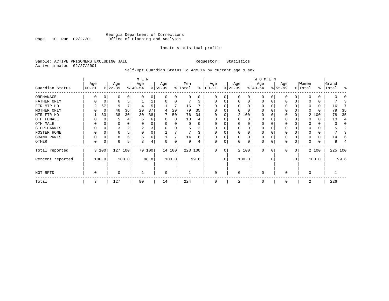## Georgia Department of Corrections Page 10 Run 02/27/01 Office of Planning and Analysis

## Inmate statistical profile

Sample: ACTIVE PRISONERS EXCLUDING JAIL **Requestor:** Statistics Active inmates 02/27/2001

Self-Rpt Guardian Status To Age 16 by current age & sex

|                  |                   |          |                  |       | M E N            |        |                 |          |                |      |                 |           |                  |          | W O M E N        |           |                  |     |                  |          |                |         |
|------------------|-------------------|----------|------------------|-------|------------------|--------|-----------------|----------|----------------|------|-----------------|-----------|------------------|----------|------------------|-----------|------------------|-----|------------------|----------|----------------|---------|
| Guardian Status  | Age<br>$ 00 - 21$ |          | Age<br>$ 22-39 $ |       | Age<br>$ 40-54 $ |        | Age<br>$ 55-99$ |          | Men<br>% Total | ႜ    | Age<br>$ 00-21$ |           | Age<br>$ 22-39 $ |          | Age<br>$ 40-54 $ |           | Age<br>$ 55-99 $ |     | Women<br>% Total | ွေ       | Grand<br>Total | ႜ       |
| ORPHANAGE        |                   |          | 0                |       | n                | 0      | $\Omega$        | 0        | 0              | 0    | $\Omega$        | 0         |                  | 0        | 0                |           |                  |     |                  | 0        |                |         |
| FATHER ONLY      |                   |          | 6                |       |                  |        | O               | 0        |                |      | 0               | 0         |                  | $\Omega$ | $\Omega$         |           |                  |     |                  | 0        |                |         |
| FTR MTR HD       |                   | 67       | 9                |       |                  | 5      |                 |          | 16             |      | $\Omega$        | O         |                  |          | 0                |           |                  |     | 0                | $\Omega$ | 16             |         |
| MOTHER ONLY      |                   | $\Omega$ | 46               | 36    | 29               | 37     | 4               | 29       | 79             | 35   |                 |           |                  |          | O                |           |                  |     | 0                | O        | 79             | 35      |
| MTR FTR HD       |                   | 33       | 38               | 30    | 30               | 38     |                 | 50       | 76             | 34   | $\Omega$        | 0         |                  | 2 100    | 0                |           |                  |     |                  | 2 100    | 78             | 35      |
| OTH FEMALE       |                   |          |                  |       |                  | 6      |                 | $\Omega$ | 10             |      |                 |           |                  | $\Omega$ | O                |           |                  |     |                  | 0        | 10             |         |
| OTH MALE         |                   |          |                  |       |                  |        |                 |          | 0              |      |                 |           |                  |          | O                |           |                  |     |                  | 0        |                |         |
| STEP-PARNTS      |                   |          |                  |       |                  | 3      |                 |          | 5              |      | 0               |           |                  |          | 0                |           |                  |     |                  | 0        |                |         |
| FOSTER HOME      |                   |          | 6                |       | 0                | 0      |                 |          |                |      | $\Omega$        |           |                  | $\Omega$ | 0                |           |                  |     |                  | 0        |                |         |
| GRAND PRNTS      | $\Omega$          |          | 8                | 6     | 5                | 6      |                 |          | 14             | 6    | 0               | 0         |                  | $\Omega$ | 0                |           | 0                |     |                  | 0        | 14             |         |
| OTHER            | 0                 |          | 6                |       | 3                | 4      | $\Omega$        | 0        | 9              | 4    | $\Omega$        | 0         |                  | $\Omega$ | 0                |           | $\Omega$         | 0   | 0                | 0        | 9              |         |
| Total reported   |                   | 3 100    | 127 100          |       |                  | 79 100 |                 | 14 100   | 223 100        |      | $\Omega$        | 0         |                  | 2 100    | $\Omega$         | $\Omega$  | $\Omega$         | 0   |                  | 2 100    |                | 225 100 |
| Percent reported |                   | 100.0    |                  | 100.0 |                  | 98.8   |                 | 100.0    |                | 99.6 |                 | $\cdot$ 0 |                  | 100.0    |                  | $\cdot$ 0 |                  | .0' |                  | 100.0    |                | 99.6    |
| NOT RPTD         | 0                 |          | O                |       |                  |        | $\Omega$        |          |                |      | $\Omega$        |           | $\Omega$         |          | $\Omega$         |           | $\Omega$         |     | $\Omega$         |          |                |         |
| Total            | 3                 |          | 127              |       | 80               |        | 14              |          | 224            |      | $\Omega$        |           | 2                |          | $\Omega$         |           | $\Omega$         |     | 2                |          | 226            |         |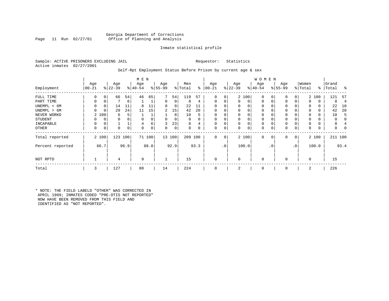## Georgia Department of Corrections Office of Planning and Analysis

## Inmate statistical profile

Sample: ACTIVE PRISONERS EXCLUDING JAIL **Requestor:** Statistics Active inmates 02/27/2001

## Self-Rpt Employment Status Before Prison by current age & sex

|                  |           |       |           |              | M E N    |      |                |        |         |      |           |             |             |       | <b>WOMEN</b> |          |          |                |             |       |           |                |
|------------------|-----------|-------|-----------|--------------|----------|------|----------------|--------|---------|------|-----------|-------------|-------------|-------|--------------|----------|----------|----------------|-------------|-------|-----------|----------------|
|                  | Age       |       | Age       |              | Age      |      | Age            |        | Men     |      | Age       |             | Age         |       | Age          |          | Age      |                | Women       |       | Grand     |                |
| Employment       | $00 - 21$ |       | $ 22-39 $ |              | $ 40-54$ |      | $ 55-99$       |        | % Total | ⊱    | $00 - 21$ |             | $ 22-39 $   |       | $ 40-54$     |          | $ 55-99$ |                | % Total     |       | %   Total | ႜ              |
| FULL TIME        | 0         | 0     | 66        | 54           | 46       | 65   | 7              | 54     | 119     | 57   | 0         | 0           |             | 2 100 | $\mathbf 0$  | 0        |          | 0              |             | 2 100 | 121       | 57             |
| PART TIME        | 0         | 0     |           | 6            |          |      | $\Omega$       | 0      | 8       | 4    | $\Omega$  |             | $\Omega$    | 0     | $\Omega$     | $\Omega$ |          | 0              | $\Omega$    | 0     | 8         | $\overline{4}$ |
| UNEMPL < 6M      | 0         | 0     | 14        | 11           | 8        | 11   | $\Omega$       | 0      | 22      | 11   | $\Omega$  |             | 0           | 0     | $\mathbf 0$  |          | 0        |                | $\mathbf 0$ | 0     | 22        | 10             |
| UNEMPL > 6M      | $\Omega$  | 0     | 29        | 24           | 11       | 15   | $\overline{2}$ | 15     | 42      | 20   | 0         |             | $\mathbf 0$ | 0     | $\mathbf 0$  |          | 0        | 0              | $\mathbf 0$ | 0     | 42        | 20             |
| NEVER WORKD      |           | 2 100 | 6         | 5            |          |      |                | 8      | 10      | 5    | $\Omega$  |             | 0           | 0     | $\Omega$     |          |          |                | $\Omega$    | 0     | 10        | .5             |
| <b>STUDENT</b>   | 0         | 0     | 0         | $\Omega$     | $\Omega$ |      | $\mathbf 0$    | 0      |         |      | 0         |             | $\mathbf 0$ | 0     | $\mathbf 0$  |          | 0        |                | $\mathbf 0$ | 0     |           |                |
| INCAPABLE        | 0         | 0     |           | $\mathbf{1}$ | 4        | 6    | 3              | 23     | 8       |      | $\Omega$  |             | $\mathbf 0$ | 0     | $\mathbf 0$  | $\Omega$ | 0        | 0              | $\mathbf 0$ | 0     | 8         |                |
| <b>OTHER</b>     | 0         | 0     | 0         | $\mathbf 0$  | $\Omega$ | 0    | 0              | 0      |         |      | 0         | 0           | $\mathbf 0$ | 0     | $\mathbf 0$  | 0        | 0        | 0              | $\Omega$    | 0     |           |                |
| Total reported   |           | 2 100 | 123       | 100          | 71       | 100  |                | 13 100 | 209     | 100  | $\Omega$  | $\mathbf 0$ |             | 2 100 | $\Omega$     | 0        | 0        | 0 <sup>1</sup> |             | 2 100 | 211 100   |                |
| Percent reported |           | 66.7  |           | 96.9         |          | 88.8 |                | 92.9   |         | 93.3 |           | $\cdot$ 0   |             | 100.0 |              | .0       |          | $\cdot$ 0      |             | 100.0 |           | 93.4           |
| NOT RPTD         |           |       | 4         |              | 9        |      |                |        | 15      |      | 0         |             | $\mathbf 0$ |       | $\Omega$     |          |          |                | $\mathbf 0$ |       | 15        |                |
| Total            | 3         |       | 127       |              | 80       |      | 14             |        | 224     |      | $\Omega$  |             | 2           |       | $\Omega$     |          |          |                | 2           |       | 226       |                |

\* NOTE: THE FIELD LABELD "OTHER" WAS CORRECTED IN APRIL 1989; INMATES CODED "PRE-OTIS NOT REPORTED" NOW HAVE BEEN REMOVED FROM THIS FIELD AND IDENTIFIED AS "NOT REPORTED".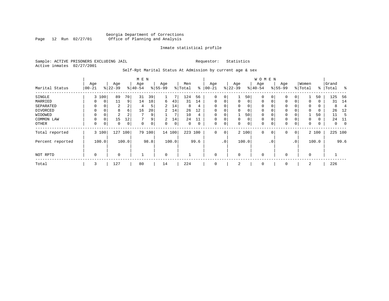## Georgia Department of Corrections Page 12 Run 02/27/01 Office of Planning and Analysis

## Inmate statistical profile

Sample: ACTIVE PRISONERS EXCLUDING JAIL **Requestor:** Statistics Active inmates 02/27/2001

## Self-Rpt Marital Status At Admission by current age & sex

|                  |             |          |           |                | M E N          |        |                |       |         |             |             |               |              |       | <b>WOMEN</b> |             |          |              |             |       |           |          |
|------------------|-------------|----------|-----------|----------------|----------------|--------|----------------|-------|---------|-------------|-------------|---------------|--------------|-------|--------------|-------------|----------|--------------|-------------|-------|-----------|----------|
|                  | Age         |          | Age       |                | Age            |        | Age            |       | Men     |             | Age         |               | Age          |       | Age          |             | Age      |              | Women       |       | Grand     |          |
| Marital Status   | $00 - 21$   |          | $ 22-39 $ |                | $ 40-54$       |        | $8 55-99$      |       | % Total | ⊱           | $ 00-21$    | $\frac{1}{6}$ | $22 - 39$    |       | $ 40-54 $    |             | $ 55-99$ |              | % Total     |       | %   Total | ႜ        |
| SINGLE           |             | 3 100    | 89        | 70             | 31             | 39     |                | 7     | 124     | 56          | 0           | 0             |              | 50    | 0            | 0           | 0        |              |             | 50    | 125       | - 56     |
| MARRIED          | 0           | 0        | 11        | 9              | 14             | 18     | 6              | 43    | 31      | 14          | 0           | 0             | 0            | 0     | $\mathbf 0$  | 0           | $\Omega$ | 0            | $\Omega$    | 0     | 31        | -14      |
| SEPARATED        | $\Omega$    | $\Omega$ | 2         | $\overline{2}$ | 4              | 5      | $\overline{2}$ | 14    | 8       | 4           | $\Omega$    |               | 0            | 0     | $\mathbf 0$  | 0           | $\Omega$ |              | $\Omega$    | 0     | 8         | 4        |
| DIVORCED         |             | 0        | 8         | 6              | 16             | 20     | 2              | 14    | 26      | 12          | $\Omega$    |               | 0            | 0     | $\mathbf 0$  | $\Omega$    | $\Omega$ |              | $\Omega$    | 0     | 26        | -12      |
| WIDOWED          | $\Omega$    |          | 2         | 2              | $\overline{ }$ | 9      |                | 7     | 10      | 4           |             |               |              | 50    | $\Omega$     | O           | $\Omega$ |              |             | 50    | 11        | 5        |
| COMMON LAW       | $\Omega$    | $\Omega$ | 15        | 12             |                | 9      | 2              | 14    | 24      | 11          | 0           |               | $\mathbf{0}$ | 0     | $\mathbf 0$  | $\Omega$    | 0        |              | $\Omega$    | 0     | 24        | 11       |
| OTHER            | 0           | 0        | 0         | 0              | 0              | 0      | $\Omega$       | 0     | 0       | $\mathbf 0$ | 0           | 0             | 0            | 0     | $\mathbf 0$  | $\mathbf 0$ | 0        | $\mathbf 0$  | 0           | 0     | 0         | $\Omega$ |
| Total reported   |             | 3 100    | 127 100   |                |                | 79 100 | 14 100         |       | 223 100 |             | 0           | 0             |              | 2 100 | $\mathbf 0$  | $\mathbf 0$ | 0        | $\mathbf{0}$ |             | 2 100 | 225 100   |          |
| Percent reported |             | 100.0    |           | 100.0          |                | 98.8   |                | 100.0 |         | 99.6        |             | .0'           |              | 100.0 |              | . 0         |          | $\cdot$ 0    |             | 100.0 |           | 99.6     |
| NOT RPTD         | $\mathbf 0$ |          | 0         |                |                |        | $\mathbf 0$    |       |         |             | $\mathbf 0$ |               | $\mathbf 0$  |       | $\mathbf 0$  |             | 0        |              | $\mathbf 0$ |       |           |          |
| Total            | 3           |          | 127       |                | 80             |        | 14             |       | 224     |             | 0           |               | 2            |       | 0            |             | 0        |              | 2           |       | 226       |          |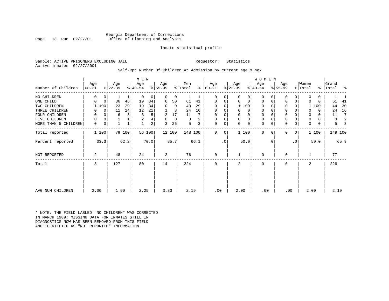Georgia Department of Corrections Office of Planning and Analysis

## Inmate statistical profile

Sample: ACTIVE PRISONERS EXCLUDING JAIL **Requestor:** Statistics Active inmates 02/27/2001

## Self-Rpt Number Of Children At Admission by current age & sex

|                      |          |             |           | M E N  |             |                         |           |        |         |      |             |           |             | <b>WOMEN</b> |             |           |             |                |          |          |         |      |
|----------------------|----------|-------------|-----------|--------|-------------|-------------------------|-----------|--------|---------|------|-------------|-----------|-------------|--------------|-------------|-----------|-------------|----------------|----------|----------|---------|------|
|                      | Age      |             | Age       |        | Age         |                         | Age       |        | Men     |      | Age         |           | Age         |              | Age         |           | Age         |                | Women    |          | Grand   |      |
| Number Of Children   | $ 00-21$ |             | $ 22-39 $ |        | $ 40-54 $   |                         | $8 55-99$ |        | % Total | ွေ   | $ 00 - 21 $ |           | $ 22-39 $   |              | $ 40-54 $   |           | $8 55-99$   |                | % Total  | ႜၟ       | Total   | ႜ    |
| NO CHILDREN          | 0        | 0           |           | 1      | $\mathbf 0$ | 0                       | 0         | 0      |         |      | $\Omega$    | 0         | $\Omega$    | 0            | $\Omega$    |           | 0           | 0              | 0        | 0        |         |      |
| ONE CHILD            | 0        | $\mathbf 0$ | 36        | 46     | 19          | 34                      | 6         | 50     | 61      | 41   | 0           | 0         | $\Omega$    | $\mathbf 0$  | $\mathbf 0$ | $\Omega$  | $\mathbf 0$ | 0              | $\Omega$ | $\Omega$ | 61      | 41   |
| TWO CHILDREN         |          | 100         | 23        | 29     | 19          | 34                      | $\Omega$  | 0      | 43      | 29   | $\Omega$    | 0         |             | 1 100        | $\Omega$    |           | 0           | 0              |          | 1 100    | 44      | 30   |
| THREE CHILDREN       | 0        | $\Omega$    | 11        | 14     | 12          | 21                      |           | 8      | 24      | 16   | $\Omega$    | 0         |             | 0            | 0           |           | $\mathbf 0$ | O              |          | $\Omega$ | 24      | 16   |
| FOUR CHILDREN        | 0        | 0           | 6         | 8      |             | 5                       | 2         | 17     | 11      |      | 0           | 0         |             | 0            | 0           |           | $\mathbf 0$ |                | 0        | 0        | 11      | 7    |
| FIVE CHILDREN        | 0        | 0           |           |        | 2           | 4                       | 0         | 0      | 3       | 2    | 0           | 0         | $\mathbf 0$ | $\mathsf{O}$ | 0           |           | $\mathbf 0$ | 0              | 0        | 0        | 3       |      |
| MORE THAN 5 CHILDREN | 0        | 0           |           |        |             | $\overline{\mathbf{c}}$ | 3         | 25     | 5       | 3    | 0           | 0         | $\Omega$    | 0            | $\mathbf 0$ | 0         | $\mathbf 0$ | 0              | 0        | 0        | 5       |      |
| Total reported       | 1 100    |             |           | 79 100 |             | 56 100                  |           | 12 100 | 148 100 |      | $\Omega$    | 0         |             | 1100         | $\Omega$    | $\Omega$  | $\Omega$    | $\overline{0}$ |          | 1 100    | 149 100 |      |
| Percent reported     |          | 33.3        |           | 62.2   |             | 70.0                    |           | 85.7   |         | 66.1 |             | $\cdot$ 0 |             | 50.0         |             | $\cdot$ 0 |             | $\cdot$ 0      |          | 50.0     |         | 65.9 |
| NOT REPORTED         | 2        |             | 48        |        | 24          |                         | 2         |        | 76      |      | $\mathbf 0$ |           |             |              | 0           |           | $\mathbf 0$ |                |          |          | 77      |      |
| Total                | 3        |             | 127       |        | 80          |                         | 14        |        | 224     |      | 0           |           | 2           |              | 0           |           | $\mathbf 0$ |                | 2        |          | 226     |      |
|                      |          |             |           |        |             |                         |           |        |         |      |             |           |             |              |             |           |             |                |          |          |         |      |
|                      |          |             |           |        |             |                         |           |        |         |      |             |           |             |              |             |           |             |                |          |          |         |      |
| AVG NUM CHILDREN     | 2.00     |             | 1.90      |        | 2.25        |                         | 3.83      |        | 2.19    |      | .00         |           | 2.00        |              | .00         |           | .00         |                | 2.00     |          | 2.19    |      |

\* NOTE: THE FIELD LABLED "NO CHILDREN" WAS CORRECTED IN MARCH 1989: MISSING DATA FOR INMATES STILL IN DIAGNOSTICS NOW HAS BEEN REMOVED FROM THIS FIELD AND IDENTIFIED AS "NOT REPORTED" INFORMATION.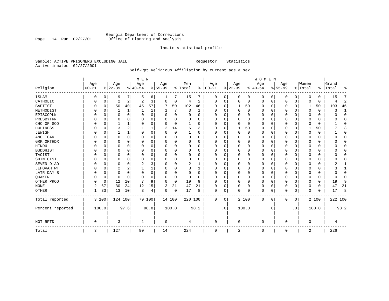## Georgia Department of Corrections Page 14 Run 02/27/01 Office of Planning and Analysis

## Inmate statistical profile

Sample: ACTIVE PRISONERS EXCLUDING JAIL **Requestor:** Statistics Active inmates 02/27/2001

## Self-Rpt Religious Affiliation by current age & sex

|                  |                   |          |                  |          | M E N           |             |                  |          |                |                |                 |           |                 |          | <b>WOMEN</b>     |           |                  |           |                  |          |                    |                |
|------------------|-------------------|----------|------------------|----------|-----------------|-------------|------------------|----------|----------------|----------------|-----------------|-----------|-----------------|----------|------------------|-----------|------------------|-----------|------------------|----------|--------------------|----------------|
| Religion         | Age<br>$ 00 - 21$ |          | Age<br>$8 22-39$ |          | Age<br>$ 40-54$ |             | Age<br>$8 55-99$ |          | Men<br>% Total | ွေ             | Age<br>$ 00-21$ |           | Age<br>$ 22-39$ |          | Age<br>$8 40-54$ |           | Age<br>$8 55-99$ |           | Women<br>% Total |          | Grand<br>%   Total | ႜ              |
|                  |                   |          |                  |          |                 |             |                  |          |                |                |                 |           |                 |          |                  |           |                  |           |                  |          |                    |                |
| <b>ISLAM</b>     |                   | 0        | 9                | 7        | .5              | 6           | 1                | 7        | 15             |                | 0               | 0         | 0               | 0        | 0                | 0         | 0                | 0         | $\Omega$         | 0        | 15                 | 7              |
| CATHOLIC         |                   | 0        | 2                | 2        | $\overline{2}$  | 3           | $\Omega$         | 0        | 4              | $\overline{2}$ | $\Omega$        | 0         | $\mathbf 0$     | 0        | $\Omega$         | 0         | $\Omega$         | 0         | $\Omega$         | $\Omega$ |                    | $\overline{2}$ |
| <b>BAPTIST</b>   |                   | 0        | 50               | 40       | 45              | 57          | 7                | 50       | 102            | 46             | O               | $\Omega$  | 1               | 50       | <sup>0</sup>     | 0         | 0                | $\Omega$  | 1                | 50       | 103                | 46             |
| METHODIST        |                   | $\Omega$ |                  | 1        |                 | 1           |                  | 7        | 3              | 1              | $\Omega$        | $\Omega$  | $\mathbf 0$     | 0        | 0                | $\Omega$  | 0                | 0         | $\Omega$         | 0        |                    | 1              |
| EPISCOPLN        |                   | 0        | 0                | $\Omega$ | $\Omega$        | $\mathbf 0$ | U                | 0        | $\Omega$       | $\Omega$       | $\Omega$        | $\Omega$  | $\mathbf 0$     | $\Omega$ | 0                | $\Omega$  | 0                | $\Omega$  | O                | 0        |                    | $\mathbf{0}$   |
| PRESBYTRN        |                   | $\Omega$ | 0                | $\Omega$ | O               | $\Omega$    | U                | $\Omega$ | 0              | O              | O               | $\Omega$  | $\mathbf 0$     | $\Omega$ | 0                | $\Omega$  | 0                | 0         | $\Omega$         | O        |                    | $\Omega$       |
| CHC OF GOD       |                   | 0        |                  | 1        | $\Omega$        | $\Omega$    | U                | $\Omega$ |                | $\Omega$       | $\Omega$        | $\Omega$  | $\Omega$        | $\Omega$ | $\Omega$         | $\Omega$  | $\Omega$         | $\Omega$  | $\Omega$         | $\Omega$ |                    | $\Omega$       |
| HOLINESS         |                   | $\Omega$ | 3                | 2        |                 |             | 2                | 14       | 6              | ζ              | $\Omega$        | $\Omega$  |                 | 50       | <sup>0</sup>     | $\Omega$  | 0                | $\Omega$  |                  | 50       |                    | 3              |
| <b>JEWISH</b>    |                   | $\Omega$ |                  | 1        | $\Omega$        | $\Omega$    | O                | 0        |                | O              | $\Omega$        |           | $\Omega$        | $\Omega$ | 0                | $\Omega$  | 0                | $\Omega$  | $\Omega$         | 0        |                    | 0              |
| ANGLICAN         |                   | 0        | 0                | 0        | O               | 0           | U                | 0        | 0              | 0              | $\Omega$        |           | 0               | $\Omega$ | 0                | 0         | 0                | 0         | $\Omega$         | 0        |                    | $\mathbf{0}$   |
| GRK ORTHDX       |                   | 0        | O                | $\Omega$ | $\Omega$        | O           | U                | O        | $\Omega$       | O              | $\Omega$        | $\Omega$  | O               | $\Omega$ | <sup>0</sup>     | $\Omega$  | 0                | $\Omega$  | $\Omega$         | 0        |                    | $\Omega$       |
| HINDU            |                   | $\Omega$ | U                | $\Omega$ | $\cap$          | $\Omega$    | U                | O        | $\Omega$       | $\Omega$       | $\Omega$        | $\Omega$  | $\Omega$        | $\Omega$ | $\Omega$         | $\Omega$  | 0                | $\Omega$  | $\Omega$         | $\Omega$ |                    | $\Omega$       |
| <b>BUDDHIST</b>  |                   | $\Omega$ | 0                | 0        | O               | $\Omega$    | U                | 0        | $\Omega$       | 0              | $\Omega$        | $\Omega$  | O               | 0        | 0                | $\Omega$  | 0                | 0         | O                | 0        |                    | $\Omega$       |
| TAOIST           |                   | $\Omega$ |                  | $\Omega$ | $\Omega$        | $\Omega$    |                  | $\Omega$ | 0              | $\Omega$       |                 | $\Omega$  | $\Omega$        | $\Omega$ |                  | $\Omega$  | 0                | O         | $\Omega$         | O        |                    | $\Omega$       |
| SHINTOIST        |                   | $\Omega$ | U                | $\Omega$ | $\Omega$        | $\Omega$    | U                | O        | $\Omega$       | $\Omega$       | O               | $\Omega$  | $\Omega$        | $\Omega$ | <sup>0</sup>     | $\Omega$  | 0                | $\Omega$  | $\Omega$         | U        |                    | $\Omega$       |
| SEVEN D AD       |                   | $\Omega$ | U                | $\Omega$ | 2               | 3           | U                | O        | 2              |                | O               | $\Omega$  | $\Omega$        | $\Omega$ | <sup>0</sup>     | $\Omega$  | 0                | $\Omega$  | $\Omega$         | O        |                    |                |
| JEHOVAH WT       |                   | $\Omega$ | 2                | 2        |                 |             | O                | 0        | 3              | 1              | $\Omega$        | $\Omega$  | $\Omega$        | $\Omega$ | $\Omega$         | $\Omega$  | 0                | $\Omega$  | $\Omega$         | $\Omega$ |                    | $\mathbf{1}$   |
| LATR DAY S       |                   | 0        | 0                | $\Omega$ | $\Omega$        | $\Omega$    | U                | 0        | 0              | O              | $\Omega$        |           | $\Omega$        | $\Omega$ | 0                | $\Omega$  | 0                | 0         | $\Omega$         |          |                    | $\Omega$       |
| QUAKER           |                   | 0        | 0                | $\Omega$ | $\cap$          | O           | U                | 0        | 0              | O              | ∩               | $\Omega$  | $\Omega$        | $\Omega$ | <sup>0</sup>     | 0         | 0                | 0         | $\Omega$         | 0        |                    | $\Omega$       |
| OTHER PROD       |                   | 0        | 12               | 10       | 7               | 9           | U                | 0        | 19             | 9              | $\Omega$        | $\Omega$  | $\mathbf 0$     | 0        | $\Omega$         | $\Omega$  | 0                | $\Omega$  | $\Omega$         | 0        | 19                 | 9              |
| <b>NONE</b>      | 2                 | 67       | 30               | 24       | 12              | 15          | 3                | 21       | 47             | 21             | $\Omega$        | 0         | $\Omega$        | 0        | $\Omega$         | $\Omega$  | 0                | 0         | $\Omega$         | 0        | 47                 | 21             |
| <b>OTHER</b>     |                   | 33       | 13               | 10       | 3               | 4           | 0                | 0        | 17             | 8              | 0               | 0         | $\Omega$        | 0        | $\Omega$         | 0         | 0                | 0         | $\Omega$         | $\Omega$ | 17                 | 8              |
| Total reported   |                   | 3 100    | 124 100          |          |                 | 79 100      | 14 100           |          | 220 100        |                | 0               | 0         |                 | 2 100    | $\Omega$         | 0         | 0                | 0         |                  | 2 100    | 222 100            |                |
| Percent reported |                   | 100.0    |                  | 97.6     |                 | 98.8        |                  | 100.0    |                | 98.2           |                 | $\cdot$ 0 |                 | 100.0    |                  | $\cdot$ 0 |                  | $\cdot$ 0 |                  | 100.0    |                    | 98.2           |
| NOT RPTD         | $\Omega$          |          | 3                |          |                 |             | 0                |          | 4              |                | $\Omega$        |           | $\Omega$        |          | $\cap$           |           | 0                |           | $\Omega$         |          |                    |                |
| Total            | 3                 |          | 127              |          | 80              |             | 14               |          | 224            |                | $\Omega$        |           | 2               |          | $\Omega$         |           | 0                |           | 2                |          | 226                |                |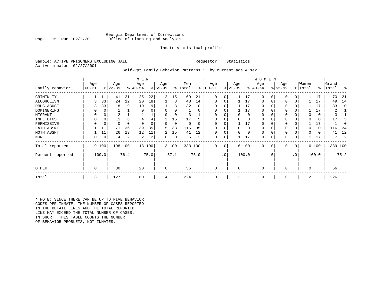## Georgia Department of Corrections Office of Planning and Analysis

## Inmate statistical profile

Sample: ACTIVE PRISONERS EXCLUDING JAIL **Requestor:** Statistics Active inmates 02/27/2001

Self-Rpt Family Behavior Patterns \* by current age & sex

|                  |                 |       |                  |      | M E N            |      |                 |        |                |      |                 |           |                  |          | WOMEN            |           |                  |           |                  |          |                |         |
|------------------|-----------------|-------|------------------|------|------------------|------|-----------------|--------|----------------|------|-----------------|-----------|------------------|----------|------------------|-----------|------------------|-----------|------------------|----------|----------------|---------|
| Family Behavior  | Age<br>$ 00-21$ |       | Age<br>$ 22-39 $ |      | Age<br>$ 40-54 $ |      | Age<br>$ 55-99$ |        | Men<br>% Total | နွ   | Age<br>$ 00-21$ |           | Age<br>$ 22-39 $ |          | Age<br>$ 40-54 $ |           | Age<br>$ 55-99 $ |           | Women<br>% Total | ∻        | Grand<br>Total | ႜ       |
| CRIMINLTY        |                 | 11    | 41               | 21   | 25               | 22   | 2               | 15     | 69             | 21   | 0               | 0         |                  | 17       | 0                | $\Omega$  | 0                |           |                  | 17       | 70             | 21      |
| ALCOHOLISM       | 3               | 33    | 24               | 12   | 20               | 18   |                 | 8      | 48             | 14   | 0               | 0         |                  | 17       | 0                |           | 0                |           |                  | 17       | 49             | 14      |
| DRUG ABUSE       |                 | 33    | 18               | 9    | 10               | 9    |                 | 8      | 32             | 10   | <sup>0</sup>    |           |                  | 17       |                  |           | $\Omega$         |           |                  | 17       | 33             | 10      |
| DOMINERING       |                 |       |                  |      | $\Omega$         |      |                 |        |                | O    |                 |           |                  | 17       |                  |           | $\Omega$         |           |                  | 17       |                |         |
| MIGRANT          |                 |       |                  |      |                  |      |                 |        |                |      |                 |           |                  | 0        |                  |           | 0                |           |                  | 0        |                |         |
| INFL BTGS        |                 | 0     | 11               | 6    |                  |      | 2               | 15     | 17             |      |                 |           |                  |          |                  |           | 0                |           |                  | 0        | 17             |         |
| PERMISSIVE       |                 | 0     | 0                | 0    |                  |      | 0               | 0      | $\Omega$       |      | $\Omega$        | 0         |                  | 17       |                  |           | $\mathbf 0$      |           |                  | 17       |                |         |
| FATH ABSNT       |                 | 11    | 71               | 36   | 39               | 35   | 5.              | 38     | 116            | 35   | O               |           | <sup>0</sup>     | $\Omega$ | O                |           | 0                |           |                  | $\Omega$ | 116            | -34     |
| MOTH ABSNT       |                 | 11    | 26               | 13   | 12               | 11   | 2               | 15     | 41             | 12   | 0               | 0         |                  | $\Omega$ | 0                |           | 0                |           |                  | 0        | 41             | 12      |
| NONE             | 0               | 0     | 4                | 2    | 2                | 2    | 0               | 0      | 6              | 2    | 0               | 0         |                  | 17       | 0                |           | 0                |           |                  |          | 7              |         |
| Total reported   |                 | 9 100 | 198              | 100  | 113              | 100  |                 | 13 100 | 333 100        |      | 0               | 0         |                  | 6 100    | 0                | 0         | $\mathbf 0$      | 0         |                  | 6 100    |                | 339 100 |
| Percent reported |                 | 100.0 |                  | 76.4 |                  | 75.0 |                 | 57.1   |                | 75.0 |                 | $\cdot$ 0 |                  | 100.0    |                  | $\cdot$ 0 |                  | $\cdot$ 0 |                  | 100.0    |                | 75.2    |
| OTHER            | 0               |       | 30               |      | 20               |      | 6               |        | 56             |      | 0               |           | $\Omega$         |          | 0                |           | 0                |           | $\Omega$         |          | 56             |         |
| Total            | 3               |       | 127              |      | 80               |      | 14              |        | 224            |      | 0               |           | 2                |          | 0                |           | 0                |           | 2                |          | 226            |         |

\* NOTE: SINCE THERE CAN BE UP TO FIVE BEHAVIOR CODES PER INMATE, THE NUMBER OF CASES REPORTED IN THE DETAIL LINES AND THE TOTAL REPORTED LINE MAY EXCEED THE TOTAL NUMBER OF CASES. IN SHORT, THIS TABLE COUNTS THE NUMBER OF BEHAVIOR PROBLEMS, NOT INMATES.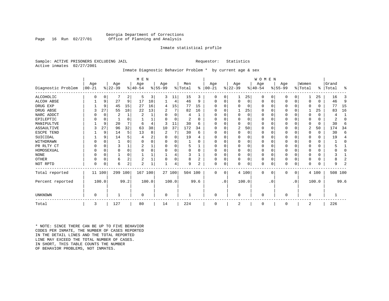## Georgia Department of Corrections Office of Planning and Analysis

## Inmate statistical profile

Sample: ACTIVE PRISONERS EXCLUDING JAIL **Requestor:** Statistics Active inmates 02/27/2001

## Inmate Diagnostic Behavior Problem \* by current age & sex

|                    |                   |          |                  |                | M E N            |       |                  |          |                |          |                   |           |                  |          | WOMEN            |           |                 |             |                  |          |                |                |
|--------------------|-------------------|----------|------------------|----------------|------------------|-------|------------------|----------|----------------|----------|-------------------|-----------|------------------|----------|------------------|-----------|-----------------|-------------|------------------|----------|----------------|----------------|
| Diagnostic Problem | Age<br>$ 00 - 21$ |          | Age<br>$ 22-39 $ |                | Age<br>$8 40-54$ |       | Age<br>$8 55-99$ |          | Men<br>% Total | ႜ        | Age<br>$ 00 - 21$ |           | Age<br>$ 22-39 $ |          | Age<br>$ 40-54 $ |           | Age<br>$ 55-99$ |             | Women<br>% Total | ⊱        | Grand<br>Total | ႜ              |
| <b>ALCOHOLIC</b>   |                   | 0        |                  | 2              | 5                | 3     | 3                | 11       | 15             | 3        | 0                 | 0         |                  | 25       | 0                | 0         | 0               | 0           |                  | 25       | 16             | 3              |
| ALCOH ABSE         |                   | 9        | 27               | 9              | 17               | 10    |                  | 4        | 46             | 9        | U                 | $\Omega$  | $\Omega$         | $\Omega$ | $\Omega$         | 0         | U               | $\mathbf 0$ | O                | $\Omega$ | 46             | 9              |
| DRUG EXP           |                   | 9        | 45               | 15             | 27               | 16    | 4                | 15       | 77             | 15       |                   |           | $\Omega$         | 0        | $\Omega$         | $\Omega$  |                 | $\Omega$    | $\Omega$         |          | 77             | 15             |
| DRUG ABSE          | 3                 | 27       | 55               | 18             | 22               | 13    | 2                | 7        | 82             | 16       | U                 |           |                  | 25       | $\Omega$         | $\Omega$  | 0               | $\Omega$    |                  | 25       | 83             | 16             |
| NARC ADDCT         |                   | 0        | 2                |                | 2                |       |                  | $\Omega$ | 4              |          |                   |           | $\Omega$         | 0        | $\Omega$         | $\Omega$  |                 | $\Omega$    | $\Omega$         | $\Omega$ | 4              | 1              |
| EPILEPTIC          |                   | 0        |                  | O              |                  |       |                  | 0        | 2              |          | U                 |           | $\Omega$         | 0        | O                | $\Omega$  | U               | $\Omega$    | $\Omega$         | 0        |                | 0              |
| MANIPULTVE         |                   | 9        | 20               |                | 6                |       | 3                | 11       | 30             | 6        |                   |           | $\Omega$         | 0        | 0                | O         |                 | $\Omega$    | O                | 0        | 30             | 6              |
| <b>ASSAULTIVE</b>  | 3                 | 27       | 96               | 32             | 63               | 38    | 10               | 37       | 172            | 34       | ∩                 |           | 2                | 50       | $\Omega$         | O         | U               | U           | 2                | 50       | 174            | 34             |
| ESCPE TEND         |                   | 9        | 14               | 5              | 13               | 8     | 2                | 7        | 30             | 6        | O                 |           | $\Omega$         | O        | O                | $\Omega$  | ი               | $\Omega$    | $\Omega$         | $\Omega$ | 30             | 6              |
| SUICIDAL           |                   | 9        | 14               | 5              |                  | 2     |                  | U        | 19             |          | ∩                 |           | n                | U        | O                | $\Omega$  |                 | O           | O                | $\Omega$ | 19             | 4              |
| WITHDRAWN          |                   | $\Omega$ |                  | U              |                  |       |                  | U        |                | U        |                   |           | $\Omega$         | U        | 0                | O         | ი               | U           | O                | 0        |                | O              |
| PR RLTY CT         |                   | $\Omega$ | ς                |                |                  |       |                  | U        | 5              |          | ∩                 |           | $\Omega$         | O        | $\Omega$         | $\Omega$  |                 | $\Omega$    | ∩                | $\Omega$ |                |                |
| HOMOSEXUAL         |                   | $\Omega$ | 0                | $\Omega$       |                  |       |                  | U        |                | $\Omega$ | U                 |           | $\Omega$         | O        | O                | $\Omega$  |                 | $\Omega$    |                  | U        |                | $\cap$         |
| <b>NONE</b>        |                   | $\Omega$ |                  | $\Omega$       |                  |       |                  |          |                |          | ∩                 |           | $\Omega$         | 0        | O                | O         |                 | $\Omega$    |                  | $\Omega$ |                |                |
| OTHER              |                   | $\Omega$ | 6                | $\overline{2}$ | $\overline{c}$   |       |                  | 0        | 8              | 2        | U                 |           | $\Omega$         | 0        | $\Omega$         | $\Omega$  | U               | $\Omega$    | $\Omega$         | $\Omega$ |                | 2              |
| NOT RPTD           | $\Omega$          | 0        | 6                | $\overline{a}$ | $\overline{2}$   |       |                  | 4        | 9              | 2        | $\Omega$          | 0         | $\Omega$         | 0        | $\Omega$         | 0         | U               | $\mathbf 0$ | $\Omega$         | $\Omega$ | 9              | $\overline{2}$ |
| Total reported     | 11                | 100      | 299              | 100            | 167              | 100   |                  | 27 100   | 504 100        |          | $\Omega$          | 0         |                  | 4 100    | $\mathbf 0$      | 0         | 0               | $\mathbf 0$ |                  | 4 100    | 508 100        |                |
| Percent reported   |                   | 100.0    |                  | 99.2           |                  | 100.0 |                  | 100.0    |                | 99.6     |                   | $\cdot$ 0 |                  | 100.0    |                  | $\cdot$ 0 |                 | $\cdot$ 0   |                  | 100.0    |                | 99.6           |
| <b>UNKNOWN</b>     | 0                 |          |                  |                | $\Omega$         |       | 0                |          |                |          | $\Omega$          |           | $\overline{0}$   |          | $\mathbf 0$      |           | 0               |             | $\mathbf 0$      |          |                |                |
| Total              | 3                 |          | 127              |                | 80               |       | 14               |          | 224            |          | 0                 |           | 2                |          | 0                |           | 0               |             | 2                |          | 226            |                |

\* NOTE: SINCE THERE CAN BE UP TO FIVE BEHAVIOR CODES PER INMATE, THE NUMBER OF CASES REPORTED IN THE DETAIL LINES AND THE TOTAL REPORTED LINE MAY EXCEED THE TOTAL NUMBER OF CASES.IN SHORT, THIS TABLE COUNTS THE NUMBER OF BEHAVIOR PROBLEMS, NOT INMATES.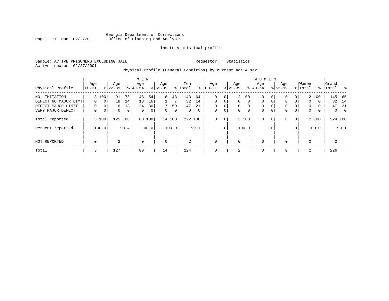## Georgia Department of Corrections Page 17 Run 02/27/01 Office of Planning and Analysis

## Inmate statistical profile

Sample: ACTIVE PRISONERS EXCLUDING JAIL **Requestor:** Statistics Active inmates 02/27/2001

## Physical Profile (General Condition) by current age & sex

|                                                                                  |                           |                                                     |                            |                                   | M E N                      |                                               |                    |                              |                             |                                |                                       |                                                                      |                                          |                                           | <b>WOMEN</b>                                  |                              |                            |                                                         |                                 |                                    |                             |                                  |
|----------------------------------------------------------------------------------|---------------------------|-----------------------------------------------------|----------------------------|-----------------------------------|----------------------------|-----------------------------------------------|--------------------|------------------------------|-----------------------------|--------------------------------|---------------------------------------|----------------------------------------------------------------------|------------------------------------------|-------------------------------------------|-----------------------------------------------|------------------------------|----------------------------|---------------------------------------------------------|---------------------------------|------------------------------------|-----------------------------|----------------------------------|
| Physical Profile                                                                 | Age<br>$ 00 - 21$         |                                                     | Age<br>$8 22-39$           |                                   | Age<br>$8 40-54$           |                                               | Age<br>$8 55-99$   |                              | Men<br>% Total              | ႜ                              | Age<br>$ 00-21$                       |                                                                      | Age<br>$ 22-39 $                         |                                           | Age<br>$8 40-54$                              |                              | Age<br>$8155 - 99$         |                                                         | Women<br>% Total                | $\frac{1}{6}$                      | Grand<br>Total              | - 옹                              |
| NO LIMITATION<br>DEFECT NO MAJOR LIMT<br>DEFECT MAJOR LIMIT<br>VERY MAJOR DEFECT | 0<br>$\Omega$<br>$\Omega$ | 3 100<br>$\mathbf{0}$<br>$\mathbf 0$<br>$\mathbf 0$ | 91<br>18<br>16<br>$\Omega$ | 73 <sub>1</sub><br>14<br>13<br> 0 | 43<br>13<br>24<br>$\Omega$ | 54<br>16<br>30 <sup>1</sup><br>0 <sup>1</sup> | 6<br>7<br>$\Omega$ | 43<br>7<br>50<br>$\mathbf 0$ | 143<br>32<br>47<br>$\Omega$ | 64<br>14<br>21<br>$\mathbf{0}$ | 0<br>$\Omega$<br>$\Omega$<br>$\Omega$ | $\overline{0}$<br>$\overline{0}$<br>$\overline{0}$<br>$\overline{0}$ | $\mathbf{0}$<br>$\mathbf{0}$<br>$\Omega$ | 2 100<br>$\mathbf{0}$<br>0<br>$\mathbf 0$ | $\mathbf{0}$<br>$\mathbf{0}$<br>0<br>$\Omega$ | 0<br>$\Omega$<br>$\mathbf 0$ | 0<br>0<br>0<br>$\mathbf 0$ | 0 <sup>1</sup><br>$\overline{0}$<br>0<br>$\overline{0}$ | 0<br>$\mathbf 0$<br>$\mathbf 0$ | 2 100<br>$\Omega$<br>$\Omega$<br>0 | 145<br>32<br>47<br>$\Omega$ | - 65<br>14<br>-21<br>$\mathbf 0$ |
| Total reported                                                                   |                           | 3 100                                               | 125                        | 100                               | 80                         | 100                                           |                    | 14 100                       | 222 100                     |                                | 0                                     | 0 <sup>1</sup>                                                       |                                          | 2 100                                     | 0                                             | 0                            | 0                          | 0                                                       |                                 | 2 100                              |                             | 224 100                          |
| Percent reported                                                                 |                           | 100.0                                               |                            | 98.4                              |                            | 100.0                                         |                    | 100.0                        |                             | 99.1                           |                                       | .0 <sup>1</sup>                                                      |                                          | 100.0                                     |                                               | $\cdot$ 0                    |                            | $\cdot$ 0                                               |                                 | 100.0                              |                             | 99.1                             |
| NOT REPORTED                                                                     | 0                         |                                                     | 2                          |                                   | $\mathbf 0$                |                                               | $\mathbf 0$        |                              | 2                           |                                | 0                                     |                                                                      | $\mathbf 0$                              |                                           | 0                                             |                              | $\mathbf 0$                |                                                         | $\mathbf 0$                     |                                    | 2                           |                                  |
| Total                                                                            | 3                         |                                                     | 127                        |                                   | 80                         |                                               | 14                 |                              | 224                         |                                |                                       |                                                                      | 2                                        |                                           | 0                                             |                              | $\mathbf 0$                |                                                         | 2                               |                                    | 226                         |                                  |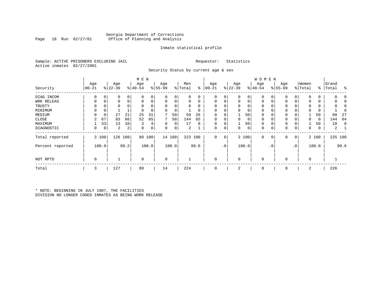## Georgia Department of Corrections Office of Planning and Analysis

## Inmate statistical profile

Sample: ACTIVE PRISONERS EXCLUDING JAIL **Requestor:** Statistics Active inmates 02/27/2001

Security Status by current age & sex

|                  |           |       |           |          | M E N       |       |             |        |         |      |             |             |             |       | <b>WOMEN</b> |           |          |                |             |       |           |      |
|------------------|-----------|-------|-----------|----------|-------------|-------|-------------|--------|---------|------|-------------|-------------|-------------|-------|--------------|-----------|----------|----------------|-------------|-------|-----------|------|
|                  | Age       |       | Age       |          | Age         |       | Age         |        | Men     |      | Age         |             | Age         |       | Age          |           | Age      |                | Women       |       | Grand     |      |
| Security         | $00 - 21$ |       | $ 22-39 $ |          | $8 40-54$   |       | $8 55-99$   |        | % Total | ႜ    | $ 00-21$    |             | $ 22-39 $   |       | $ 40-54 $    |           | $ 55-99$ |                | % Total     |       | %   Total | ႜ    |
| DIAG INCOM       | 0         | 0     | 0         | 0        |             |       | $\Omega$    | 0      |         |      | $\Omega$    |             | $\Omega$    | 0     | $\Omega$     |           |          | 0              | $\Omega$    | 0     |           |      |
| WRK RELEAS       | 0         | 0     | $\Omega$  | 0        | $\Omega$    | 0     | $\mathbf 0$ | 0      |         | 0    | $\Omega$    |             | $\mathbf 0$ | 0     | $\mathbf 0$  | 0         |          | 0              | $\Omega$    | 0     |           |      |
| TRUSTY           | $\Omega$  |       |           | $\Omega$ |             |       | $\Omega$    | 0      |         |      |             |             | $\Omega$    | 0     | $\Omega$     |           |          |                | $\Omega$    | 0     |           |      |
| MINIMUM          | 0         | 0     |           |          | $\Omega$    |       | $\Omega$    | 0      |         |      | $\Omega$    |             | 0           | 0     | $\mathbf 0$  |           |          |                | $\Omega$    | 0     |           |      |
| MEDIUM           | $\Omega$  | 0     | 27        | 21       | 25          | 31    |             | 50     | 59      | 26   | $\Omega$    |             |             | 50    | $\mathbf 0$  |           | 0        |                |             | 50    | 60        | 27   |
| CLOSE            |           | 67    | 83        | 66       | 52          | 65    | 7           | 50     | 144     | 65   | $\Omega$    |             | 0           | 0     | $\mathbf{0}$ |           | 0        |                | 0           | 0     | 144       | 64   |
| MAXIMUM          |           | 33    | 13        | 10       | 3           | 4     | $\Omega$    | 0      | 17      | 8    | $\Omega$    |             |             | 50    | $\mathbf 0$  |           | 0        |                |             | 50    | 18        | 8    |
| DIAGNOSTIC       | 0         | 0     | 2         | 2        | 0           | 0     | 0           | 0      | 2       |      | 0           | 0           | 0           | 0     | $\mathbf 0$  | 0         | 0        | 0              | 0           | 0     | 2         |      |
| Total reported   |           | 3 100 | 126       | 100      | 80          | 100   |             | 14 100 | 223 100 |      | $\mathbf 0$ | $\mathbf 0$ |             | 2 100 | $\mathbf 0$  | 0         | 0        | 0 <sup>1</sup> |             | 2 100 | 225 100   |      |
| Percent reported |           | 100.0 |           | 99.2     |             | 100.0 |             | 100.0  |         | 99.6 |             | $\cdot$ 0   |             | 100.0 |              | $\cdot$ 0 |          | .0             |             | 100.0 |           | 99.6 |
| NOT RPTD         | 0         |       |           |          | $\mathbf 0$ |       | $\mathbf 0$ |        |         |      | $\Omega$    |             | $\mathbf 0$ |       | $\Omega$     |           | 0        |                | $\mathbf 0$ |       |           |      |
| Total            | 3         |       | 127       |          | 80          |       | 14          |        | 224     |      | 0           |             | 2           |       | $\mathbf 0$  |           | 0        |                | 2           |       | 226       |      |

\* NOTE: BEGINNING IN JULY 1987, THE FACILITIES DIVISION NO LONGER CODED INMATES AS BEING WORK RELEASE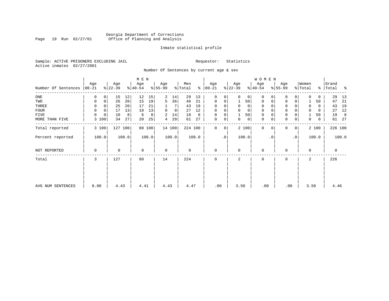## Georgia Department of Corrections<br>Page 19 Run 02/27/01 Office of Planning and Analysis Page 19 Run 02/27/01 Office of Planning and Analysis

## Inmate statistical profile

Sample: ACTIVE PRISONERS EXCLUDING JAIL **Requestor:** Statistics Active inmates 02/27/2001

Number Of Sentences by current age & sex

|                     |                  |                   |       |                  |        |                  |             |                |       |                      |           |                  |              | WOMEN            |           |                 |             |                  |       |                    |       |
|---------------------|------------------|-------------------|-------|------------------|--------|------------------|-------------|----------------|-------|----------------------|-----------|------------------|--------------|------------------|-----------|-----------------|-------------|------------------|-------|--------------------|-------|
| Number Of Sentences | Age<br>$ 00-21 $ | Age<br>$ 22-39 $  |       | Age<br>$ 40-54 $ |        | Age<br>$8 55-99$ |             | Men<br>% Total |       | Age<br>$8   00 - 21$ |           | Age<br>$ 22-39 $ |              | Age<br>$ 40-54 $ |           | Age<br>$ 55-99$ |             | Women<br>% Total |       | Grand<br>%   Total | ႜ     |
| $_{\rm ONE}$        | 0                | 15<br>0           | 12    | 12               | 15     | 2                | 14          | 29             | 13    | $\mathbf 0$          | 0         | $\Omega$         | $\mathbf{0}$ | $\mathbf 0$      | 0         | $\mathbf 0$     | 0           | 0                | 0     | 29                 | 13    |
| TWO                 | $\mathbf 0$      | $\mathbf 0$<br>26 | 20    | 15               | 19     | 5                | 36          | 46             | 21    | $\mathbf 0$          | 0         |                  | 50           | $\mathbf 0$      | 0         | $\mathbf 0$     | $\mathbf 0$ |                  | 50    | 47                 | 21    |
| THREE               | 0                | 25                | 20    | 17               | 21     |                  |             | 43             | 19    | $\Omega$             | 0         | 0                | 0            | 0                |           | 0               |             | 0                | 0     | 43                 | 19    |
| FOUR                | $\Omega$         | $\Omega$<br>17    | 13    | 10               | 13     | $\Omega$         | $\mathbf 0$ | 27             | 12    | $\Omega$             | 0         | $\Omega$         | $\Omega$     | $\Omega$         |           | $\Omega$        |             | $\Omega$         | 0     | 27                 | 12    |
| FIVE                | 0                | 10<br>0           | 8     | 6                | 8      | 2                | 14          | 18             | 8     | $\mathbf 0$          | 0         |                  | 50           | 0                |           | $\mathbf 0$     |             |                  | 50    | 19                 | 8     |
| MORE THAN FIVE      | 3                | 100<br>34         | 27    | 20               | 25     | 4                | 29          | 61             | 27    | $\mathbf 0$          | 0         | 0                | 0            | $\mathbf 0$      | 0         | $\mathbf 0$     | 0           | 0                | 0     |                    | 61 27 |
| Total reported      | 3 100            | 127               | 100   |                  | 80 100 |                  | 14 100      | 224 100        |       | 0                    | 0         |                  | 2 100        | $\mathbf 0$      | $\Omega$  | $\Omega$        | 0           |                  | 2 100 | 226 100            |       |
| Percent reported    | 100.0            |                   | 100.0 |                  | 100.0  |                  | 100.0       |                | 100.0 |                      | $\cdot$ 0 |                  | 100.0        |                  | $\cdot$ 0 |                 | $\cdot$ 0   |                  | 100.0 |                    | 100.0 |
| NOT REPORTED        | 0                | $\mathbf 0$       |       | $\mathbf 0$      |        | $\mathbf 0$      |             | 0              |       | $\mathbf 0$          |           | $\Omega$         |              | $\mathbf 0$      |           | 0               |             | 0                |       | 0                  |       |
| Total               | 3                | 127               |       | 80               |        | 14               |             | 224            |       | $\Omega$             |           | $\overline{a}$   |              | $\mathbf 0$      |           | $\mathbf 0$     |             | $\overline{a}$   |       | 226                |       |
|                     |                  |                   |       |                  |        |                  |             |                |       |                      |           |                  |              |                  |           |                 |             |                  |       |                    |       |
| AVG NUM SENTENCES   | 8.00             |                   | 4.43  | 4.41             |        | 4.43             |             | 4.47           |       | .00                  |           | 3.50             |              | .00              |           | .00             |             | 3.50             |       | 4.46               |       |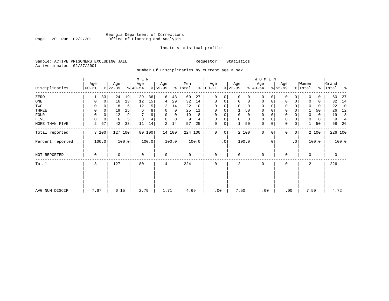## Georgia Department of Corrections Page 20 Run 02/27/01 Office of Planning and Analysis

## Inmate statistical profile

Sample: ACTIVE PRISONERS EXCLUDING JAIL **Requestor:** Statistics Active inmates 02/27/2001

Number Of Disciplinaries by current age & sex

|                  |                   |                |                  |         | M E N            |        |                          |        |                |       |                  |                 |                  |             | W O M E N        |          |                  |             |                  |       |                    |                |
|------------------|-------------------|----------------|------------------|---------|------------------|--------|--------------------------|--------|----------------|-------|------------------|-----------------|------------------|-------------|------------------|----------|------------------|-------------|------------------|-------|--------------------|----------------|
| Disciplinaries   | Age<br>$ 00 - 21$ |                | Age<br>$ 22-39 $ |         | Age<br>$ 40-54 $ |        | Age<br>$\frac{8}{55-99}$ |        | Men<br>% Total | ွေ    | Age<br>$00 - 21$ |                 | Age<br>$ 22-39 $ |             | Age<br>$ 40-54 $ |          | Age<br>$8 55-99$ |             | Women<br>% Total |       | Grand<br>%   Total | ႜ              |
| ZERO             | 1                 | 33             | 24               | 19      | 29               | 36     | 6                        | 43     | 60             | 27    | $\mathbf{0}$     | $\Omega$        | $\Omega$         | 0           | $\mathbf 0$      | $\Omega$ | $\Omega$         | $\Omega$    | $\Omega$         | 0     | 60                 | 27             |
| ONE              | 0                 | $\overline{0}$ | 16               | 13      | 12               | 15     | 4                        | 29     | 32             | 14    | $\mathbf 0$      | 0               | $\mathbf 0$      | $\mathbf 0$ | $\mathbf 0$      | 0        | 0                | $\mathbf 0$ |                  | 0     | 32                 | 14             |
| TWO              | 0                 |                | 8                | 6       | 12               | 15     | 2                        | 14     | 22             | 10    | 0                |                 | $\Omega$         | 0           | $\mathbf 0$      | $\Omega$ | $\Omega$         |             | $\mathbf 0$      | 0     | 22                 | 10             |
| THREE            | 0                 | 0              | 19               | 15      | 6                | 8      | 0                        | 0      | 25             | 11    | 0                |                 |                  | 50          | $\mathbf 0$      |          | $\mathbf 0$      |             |                  | 50    | 26                 | 12             |
| <b>FOUR</b>      | 0                 |                | 12               | 9       | 7                | 9      | 0                        | 0      | 19             | 8     | $\mathbf 0$      |                 | $\Omega$         | 0           | $\mathbf 0$      |          | $\mathbf 0$      |             | $\Omega$         | 0     | 19                 | 8              |
| FIVE             | $\Omega$          | 0              | 6                | 5       | 3                |        | $\Omega$                 | 0      | 9              | 4     | 0                | 0               | $\mathbf 0$      | 0           | 0                | $\Omega$ | 0                |             | 0                | 0     | 9                  | $\overline{4}$ |
| MORE THAN FIVE   | 2                 | 67             | 42               | 33      | 11               | 14     | 2                        | 14     | 57             | 25    | $\mathbf 0$      | 0               |                  | 50          | $\mathbf 0$      | 0        | $\mathbf 0$      | 0           |                  | 50    | 58                 | -26            |
| Total reported   |                   | 3 100          |                  | 127 100 |                  | 80 100 |                          | 14 100 | 224 100        |       | $\mathbf 0$      | $\mathbf 0$     |                  | 2 100       | $\mathbf 0$      | $\Omega$ | 0                | 0           |                  | 2 100 | 226 100            |                |
| Percent reported |                   | 100.0          |                  | 100.0   |                  | 100.0  |                          | 100.0  |                | 100.0 |                  | .0 <sup>1</sup> |                  | 100.0       |                  | . 0      |                  | $\cdot$ 0   |                  | 100.0 |                    | 100.0          |
| NOT REPORTED     | 0                 |                | 0                |         | $\mathbf 0$      |        | $\mathbf 0$              |        | 0              |       | $\mathbf{0}$     |                 | $\Omega$         |             | $\mathbf 0$      |          | 0                |             | $\Omega$         |       | $\mathbf 0$        |                |
| Total            | 3                 |                | 127              |         | 80               |        | 14                       |        | 224            |       | $\mathbf 0$      |                 | 2                |             | $\mathbf 0$      |          | 0                |             | 2                |       | 226                |                |
|                  |                   |                |                  |         |                  |        |                          |        |                |       |                  |                 |                  |             |                  |          |                  |             |                  |       |                    |                |
|                  |                   |                |                  |         |                  |        |                          |        |                |       |                  |                 |                  |             |                  |          |                  |             |                  |       |                    |                |
| AVG NUM DISCIP   | 7.67              |                | 6.15             |         | 2.79             |        | 1.71                     |        | 4.69           |       | .00              |                 | 7.50             |             | .00              |          | .00              |             | 7.50             |       | 4.72               |                |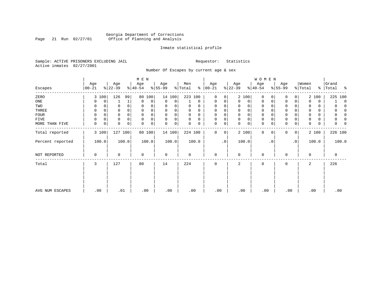## Georgia Department of Corrections Page 21 Run 02/27/01 Office of Planning and Analysis

## Inmate statistical profile

Sample: ACTIVE PRISONERS EXCLUDING JAIL **Requestor:** Statistics Active inmates 02/27/2001

Number Of Escapes by current age & sex

|                  |           |          |           |          | M E N       |        |             |        |          |          |             |           |             |             | W O M E N   |           |             |                |             |       |                      |          |
|------------------|-----------|----------|-----------|----------|-------------|--------|-------------|--------|----------|----------|-------------|-----------|-------------|-------------|-------------|-----------|-------------|----------------|-------------|-------|----------------------|----------|
|                  | Age       |          | Age       |          | Age         |        | Age         |        | Men      |          | Age         |           | Age         |             | Age         |           | Age         |                | Women       |       | Grand                |          |
| Escapes          | $ 00-21 $ |          | $ 22-39 $ |          | $8 40-54$   |        | $ 55-99 $   |        | % Total  | နွ       | $ 00-21$    |           | $ 22-39 $   |             | $ 40-54 $   |           | $8 55-99$   |                | % Total     |       | နွ<br>Total<br>း - ေ |          |
| ZERO             | 3 100     |          | 126       | 99       | 80          | 100    |             | 14 100 | 223 100  |          | $\mathbf 0$ | 0         |             | 2 100       | $\mathbf 0$ | $\Omega$  | $\Omega$    | 0              |             | 2 100 | 225 100              |          |
| ONE              | 0         | 0        |           |          | 0           | 0      | 0           | 0      |          | $\Omega$ | 0           | 0         | 0           | 0           | 0           | 0         | 0           | $\Omega$       | $\Omega$    | 0     |                      | $\Omega$ |
| TWO              | 0         |          | 0         | $\Omega$ | $\Omega$    |        | 0           |        | 0        | O        | $\Omega$    |           |             | 0           | 0           |           | $\Omega$    |                | 0           | 0     |                      |          |
| THREE            | 0         |          | 0         |          |             |        | $\Omega$    |        | 0        | O        | $\Omega$    |           | 0           | 0           | 0           |           | $\Omega$    |                |             | 0     |                      |          |
| <b>FOUR</b>      | 0         |          | 0         | $\Omega$ |             |        | $\Omega$    |        | $\Omega$ | $\Omega$ | $\Omega$    |           | $\Omega$    | 0           | $\Omega$    |           | $\Omega$    |                |             | 0     |                      |          |
| FIVE             | 0         | $\Omega$ | 0         | $\Omega$ | $\Omega$    |        | $\Omega$    | 0      | $\Omega$ | $\Omega$ | $\Omega$    | 0         | $\mathbf 0$ | 0           | $\mathbf 0$ |           | $\mathbf 0$ |                |             | 0     |                      |          |
| MORE THAN FIVE   | 0         | 0        | 0         | 0        | $\Omega$    | 0      | 0           | 0      |          | 0        | 0           | 0         | $\Omega$    | $\mathbf 0$ | $\mathbf 0$ | 0         | $\mathbf 0$ | 0              | 0           | 0     |                      |          |
| Total reported   | 3 100     |          | 127 100   |          |             | 80 100 |             | 14 100 | 224 100  |          | 0           | 0         |             | 2 100       | 0           | $\Omega$  | $\Omega$    | 0 <sup>1</sup> |             | 2 100 | 226 100              |          |
| Percent reported | 100.0     |          |           | 100.0    |             | 100.0  |             | 100.0  |          | 100.0    |             | $\cdot$ 0 |             | 100.0       |             | $\cdot$ 0 |             | $\cdot$ 0      |             | 100.0 | 100.0                |          |
| NOT REPORTED     | 0         |          | 0         |          | $\mathbf 0$ |        | $\mathbf 0$ |        | 0        |          | $\mathbf 0$ |           | $\mathbf 0$ |             | $\mathbf 0$ |           |             |                | $\mathbf 0$ |       | 0                    |          |
| Total            | 3         |          | 127       |          | 80          |        | 14          |        | 224      |          | $\mathbf 0$ |           | 2           |             | $\mathbf 0$ |           | 0           |                | 2           |       | 226                  |          |
|                  |           |          |           |          |             |        |             |        |          |          |             |           |             |             |             |           |             |                |             |       |                      |          |
|                  |           |          |           |          |             |        |             |        |          |          |             |           |             |             |             |           |             |                |             |       |                      |          |
|                  |           |          |           |          |             |        |             |        |          |          |             |           |             |             |             |           |             |                |             |       |                      |          |
| AVG NUM ESCAPES  | .00       |          | .01       |          | .00         |        | .00         |        | .00      |          | .00         |           | .00         |             | .00         |           | .00         |                |             | .00   | .00                  |          |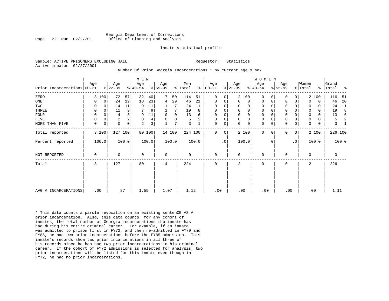### Georgia Department of Corrections Page 22 Run 02/27/01 Office of Planning and Analysis

### Inmate statistical profile

Sample: ACTIVE PRISONERS EXCLUDING JAIL **Requestor:** Statistics Active inmates 02/27/2001

#### Number Of Prior Georgia Incarcerations \* by current age & sex

|             |                            |     |             |                |       | M E N     |        |             |             |         |       |               |           |             |              | W O M E N   |           |             |                |          |             |         |       |
|-------------|----------------------------|-----|-------------|----------------|-------|-----------|--------|-------------|-------------|---------|-------|---------------|-----------|-------------|--------------|-------------|-----------|-------------|----------------|----------|-------------|---------|-------|
|             |                            | Age |             | Age            |       | Age       |        | Age         |             | Men     |       | Age           |           | Age         |              | Age         |           | Age         |                | Women    |             | Grand   |       |
|             | Prior Incarcerations 00-21 |     |             | $ 22-39 $      |       | $ 40-54 $ |        | $ 55-99 $   |             | % Total |       | $8   00 - 21$ |           | $ 22-39 $   |              | $8 40-54$   |           | $ 55-99 $   |                | % Total  | ႜၟ          | Total   | ႜ     |
| ZERO        |                            |     | 3 100       | 72             | 57    | 32        | 40     |             | 50          | 114     | 51    | $\Omega$      | 0         |             | 2 100        | $\Omega$    |           | $\Omega$    | 0              |          | 2 100       | 116     | -51   |
| ONE         |                            | 0   | $\mathbf 0$ | 24             | 19    | 18        | 23     | 4           | 29          | 46      | 21    | 0             | 0         | 0           | 0            | 0           | 0         | 0           | 0              | $\Omega$ | $\mathbf 0$ | 46      | 20    |
| TWO         |                            | 0   | 0           | 14             | 11    | 9         | 11     |             |             | 24      | 11    | 0             | 0         | $\Omega$    | 0            | 0           |           | 0           |                | 0        | $\Omega$    | 24      | 11    |
| THREE       |                            | 0   | 0           | 11             | 9     |           | 9      |             | 7           | 19      | 8     | $\mathbf 0$   | 0         | $\mathbf 0$ | $\mathsf{O}$ | $\mathsf 0$ |           | $\mathbf 0$ | O              | $\Omega$ | $\Omega$    | 19      | 8     |
| <b>FOUR</b> |                            | 0   | 0           | 4              |       | 9         | $11\,$ | $\mathbf 0$ | $\mathbf 0$ | 13      | 6     | $\mathbf 0$   | 0         |             | $\mathsf{O}$ | 0           |           | $\mathbf 0$ |                | 0        | 0           | 13      | 6     |
| FIVE        |                            | 0   | 0           | $\overline{c}$ |       | 3         | 4      | $\Omega$    | 0           | 5       | 2     | $\mathbf 0$   | 0         | $\mathbf 0$ | $\mathsf{O}$ | $\mathsf 0$ |           | $\mathsf 0$ | 0              |          | 0           | 5       |       |
|             | MORE THAN FIVE             | 0   | 0           | $\Omega$       | 0     | 2         | 3      |             | 7           | 3       |       | 0             | 0         | $\Omega$    | $\mathbf 0$  | 0           | 0         | $\mathsf 0$ | 0              | $\Omega$ | 0           | 3       |       |
|             | Total reported             |     | 3 100       | 127            | 100   |           | 80 100 |             | 14 100      | 224 100 |       | $\Omega$      | 0         |             | 2 100        | $\Omega$    | $\Omega$  | $\mathbf 0$ | $\overline{0}$ |          | 2 100       | 226 100 |       |
|             | Percent reported           |     | 100.0       |                | 100.0 |           | 100.0  |             | 100.0       |         | 100.0 |               | $\cdot$ 0 |             | 100.0        |             | $\cdot$ 0 |             | $\cdot$ 0      |          | 100.0       |         | 100.0 |
|             | NOT REPORTED               | 0   |             | $\Omega$       |       | 0         |        | $\mathbf 0$ |             | 0       |       | $\mathbf 0$   |           | $\Omega$    |              | 0           |           | $\mathbf 0$ |                | $\Omega$ |             | 0       |       |
| Total       |                            | 3   |             | 127            |       | 80        |        | 14          |             | 224     |       | 0             |           | 2           |              | 0           |           | $\mathbf 0$ |                | 2        |             | 226     |       |
|             |                            |     |             |                |       |           |        |             |             |         |       |               |           |             |              |             |           |             |                |          |             |         |       |
|             | AVG # INCARCERATIONS       |     | .00         | .87            |       | 1.55      |        | 1.07        |             | 1.12    |       | .00           |           | .00         |              | .00         |           | .00         |                | .00      |             | 1.11    |       |

\* This data counts a parole revocation on an existing sentenCE AS A prior incarceration. Also, this data counts, for any cohort of inmates, the total number of Georgia incarcerations the inmate has had during his entire criminal career. For example, if an inmate was admitted to prison first in FY72, and then re-admitted in FY79 and FY85, he had two prior incarcerations before the FY85 admission. This inmate's records show two prior incarcerations in all three of his records since he has had two prior incarcerations in his criminal career. If the cohort of FY72 admissions is selected for analysis, two prior incarcerations will be listed for this inmate even though in FY72, he had no prior incarcerations.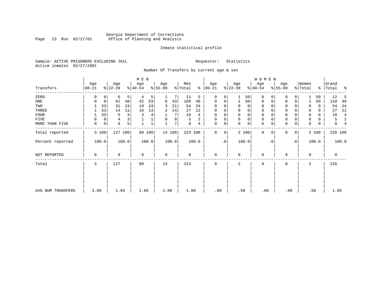## Georgia Department of Corrections Page 23 Run 02/27/01 Office of Planning and Analysis

## Inmate statistical profile

Sample: ACTIVE PRISONERS EXCLUDING JAIL **Requestor:** Statistics Active inmates 02/27/2001

Number Of Transfers by current age & sex

| Transfers         | Age<br>$00 - 21$ | Age<br>$ 22-39 $ |                | M E N<br>Age<br>$ 40-54 $ |        | Age<br>$ 55-99 $ |       | Men<br>% Total |       | Age<br>$8   00 - 21$ |    | Age<br>$ 22-39 $ |             | W O M E N<br>Age<br>$ 40-54 $ |           | Age<br>$8 55-99$ |                 | Women<br>% Total |       | Grand<br>%   Total | ႜ     |
|-------------------|------------------|------------------|----------------|---------------------------|--------|------------------|-------|----------------|-------|----------------------|----|------------------|-------------|-------------------------------|-----------|------------------|-----------------|------------------|-------|--------------------|-------|
|                   |                  |                  |                |                           |        |                  |       |                |       |                      |    |                  |             |                               |           |                  |                 |                  |       |                    |       |
| ZERO              | $\Omega$         | $\circ$<br>6     | 5 <sup>1</sup> | 4                         | 5      |                  | 7     | 11             | 5     | 0                    | 0  |                  | 50          | 0                             | 0         | 0                | 0               |                  | 50    | 12                 | -5    |
| ONE               | 0                | 0<br>61          | 48             | 42                        | 53     | 6                | 43    | 109            | 49    | 0                    | 0  |                  | 50          | 0                             | 0         | $\mathbf 0$      | 0               |                  | 50    | 110                | 49    |
| TWO               |                  | 33<br>31         | 24             | 19                        | 24     | 3                | 21    | 54             | 24    | 0                    |    | $\Omega$         | 0           | 0                             |           | 0                |                 | $\Omega$         | 0     | 54                 | 24    |
| THREE             |                  | 33<br>14         | 11             | 10                        | 13     | 2                | 14    | 27             | 12    | 0                    | 0  | 0                | 0           | 0                             |           | $\mathbf 0$      |                 | 0                | 0     | 27                 | 12    |
| <b>FOUR</b>       |                  | 33<br>5          | 4              | 3                         | 4      |                  | 7     | 10             | 4     | 0                    |    | 0                | 0           | 0                             |           | $\Omega$         |                 | $\mathbf 0$      | 0     | 10                 | 4     |
| FIVE              | 0                | 4<br>0           |                |                           |        | $\Omega$         | 0     | 5              | 2     | 0                    | 0  | $\mathbf 0$      | $\mathbf 0$ | 0                             |           | $\mathbf 0$      |                 | 0                | 0     | 5                  | 2     |
| MORE THAN FIVE    | 0                | 6<br>0           | 5              |                           |        |                  | 7     | 8              | 4     | $\mathbf 0$          | 0  | $\Omega$         | $\mathsf 0$ | $\mathbf 0$                   | 0         | $\mathbf 0$      | 0               | 0                | 0     | 8                  |       |
| Total reported    | 3 100            |                  | 127 100        |                           | 80 100 | 14 100           |       | 224 100        |       | $\mathbf{0}$         | 0  |                  | 2 100       | $\Omega$                      | $\Omega$  | 0                | $\overline{0}$  |                  | 2 100 | 226 100            |       |
| Percent reported  | 100.0            |                  | 100.0          |                           | 100.0  |                  | 100.0 |                | 100.0 |                      | .0 |                  | 100.0       |                               | $\cdot$ 0 |                  | .0 <sup>1</sup> |                  | 100.0 |                    | 100.0 |
| NOT REPORTED      | $\Omega$         | $\Omega$         |                | $\mathbf 0$               |        | $\mathbf 0$      |       | $\mathbf 0$    |       | $\mathbf{0}$         |    | $\Omega$         |             | 0                             |           | $\Omega$         |                 | $\mathbf 0$      |       | $\mathbf 0$        |       |
| Total             | 3                | 127              |                | 80                        |        | 14               |       | 224            |       | 0                    |    | 2                |             | 0                             |           | $\mathbf 0$      |                 | 2                |       | 226                |       |
|                   |                  |                  |                |                           |        |                  |       |                |       |                      |    |                  |             |                               |           |                  |                 |                  |       |                    |       |
| AVG NUM TRANSFERS | 3.00             | 1.94             |                | 1.66                      |        | 2.00             |       | 1.86           |       | .00                  |    | .50              |             | .00                           |           | .00              |                 |                  | .50   | 1.85               |       |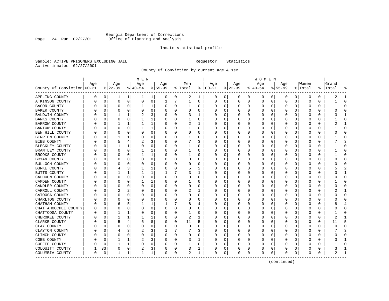## Georgia Department of Corrections Page 24 Run 02/27/01 Office of Planning and Analysis

## Inmate statistical profile

Sample: ACTIVE PRISONERS EXCLUDING JAIL **Requestor:** Statistics Active inmates 02/27/2001

County Of Conviction by current age & sex

|                            |          |             |           |              | M E N        |              |           |          |              |   |               |          |              |          | W O M E N |              |           |              |              |   |       |              |
|----------------------------|----------|-------------|-----------|--------------|--------------|--------------|-----------|----------|--------------|---|---------------|----------|--------------|----------|-----------|--------------|-----------|--------------|--------------|---|-------|--------------|
|                            | Age      |             | Age       |              | Age          |              | Age       |          | Men          |   | Age           |          | Age          |          | Age       |              | Age       |              | Women        |   | Grand |              |
| County Of Conviction 00-21 |          |             | $ 22-39 $ |              | $ 40-54$     |              | $8 55-99$ |          | % Total      |   | $8   00 - 21$ |          | $ 22-39 $    |          | $ 40-54$  |              | $8 55-99$ |              | % Total      | ိ | Total |              |
| APPLING COUNTY             | 0        | 0           | 1         | 1            | 1            | 1            | 0         | 0        | 2            | 1 | 0             | 0        | 0            | 0        | 0         | 0            | 0         | 0            | 0            | 0 | 2     | -1           |
| ATKINSON COUNTY            | N        | 0           | 0         | 0            | $\circ$      | 0            | 1         | 7        | $\mathbf{1}$ | 0 | 0             | 0        | 0            | 0        | 0         | 0            | 0         | 0            | 0            | 0 |       | $\Omega$     |
| <b>BACON COUNTY</b>        |          | 0           | 0         | 0            | 1            | $\mathbf{1}$ | O         | 0        | 1            | 0 | O             | 0        | 0            | 0        | 0         | $\Omega$     | $\Omega$  | 0            | 0            | 0 |       | $\Omega$     |
| BAKER COUNTY               |          | 0           | 0         | $\Omega$     | 0            | 0            | O         | 0        | 0            | 0 | C             | $\Omega$ | O            | $\Omega$ | 0         | $\Omega$     | $\Omega$  | 0            | 0            | 0 |       | $\Omega$     |
| BALDWIN COUNTY             |          | $\Omega$    | 1         | $\mathbf{1}$ |              | 3            |           | $\Omega$ | 3            | 1 |               | O        | O            | O        | O         | <sup>0</sup> | ∩         | U            | O            | U |       | -1           |
| BANKS COUNTY               |          | 0           | 0         | $\Omega$     |              | 1            | O         | 0        | 1            | 0 | O             | $\Omega$ | <sup>0</sup> | 0        | 0         | $\Omega$     | $\Omega$  | 0            | <sup>0</sup> | 0 |       | $\Omega$     |
| <b>BARROW COUNTY</b>       |          | 0           | 1         | 1            | 1            | 1            | O         | 0        | 2            | 1 | O             | 0        | 0            | 0        | 0         | 0            | $\Omega$  | 0            | 0            | 0 | 2     | -1           |
| BARTOW COUNTY              |          | 0           | 0         | $\Omega$     |              | 1            |           | 0        |              | 0 | 0             | 0        | 0            | 0        | 0         | 0            | 0         | 0            | 0            | 0 |       | $\bigcap$    |
| BEN HILL COUNTY            |          | 0           | 0         | 0            | 0            | 0            | U         | 0        | 0            | U | $\Omega$      | 0        | 0            | 0        | 0         | $\Omega$     | $\Omega$  | 0            | 0            | 0 |       | $\Omega$     |
| BERRIEN COUNTY             |          | 0           |           | 1            | 0            | 0            | O         | 0        |              | 0 | O             | 0        | 0            | $\Omega$ | 0         | 0            | $\Omega$  | $\Omega$     | 0            | 0 |       | $\mathbf 0$  |
| BIBB COUNTY                |          | 0           | 5         | 4            | 2            | 3            |           | $\Omega$ |              | 3 |               | 0        | 0            | 0        | 0         | $\Omega$     | $\Omega$  | O            | 0            | 0 |       |              |
| BLECKLEY COUNTY            |          | 0           | 1         | 1            | $\Omega$     | 0            | O         | $\Omega$ | 1            | U | C             | $\Omega$ | <sup>0</sup> | 0        | O         | $\Omega$     | O         | <sup>0</sup> | <sup>0</sup> | U |       | $\Omega$     |
| BRANTLEY COUNTY            |          | 0           | 0         | $\Omega$     | 1            | 1            |           | 0        | 1            | 0 | 0             | $\Omega$ | O            | $\Omega$ | Ω         | $\Omega$     | O         | 0            | 0            | 0 |       | $\cap$       |
| BROOKS COUNTY              |          | 0           | 0         | O            | 1            | 1            |           | 0        | 1            | 0 | O             | 0        | 0            | 0        |           | 0            | $\Omega$  | 0            | 0            | 0 |       | $\bigcap$    |
| BRYAN COUNTY               |          | $\mathbf 0$ | 0         | 0            | $\Omega$     | 0            | O         | 0        | 0            | 0 | O             | 0        | 0            | $\Omega$ | 0         | 0            | $\Omega$  | 0            | 0            | 0 | U     | $\mathbf 0$  |
| BULLOCH COUNTY             |          | 0           | O         | O            | 0            | 0            | O         | 0        | 0            | 0 | O             | $\Omega$ | 0            | 0        | 0         | $\Omega$     | O         | 0            | 0            | 0 |       | $\Omega$     |
| BURKE COUNTY               |          | 0           |           |              |              | 1            | O         | 0        | 5            | 2 | 0             | 0        | 0            | 0        | 0         | 0            | O         | 0            | 0            | 0 |       |              |
| BUTTS COUNTY               |          | 0           |           | 1            |              | 1            |           | 7        | 3            | 1 | O             | $\Omega$ | <sup>0</sup> | 0        | 0         | $\Omega$     | $\Omega$  | 0            | 0            | 0 |       | -1           |
| CALHOUN COUNTY             |          | 0           | 0         | $\Omega$     | 0            | 0            | O         | 0        | 0            | 0 | O             | $\Omega$ | 0            | $\Omega$ | 0         | $\Omega$     | $\Omega$  | $\Omega$     | 0            | 0 |       | $\Omega$     |
| CAMDEN COUNTY              |          | $\mathbf 0$ | 0         | 0            |              | 1            |           | 0        |              | 0 |               | $\Omega$ | 0            | $\Omega$ | 0         | $\Omega$     | $\Omega$  | 0            | 0            | 0 |       | $\Omega$     |
| CANDLER COUNTY             |          | 0           | O         | O            | n            | 0            |           | 0        | 0            | U | C             | 0        | O            | 0        | Ω         | $\Omega$     | $\Omega$  | 0            | <sup>0</sup> | 0 | Λ     | $\Omega$     |
| CARROLL COUNTY             |          | 0           | 2         | 2            | 0            | 0            | n         | 0        | 2            | 1 | $\Omega$      | 0        | 0            | 0        | 0         | $\Omega$     | $\Omega$  | 0            | 0            | 0 |       | -1           |
| CATOOSA COUNTY             |          | 0           | $\Omega$  | 0            | 0            | 0            | O         | $\Omega$ | 0            | 0 | O             | 0        | 0            | 0        | 0         | 0            | $\Omega$  | 0            | 0            | 0 |       | $\Omega$     |
| CHARLTON COUNTY            |          | 0           | 0         | O            | 0            | 0            | 0         | $\Omega$ | 0            | 0 | O             | $\Omega$ | 0            | 0        | 0         | $\Omega$     | $\Omega$  | 0            | 0            | 0 |       | $\cap$       |
| CHATHAM COUNTY             |          | 0           | 6         | 5            |              | 1            |           | 7        | 8            | 4 | 0             | $\Omega$ | O            | 0        | Ω         | $\Omega$     | O         | <sup>0</sup> | 0            | 0 | 8     | 4            |
| CHATTAHOOCHEE COUNTY       |          | 0           | 0         | 0            | 0            | 0            | O         | 0        | 0            | 0 | O             | 0        | C            | 0        | C         | 0            | 0         | 0            | 0            | 0 |       | $\Omega$     |
| CHATTOOGA COUNTY           |          | $\mathbf 0$ | 1         | 1            | 0            | $\Omega$     | O         | 0        | 1            | 0 | $\Omega$      | 0        | 0            | $\Omega$ | 0         | 0            | $\Omega$  | 0            | 0            | 0 |       | $\bigcap$    |
| CHEROKEE COUNTY            |          | 0           | 1         | 1            |              | 1            | O         | 0        | 2            | 1 | C             | $\Omega$ | O            | 0        | 0         | $\Omega$     | $\Omega$  | 0            | 0            | 0 | 2     | -1           |
| CLARKE COUNTY              |          | 0           | 5         | 4            | 6            | 8            | O         | 0        | 11           | 5 | 0             | 0        | 0            | 0        | 0         | 0            | $\Omega$  | 0            | 0            | 0 | 11    | 5            |
| CLAY COUNTY                |          | $\Omega$    | O         | O            | 0            | 0            | O         | $\Omega$ | 0            | U | O             | O        | <sup>0</sup> | 0        | O         | $\Omega$     | $\Omega$  | 0            | 0            | 0 | Λ     | $\cap$       |
| CLAYTON COUNTY             |          | 0           | 4         | 3            |              | 3            |           | 7        | 7            | 3 | $\Omega$      | $\Omega$ | 0            | $\Omega$ | 0         | $\Omega$     | $\Omega$  | $\Omega$     | 0            | 0 |       | Р            |
| CLINCH COUNTY              |          | $\mathbf 0$ | $\Omega$  | $\Omega$     | $\Omega$     | 0            | 0         | 0        | 0            | 0 | 0             | 0        | 0            | $\Omega$ | 0         | $\Omega$     | $\Omega$  | $\Omega$     | 0            | 0 |       | $\Omega$     |
| COBB COUNTY                |          | 0           | 1         | 1            | 2            | 3            |           | 0        | 3            | 1 |               | 0        | 0            | 0        | 0         | $\Omega$     | $\Omega$  | 0            | 0            | 0 |       | $\mathbf{1}$ |
| COFFEE COUNTY              |          | 0           | 1         | 1            | 0            | 0            | U         | 0        | 1            | 0 | O             | 0        | 0            | 0        | 0         | 0            | $\Omega$  | 0            | Ω            | 0 |       | $\Omega$     |
| COLQUITT COUNTY            |          | 33          | 0         | 0            | 2            | 3            | 0         | 0        | 3            | 1 | 0             | 0        | 0            | 0        | 0         | 0            | $\Omega$  | 0            | 0            | 0 |       | -1           |
| COLUMBIA COUNTY            | $\Omega$ | $\mathbf 0$ | 1         | 1            | $\mathbf{1}$ | 1            | 0         | 0        | 2            | 1 | 0             | 0        | 0            | 0        | $\Omega$  | $\mathbf 0$  | $\Omega$  | 0            | 0            | 0 |       | $\mathbf{1}$ |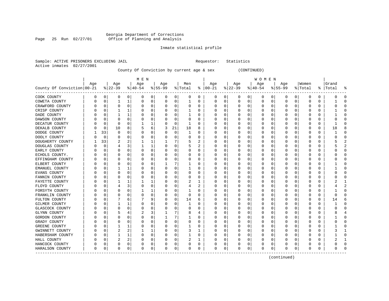## Georgia Department of Corrections Page 25 Run 02/27/01 Office of Planning and Analysis

## Inmate statistical profile

Sample: ACTIVE PRISONERS EXCLUDING JAIL **Requestor:** Statistics Active inmates 02/27/2001

County Of Conviction by current age & sex (CONTINUED)

|                            |     |          |          |          | M E N     |   |           |             |         |              |          |          |              |          | W O M E N        |   |           |              |         |          |           |              |
|----------------------------|-----|----------|----------|----------|-----------|---|-----------|-------------|---------|--------------|----------|----------|--------------|----------|------------------|---|-----------|--------------|---------|----------|-----------|--------------|
|                            | Age |          | Age      |          | Age       |   | Age       |             | Men     |              | Age      |          | Age          |          | Age              |   | Age       |              | Women   |          | Grand     |              |
| County Of Conviction 00-21 |     |          | $ 22-39$ |          | $8 40-54$ |   | $8 55-99$ |             | % Total | ႜ            | $ 00-21$ |          | $8$   22-39  |          | $ 40-54$         |   | $8 55-99$ |              | % Total |          | %   Total | 우            |
| COOK COUNTY                | 0   | 0        | 0        | 0        | 0         | 0 | 0         | 0           | 0       | 0            | 0        | 0        | 0            | 0        | 0                | 0 | 0         | 0            | 0       | 0        | Ω         | C            |
| COWETA COUNTY              |     | 0        | 1        | 1        | 0         | 0 | 0         | 0           | 1       | 0            | C        | 0        | <sup>0</sup> | 0        | 0                | 0 | $\Omega$  | 0            | 0       | 0        |           | C            |
| CRAWFORD COUNTY            |     | 0        | O        | 0        | 0         | 0 |           | 0           | 0       | 0            | C        | 0        |              | $\Omega$ | 0                | 0 | n         | 0            | 0       | 0        |           | ſ            |
| CRISP COUNTY               |     | O        |          |          | 0         | 0 |           | $\Omega$    | 1       | U            | O        | 0        |              | $\Omega$ | 0                | O |           | <sup>0</sup> | 0       | 0        |           | O            |
| DADE COUNTY                |     | O        |          |          |           | 0 |           | 0           | 1       | U            | $\Box$   | 0        |              | $\Omega$ |                  | O |           | O            | Ω       | 0        |           | ſ            |
| DAWSON COUNTY              |     | O        |          | $\Omega$ | U         | 0 |           | $\mathbf 0$ | O       | O            |          | 0        |              | $\Omega$ |                  | O |           | U            | Ω       | $\Omega$ |           | $\sqrt{ }$   |
| DECATUR COUNTY             |     | O        | $\Omega$ | O        |           | 1 |           | 0           | -1      | U            | C        | 0        |              | $\Omega$ | Ω                | O | O         | O            | O       | 0        |           | $\Omega$     |
| DEKALB COUNTY              |     | 0        | 10       | 8        |           | 6 | 3         | 21          | 18      | 8            | C        | 0        |              | O        | 0                | O | O         | 0            | 0       | 0        | 18        | ε            |
| DODGE COUNTY               |     | 33       | $\Omega$ | O        | 0         | 0 |           | 0           | 1       | U            | O        | 0        |              | O        | Ω                | C |           | O            | Ω       | 0        |           | $\Omega$     |
| DOOLY COUNTY               |     | $\Omega$ |          | O        |           | 0 |           | 0           | 0       | 0            | $\Box$   | 0        |              |          | 0                |   |           |              | C       | 0        |           | ſ            |
| DOUGHERTY COUNTY           |     | 33       |          | 2        |           | 1 |           | 7           | 5       |              |          | O        |              | n        | Ω                |   |           | U            |         | O        |           |              |
| DOUGLAS COUNTY             |     | n        |          | 3        |           | 1 |           | 0           | 5       | 2            | $\Box$   | 0        |              | ∩        | $\left( \right)$ | U |           | U            | U       | 0        |           |              |
| EARLY COUNTY               |     | O        |          | U        | O         | 0 |           | 0           | U       | U            | O        | 0        |              | $\Omega$ | Ω                | O |           | <sup>0</sup> | Ω       | 0        |           | ∩            |
| ECHOLS COUNTY.             |     | 0        |          | O        |           | 0 |           | $\mathbf 0$ | 0       | 0            | $\Box$   | 0        |              | $\Omega$ | 0                | 0 |           | O            | C       | 0        |           | ſ            |
| EFFINGHAM COUNTY           |     | C        |          | O        | 0         | 0 |           | $\mathbf 0$ | 0       | U            |          | 0        |              | O        | Ω                | O |           | 0            | 0       | 0        |           | ∩            |
| ELBERT COUNTY              |     | C        |          | O        |           | 0 |           | 7           |         | 0            |          | 0        |              |          | Ω                | U |           | O            | 0       | 0        |           | <sup>0</sup> |
| EMANUEL COUNTY             |     | C        |          |          | 0         | 0 |           | 0           | 1       | 0            | C        | 0        |              | O        | 0                | O | n         | 0            | 0       | 0        |           | <sup>0</sup> |
| EVANS COUNTY               |     | C        |          | O        | 0         | 0 |           | 0           | 0       | 0            | O        | 0        |              |          | 0                | 0 |           | U            | 0       | 0        |           | <sup>0</sup> |
| FANNIN COUNTY              |     | C        |          | O        | 0         | 0 |           | 0           | 0       | 0            | O        | 0        |              |          | 0                |   |           |              | C       | 0        |           | ſ            |
| FAYETTE COUNTY             |     | C        |          | 1        |           | 1 |           | $\Omega$    | 2       | 1            | C        | 0        |              | O        | 0                | C |           | O            |         | 0        |           |              |
| FLOYD COUNTY               |     | C        |          | ς        | O         | 0 |           | $\Omega$    | 4       | 2            | $\Box$   | $\Omega$ |              | $\Omega$ | $\left( \right)$ | O |           | O            | Ω       | 0        |           |              |
| FORSYTH COUNTY             |     | U        |          | U        |           | 1 |           | 0           |         | U            | O        | 0        |              | $\Omega$ | 0                | O |           | U            | Ω       | 0        |           | ∩            |
| FRANKLIN COUNTY            |     | N        | 0        | O        | 0         | 0 |           | 0           | 0       | U            | O        | 0        |              | $\Omega$ | $\left( \right)$ | O |           | O            | 0       | 0        | U         | ſ            |
| FULTON COUNTY              |     | C        |          | 6        |           | 9 |           | 0           | 14      | 6            |          | 0        |              | $\Omega$ | 0                | 0 |           | U            | 0       | 0        | 14        | б            |
| GILMER COUNTY              |     | C        |          |          | U         | 0 |           | 0           | 1       | U            | C        | 0        |              | O        | Ω                | O |           | O            | Ω       | 0        |           | ∩            |
| GLASCOCK COUNTY            |     | C        | O        | O        | 0         | 0 | O         | 0           | 0       | U            | C        | 0        |              | 0        | 0                | 0 | n         | O            | 0       | 0        | C         | ∩            |
| GLYNN COUNTY               |     | C        |          | 4        | 2         | 3 |           | 7           | 8       | 4            | O        | 0        |              |          | 0                | C |           | O            | 0       | 0        |           |              |
| GORDON COUNTY              |     | C        |          | 0        |           | 0 |           | 7           |         | 0            | C        | 0        |              |          | 0                |   |           | O            |         | 0        |           | C            |
| GRADY COUNTY               |     | C        |          | O        | U         | 0 | U         | 0           | 0       | U            | C        | O        |              | O        | 0                | C |           | U            |         | 0        |           | ſ            |
| <b>GREENE COUNTY</b>       |     | U        |          |          | O         | 0 |           | $\Omega$    | 1       | U            | C        | O        |              | $\Omega$ | 0                | U |           | U            | Ω       | 0        |           |              |
| GWINNETT COUNTY            |     | O        | 2        | 2        |           | 1 |           | $\Omega$    | 3       | 1            | O        | 0        |              | $\Omega$ | 0                | O |           | <sup>0</sup> | Ω       | 0        |           |              |
| HABERSHAM COUNTY           |     | 0        |          | 1        | 0         | 0 |           | 0           | 1       | 0            | O        | 0        |              | $\Omega$ | 0                | 0 |           | 0            | C       | 0        |           | Ω            |
| HALL COUNTY                |     | C        | 2        | 2        |           | 0 |           | 0           | 2       | $\mathbf{1}$ |          | 0        |              | O        | Ω                |   |           | O            |         | 0        |           |              |
| HANCOCK COUNTY             |     | C        | O        | 0        |           | 0 |           | 0           | 0       | 0            |          | 0        |              | $\Omega$ | 0                | 0 |           | 0            |         | 0        |           | $\sqrt{ }$   |
| HARALSON COUNTY            | 0   | 0        | $\Omega$ | 0        | O         | 0 | O         | 0           | 0       | 0            | $\Omega$ | 0        | O            | 0        | $\Omega$         | 0 | $\Omega$  | 0            | U       | 0        | ი         | ſ            |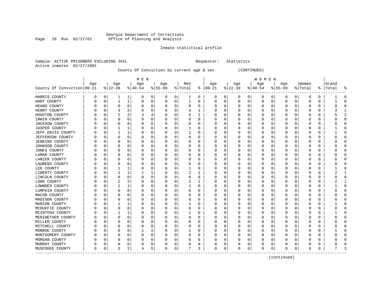## Georgia Department of Corrections Page 26 Run 02/27/01 Office of Planning and Analysis

## Inmate statistical profile

Sample: ACTIVE PRISONERS EXCLUDING JAIL **Requestor:** Statistics Active inmates 02/27/2001

County Of Conviction by current age & sex (CONTINUED)

|                            |          |   |              |              | M E N        |   |          |             |          |   |               |             |          |             | W O M E N   |   |           |   |              |          |       |              |
|----------------------------|----------|---|--------------|--------------|--------------|---|----------|-------------|----------|---|---------------|-------------|----------|-------------|-------------|---|-----------|---|--------------|----------|-------|--------------|
|                            | Age      |   | Age          |              | Age          |   | Age      |             | Men      |   | Age           |             | Age      |             | Age         |   | Age       |   | Women        |          | Grand |              |
| County Of Conviction 00-21 |          |   | $ 22-39$     |              | $8 40-54$    |   | $ 55-99$ |             | % Total  |   | $8   00 - 21$ |             | $ 22-39$ |             | $ 40-54$    |   | $ 55-99 $ |   | % Total      | ႜ        | Total |              |
| HARRIS COUNTY              | 0        | 0 | 1            | 1            | 0            | 0 | 0        | 0           | 1        | 0 | 0             | 0           | 0        | 0           | 0           | 0 | 0         | 0 | $\Omega$     | 0        |       | $\Omega$     |
| HART COUNTY                | U        | 0 | 1            | 1            | 0            | 0 | 0        | 0           | 1        | 0 | $\Omega$      | 0           | 0        | $\mathbf 0$ | $\mathbf 0$ | 0 | $\Omega$  | 0 | O            | $\Omega$ | 1     | $\Omega$     |
| HEARD COUNTY               |          | O | 0            | $\mathbf 0$  | O            | 0 | O        | $\mathbf 0$ | O        | 0 | U             | 0           | 0        | $\mathbf 0$ | 0           | 0 | $\Omega$  | 0 | $\left($     | 0        | U     | $\cap$       |
| HENRY COUNTY               |          | U | 3            | 2            |              | 0 | Ω        | 0           | 3        | 1 | U             | 0           |          | 0           | O           | 0 | O         | 0 | O            | $\Omega$ |       |              |
| HOUSTON COUNTY             |          | U |              | 2            |              | 4 | O        | $\Omega$    | 5        | 2 | U             | $\Omega$    | O        | 0           | O           | O | C         | O | O            | $\Omega$ |       |              |
| IRWIN COUNTY               |          | O | $\Omega$     | $\Omega$     | 0            | 0 | 0        | $\Omega$    | 0        | 0 | 0             | $\Omega$    | $\Omega$ | $\Omega$    | 0           | 0 | 0         | 0 | O            | $\Omega$ |       | U            |
| <b>JACKSON COUNTY</b>      |          | U | $\Omega$     | $\Omega$     | 0            | 0 | 0        | 0           | 0        | 0 | 0             | 0           | 0        | $\Omega$    | 0           | 0 | 0         | 0 | $\left($     | $\Omega$ |       | C            |
| <b>JASPER COUNTY</b>       |          | 0 | 1            | 1            | 0            | 0 | 0        | $\mathbf 0$ |          | 0 | 0             | 0           | 0        | $\mathbf 0$ | 0           | 0 | $\Omega$  | 0 | $\Omega$     | $\Omega$ |       | C            |
| JEFF DAVIS COUNTY          |          | 0 | 1            | $\mathbf{1}$ | 0            | 0 | 0        | $\mathbf 0$ | 1        | 0 | 0             | 0           |          | 0           | 0           | 0 | C         | 0 | 0            | $\Omega$ |       | C            |
| <b>JEFFERSON COUNTY</b>    |          | 0 | 0            | 0            | 0            | 0 | U        | 0           | 0        | 0 | U             | 0           | $\Omega$ | 0           | 0           | 0 | $\Omega$  | 0 | <sup>0</sup> | $\Omega$ | U     | ∩            |
| <b>JENKINS COUNTY</b>      |          | O | 0            | 0            | 0            | 0 | 0        | 0           | O        | 0 | U             | 0           | 0        | 0           | 0           | O | 0         | 0 | O            | 0        | U     | <sup>0</sup> |
| JOHNSON COUNTY             |          | O | 0            | 0            | C            | 0 | Ω        | 0           | 0        | O | U             | 0           | 0        | 0           | 0           | 0 | 0         | 0 | O            | O        |       |              |
| JONES COUNTY               |          | U |              | $\Omega$     | O            | 0 | Ω        | 0           | O        | 0 | U             | 0           | 0        | 0           | $\Omega$    | O | 0         | U | O            | $\Omega$ |       |              |
| LAMAR COUNTY               |          | U | n            | $\Omega$     | O            | 0 | O        | 0           | O        | 0 | U             | 0           | $\Omega$ | $\Omega$    | O           | O | O         | U | O            | $\Omega$ |       |              |
| LANIER COUNTY              |          | O | <sup>0</sup> | $\Omega$     | O            | 0 | Ω        | $\mathbf 0$ | O        | 0 | U             | 0           | O        | $\Omega$    | O           | O | O         | 0 | $\left($     | $\Omega$ |       | C            |
| LAURENS COUNTY             |          | O | 0            | $\Omega$     | O            | 0 | 0        | $\mathbf 0$ | 0        | 0 | U             | $\mathbf 0$ | 0        | 0           | 0           | O | $\Omega$  | 0 | $\left($     | $\Omega$ |       | C            |
| LEE COUNTY                 |          | 0 |              | 1            | 0            | 0 |          | 0           |          | 0 | U             | 0           |          | $\mathbf 0$ | 0           | 0 | 0         | 0 | $\left($     | $\Omega$ |       | C            |
| LIBERTY COUNTY             |          | 0 | 1            | 1            | $\mathbf{1}$ | 1 | U        | $\mathbf 0$ | 2        | 1 | U             | 0           | 0        | $\Omega$    | $\Omega$    | 0 | $\Omega$  | 0 | O            | $\Omega$ | 2     | $\mathbf{1}$ |
| LINCOLN COUNTY             |          | 0 | $\Omega$     | 0            | $\Omega$     | 0 | 0        | 0           | O        | 0 | U             | 0           | 0        | $\Omega$    | 0           | 0 | $\Omega$  | 0 | O            | $\Omega$ | U     | <sup>0</sup> |
| LONG COUNTY                |          | 0 | 2            | 2            | 0            | 0 | 0        | 0           | 2        | 1 | 0             | 0           | 0        | 0           | 0           | 0 | 0         | 0 | 0            | $\Omega$ |       |              |
| LOWNDES COUNTY             |          | 0 |              | 1            | O            | 0 | 0        | 0           |          | 0 | 0             | 0           | 0        | 0           | 0           | 0 | C         | 0 | O            | $\Omega$ |       | U            |
| LUMPKIN COUNTY             |          | U | $\Omega$     | 0            | O            | 0 | O        | 0           | 0        | 0 | 0             | 0           | $\Omega$ | 0           | 0           | O | 0         | 0 | $\Omega$     | $\Omega$ | U     |              |
| MACON COUNTY               |          | O | 0            | $\Omega$     | 0            | 0 | 0        | 0           | O        | 0 | 0             | 0           | 0        | 0           | 0           | 0 | 0         | 0 | O            | 0        |       | n            |
| MADISON COUNTY             |          | O | 0            | $\Omega$     | O            | 0 | 0        | $\mathbf 0$ | 0        | 0 | U             | $\mathbf 0$ | 0        | 0           | 0           | 0 | 0         | 0 | O            | $\Omega$ |       | C            |
| MARION COUNTY              |          | 0 |              | $\mathbf{1}$ | C            | 0 | 0        | 0           |          | 0 | 0             | 0           |          | 0           | 0           | 0 | 0         | 0 | 0            | $\Omega$ |       | C            |
| MCDUFFIE COUNTY            |          | 0 | $\Omega$     | $\Omega$     | O            | 0 | O        | $\mathbf 0$ | $\Omega$ | 0 | U             | 0           | $\Omega$ | 0           | 0           | O | 0         | 0 | O            | $\Omega$ |       | $\Omega$     |
| MCINTOSH COUNTY            |          | O | -1           | 1            | O            | 0 | 0        | 0           | 1        | 0 | U             | 0           | 0        | 0           | 0           | O | $\Omega$  | 0 | $\left($     | $\Omega$ |       | <sup>0</sup> |
| MERIWETHER COUNTY          |          | O | 0            | $\Omega$     | O            | 0 | O        | 0           | O        | 0 | U             | 0           | 0        | $\Omega$    | 0           | O | 0         | 0 | $\left($     | 0        | O     | <sup>0</sup> |
| MILLER COUNTY              |          | U | n            | 0            | C            | 0 | U        | 0           | O        | O | U             | 0           | 0        | 0           | 0           | 0 | 0         | 0 | $\left($     | $\Omega$ |       |              |
| MITCHELL COUNTY            |          | U |              | $\Omega$     | O            | 0 | 0        | $\Omega$    | 0        | 0 | 0             | $\Omega$    | $\Omega$ | $\Omega$    | $\Omega$    | O | $\Omega$  | 0 | O            | $\Omega$ |       |              |
| MONROE COUNTY              |          | U | 0            | $\Omega$     |              | 1 | 0        | $\Omega$    |          | 0 | 0             | $\Omega$    | $\Omega$ | $\Omega$    | 0           | 0 | 0         | 0 | O            | $\Omega$ |       | U            |
| MONTGOMERY COUNTY          |          | U | 0            | $\Omega$     | O            | 0 | 0        | 0           | O        | 0 | 0             | 0           | $\Omega$ | 0           | 0           | 0 | 0         | 0 | $\left($     | 0        |       |              |
| MORGAN COUNTY              |          | U | 0            | $\Omega$     | 0            | 0 | 0        | 0           | 0        | 0 | 0             | 0           | 0        | 0           | 0           | 0 | 0         | 0 |              | $\Omega$ |       |              |
| MURRAY COUNTY              |          | 0 | 0            | 0            | 0            | 0 | 0        | 0           | 0        | 0 | 0             | 0           |          | 0           | 0           | 0 | C         | 0 |              | $\Omega$ |       |              |
| MUSCOGEE COUNTY            | $\Omega$ | 0 | 3            | 2            | 4            | 5 | O        | 0           | 7        | 3 | $\Omega$      | 0           | 0        | $\mathbf 0$ | $\mathbf 0$ | 0 | $\Omega$  | 0 | O            | 0        | 7     |              |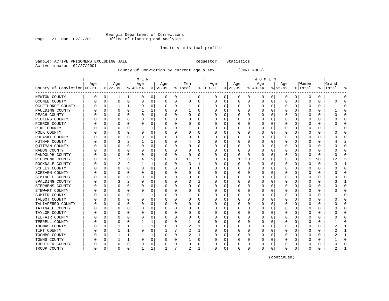## Georgia Department of Corrections Page 27 Run 02/27/01 Office of Planning and Analysis

## Inmate statistical profile

Sample: ACTIVE PRISONERS EXCLUDING JAIL **Requestor:** Statistics Active inmates 02/27/2001

County Of Conviction by current age & sex (CONTINUED)

|                            |          |   |          |              | M E N     |   |           |             |              |   |           |          |              |          | W O M E N |   |           |              |          |          |           |              |
|----------------------------|----------|---|----------|--------------|-----------|---|-----------|-------------|--------------|---|-----------|----------|--------------|----------|-----------|---|-----------|--------------|----------|----------|-----------|--------------|
|                            | Age      |   | Age      |              | Age       |   | Age       |             | Men          |   | Age       |          | Age          |          | Age       |   | Age       |              | Women    |          | Grand     |              |
| County Of Conviction 00-21 |          |   | $ 22-39$ |              | $8 40-54$ |   | $8 55-99$ |             | % Total      | ႜ | $ 00-21 $ |          | $8 22-39$    |          | $ 40-54$  |   | $8 55-99$ |              | % Total  |          | %   Total | 우            |
| NEWTON COUNTY              | 0        | 0 | 1        | 1            | 0         | 0 | 0         | 0           | 1            | 0 | 0         | 0        | 0            | 0        | 0         | 0 | 0         | 0            | 0        | 0        |           | 0            |
| OCONEE COUNTY              | N        | 0 | $\Omega$ | 0            | $\Omega$  | 0 | 0         | $\mathbf 0$ | 0            | 0 | C         | 0        | <sup>0</sup> | 0        | 0         | 0 | $\Omega$  | 0            | 0        | 0        | C         | ſ            |
| OGLETHORPE COUNTY          |          | 0 |          | 1            | 0         | 0 | U         | 0           | 1            | 0 | C         | 0        |              | $\Omega$ | 0         | O | U         | 0            | 0        | 0        |           | ſ            |
| PAULDING COUNTY            |          | O | n        | $\Omega$     |           | 1 |           | $\Omega$    | 1            | U | C         | 0        |              | $\Omega$ | 0         | O |           | <sup>0</sup> | $\Omega$ | 0        |           | ∩            |
| PEACH COUNTY               |          | N |          | O            | 0         | 0 |           | 0           | 0            | 0 | O         | 0        |              | $\Omega$ |           | 0 |           | 0            | 0        | 0        | ი         | <sup>0</sup> |
| PICKENS COUNTY             |          | C |          | O            | 0         | 0 |           | $\mathbf 0$ | 0            | 0 | C         | 0        |              | $\Omega$ |           | 0 |           | O            | 0        | 0        |           | ſ            |
| PIERCE COUNTY              |          | C | O        | O            |           | 0 |           | 0           | 0            | 0 | C         | 0        |              | O        | 0         | 0 | O         | 0            | 0        | 0        | C         | <sup>0</sup> |
| PIKE COUNTY                |          | O | O        | 0            |           | 1 |           | 0           | 1            | 0 | C         | 0        |              | $\Omega$ | 0         | U | O         | 0            | 0        | 0        |           | $\Omega$     |
| POLK COUNTY                |          | O | O        | O            | 0         | 0 |           | 0           | 0            | 0 | C         | 0        |              | $\Omega$ | 0         | O | O         | 0            | 0        | 0        | ი         | $\Omega$     |
| PULASKI COUNTY             |          | C |          | O            | C         | 0 |           | 0           | 0            | 0 | C         | 0        |              |          | 0         | C |           | U            | C        | 0        |           | 0            |
| PUTNAM COUNTY              |          |   |          | 2            |           | 1 |           | $\Omega$    | 4            |   | C         | 0        |              | $\Omega$ | 0         | U |           | U            | ſ        | 0        |           |              |
| QUITMAN COUNTY             |          | U |          | U            | O         | 0 |           | $\Omega$    | 0            | U | C         | 0        |              | $\Omega$ | 0         | U |           | <sup>0</sup> | Ω        | 0        | U         | ∩            |
| RABUN COUNTY               |          | N |          | O            | O         | 0 |           | 0           | 0            | U | O         | 0        |              | $\Omega$ | 0         | O |           | <sup>0</sup> | Ω        | 0        |           | n            |
| RANDOLPH COUNTY            |          | 0 |          | O            |           | 0 |           | $\mathbf 0$ | $\Omega$     | 0 | C         | 0        |              | $\Omega$ | 0         | 0 |           | 0            | 0        | 0        | Ω         |              |
| RICHMOND COUNTY            |          | C |          | 6            | 4         | 5 |           | 0           | 11           | 5 |           | 0        |              | 50       | 0         | 0 |           | 0            | 1        | 50       | 12        |              |
| ROCKDALE COUNTY            |          | C | 2        | 2            |           | 1 |           | 0           | 3            | 1 | C         | 0        |              | $\Omega$ | 0         | 0 |           | 0            | 0        | 0        | 3         | -1           |
| SCHLEY COUNTY              |          | N | O        | 0            | 0         | 0 | U         | 0           | 0            | 0 | C         | 0        |              | 0        | 0         | O | O         | 0            | 0        | 0        |           | $\Omega$     |
| <b>SCREVEN COUNTY</b>      |          | N |          | O            | 0         | 0 |           | 0           | 0            | 0 | C         | 0        |              |          | 0         | 0 |           | U            | 0        | 0        |           | 0            |
| SEMINOLE COUNTY            |          |   |          | U            | 0         | 0 |           | 0           | 0            | 0 | C         | 0        |              |          | 0         | C |           | U            | C        | 0        |           | ſ            |
| SPALDING COUNTY            |          | C |          | $\mathbf{2}$ | U         | 0 |           | $\Omega$    | 3            | 1 | C         | 0        |              | $\Omega$ | 0         | O |           | U            | Ω        | 0        |           |              |
| STEPHENS COUNTY            |          | C |          | U            | 0         | 0 |           | $\mathbf 0$ | 0            | 0 | C         | 0        |              | 0        | 0         | O |           | <sup>0</sup> | 0        | 0        |           | <sup>0</sup> |
| STEWART COUNTY             |          | O |          | O            | 0         | 0 |           | 0           | 0            | 0 | O         | 0        |              | $\Omega$ | 0         | U |           | 0            | 0        | 0        |           | 0            |
| SUMTER COUNTY              |          | 0 |          | 0            |           | 1 |           | 0           |              | 0 | O         | 0        |              | $\Omega$ | 0         | 0 |           | 0            | 0        | 0        |           | 0            |
| TALBOT COUNTY              |          | C |          | O            | 0         | 0 |           | $\mathbf 0$ | 0            | 0 |           | 0        |              | $\Omega$ | 0         | 0 |           | U            | 0        | 0        |           | <sup>0</sup> |
| TALIAFERRO COUNTY          |          | O | n        | O            | 0         | 0 |           | 0           | 0            | 0 | C         | 0        |              | $\Omega$ | 0         | O | O         | 0            | 0        | 0        | U         | $\Omega$     |
| TATTNALL COUNTY            |          | O | O        | O            | 0         | 0 |           | 0           | 0            | U | C         | 0        |              | 0        | 0         | O | O         | O            | 0        | 0        | 0         | $\Omega$     |
| TAYLOR COUNTY              |          | C |          | 0            | C         | 0 |           | 0           | 0            | 0 | C         | 0        |              |          | 0         | 0 |           | 0            | C        | 0        |           | <sup>0</sup> |
| TELFAIR COUNTY             |          |   |          | O            |           | 0 |           | 0           | 0            | U | C         | O        |              |          | Ω         |   |           | O            | C        | 0        |           | ſ            |
| TERRELL COUNTY             |          | C |          | O            |           | 1 |           | $\Omega$    | 1            | 0 | C         | 0        |              | $\Omega$ | 0         | U |           | O            | 0        | 0        |           | ſ            |
| THOMAS COUNTY              |          | O |          |              |           | 1 |           | $\Omega$    | 2            | 1 | C         | 0        |              | $\Omega$ | 0         | O |           | 0            | 0        | 0        |           |              |
| TIFT COUNTY                |          | 0 |          | 1            | 0         | 0 |           | 7           | 2            | 1 | O         | $\Omega$ |              | $\Omega$ | 0         | 0 |           | 0            | 0        | 0        |           |              |
| TOOMBS COUNTY              |          | 0 |          | 1            |           | 1 |           | 0           | 2            | 1 |           | 0        |              | $\Omega$ | 0         | 0 |           | 0            | 0        | 0        |           |              |
| TOWNS COUNTY               |          | O |          | 1            | $\Omega$  | 0 |           | $\mathbf 0$ | $\mathbf{1}$ | O |           | 0        |              | $\Omega$ | Ω         | U |           | $\Omega$     | Ω        | $\Omega$ |           | $\Omega$     |
| TREUTLEN COUNTY            | N        | O | O        | 0            | U         | 0 |           | 0           | 0            | 0 | C         | 0        |              | $\Omega$ | 0         | O | O         | 0            | Ω        | 0        | U         | ſ            |
| TROUP COUNTY               | $\Omega$ | 0 | $\Omega$ | 0            |           | 1 |           | 7           | 2            | 1 | $\Omega$  | 0        | O            | 0        | $\Omega$  | 0 | $\Omega$  | 0            | U        | 0        |           |              |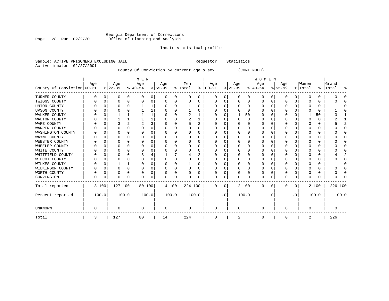#### Georgia Department of Corrections Page 28 Run 02/27/01 Office of Planning and Analysis

## Inmate statistical profile

|                           | Sample: ACTIVE PRISONERS EXCLUDING JAIL |     |  |
|---------------------------|-----------------------------------------|-----|--|
| Active inmates 02/27/2001 |                                         |     |  |
|                           |                                         | --- |  |

Requestor: Statistics

County Of Conviction by current age & sex (CONTINUED)

|                            |     |          |           |   | M E N     |   |           |          |         |       |             |           |           |          | <b>WOMEN</b> |          |          |           |              |       |           |       |
|----------------------------|-----|----------|-----------|---|-----------|---|-----------|----------|---------|-------|-------------|-----------|-----------|----------|--------------|----------|----------|-----------|--------------|-------|-----------|-------|
|                            | Age |          | Age       |   | Age       |   | Age       |          | Men     |       | Age         |           | Age       |          | Age          |          | Age      |           | Women        |       | Grand     |       |
| County Of Conviction 00-21 |     |          | $ 22-39 $ |   | $ 40-54 $ |   | $8 55-99$ |          | % Total | ⊱     | $ 00-21$    |           | $ 22-39 $ |          | $ 40-54 $    |          | $ 55-99$ |           | % Total      |       | %   Total | ႜ     |
| TURNER COUNTY              | 0   | 0        | 0         | 0 | 0         | 0 | O         | 0        | 0       | 0     | 0           | 0         | 0         | 0        | 0            | 0        | 0        | 0         | 0            | 0     |           |       |
| TWIGGS COUNTY              |     | $\Omega$ | O         | 0 | 0         | 0 | $\Omega$  | 0        | 0       | 0     | O           | 0         | 0         | 0        | 0            | 0        | 0        | 0         | 0            | 0     |           |       |
| UNION COUNTY               |     | n        | U         |   |           |   |           | O        |         | U     |             | 0         | O         | O        | 0            | O        | O        | U         |              | 0     |           |       |
| <b>UPSON COUNTY</b>        |     |          | U         |   |           |   |           | 0        |         | U     |             | U         |           | O        | $\Omega$     | C        | O        | U         |              | 0     |           |       |
| WALKER COUNTY              |     | C        |           |   |           | 1 |           | 0        | 2       |       |             | $\Omega$  | -1        | 50       | $\Omega$     | $\Omega$ | 0        | U         |              | 50    |           |       |
| WALTON COUNTY              |     | n        |           |   |           |   |           | $\Omega$ | 2       |       |             | 0         | $\Omega$  | $\Omega$ | $\Omega$     | $\Omega$ | O        | U         | <sup>0</sup> | 0     |           |       |
| WARE COUNTY                |     | C        |           |   |           | 3 |           | $\Omega$ | 5       | 2     |             | 0         | U         | O        | $\Omega$     | C        | O        | O         | C            | 0     |           |       |
| WARREN COUNTY              |     |          |           |   |           | 0 |           | 0        |         | U     |             | 0         |           | 0        | $\Omega$     | O        |          |           |              | 0     |           |       |
| WASHINGTON COUNTY          |     | C        | U         |   | n         | 0 |           | O        | U       | U     |             | U         | U         | O        | O            | O        | O        | U         | n            | 0     |           |       |
| WAYNE COUNTY               |     | C        | U         |   |           | 0 |           | $\Omega$ |         | U     |             | U         | U         | $\Omega$ |              | C        | O        | U         |              | 0     |           |       |
| WEBSTER COUNTY             |     | C        |           |   |           | 0 |           | $\Omega$ | 0       | U     |             | $\Omega$  | U         | $\Omega$ | 0            | O        |          | U         | O            | 0     |           |       |
| WHEELER COUNTY             |     | $\cap$   |           |   |           | 0 |           | $\Omega$ | 0       | U     |             | U         |           | $\Omega$ |              | $\Omega$ | U        | U         |              | 0     |           |       |
| WHITE COUNTY               |     | C        | U         |   |           | 0 |           | O        |         | U     |             | U         | ∩         | $\Omega$ | O            | C        | O        | U         |              | 0     |           |       |
| WHITFIELD COUNTY           |     | n        |           |   |           | 4 |           |          |         | 2     |             | U         |           | $\Omega$ | U            | 0        | U        | U         | O            | 0     |           |       |
| WILCOX COUNTY              |     | C        |           |   |           | 0 |           | O        | 0       | U     |             | U         |           | O        |              | O        | O        |           |              | 0     |           |       |
| WILKES COUNTY              |     | n        |           |   |           | 0 |           | O        |         | U     | O           | 0         | U         | O        | $\Omega$     | $\Omega$ | O        | O         | O            | 0     |           |       |
| WILKINSON COUNTY           |     | 0        | O         | 0 | O         | 0 | ∩         | 0        | 0       | 0     |             | $\Omega$  | $\Omega$  | $\Omega$ | $\Omega$     | $\Omega$ | O        | O         | <sup>0</sup> | 0     |           |       |
| WORTH COUNTY               |     | n        |           | U | O         | 0 |           | 0        | 0       | U     |             | 0         |           | 0        | 0            | $\Omega$ | 0        | O         | 0            | 0     |           |       |
| CONVERSION                 | U   | 0        | 0         | 0 | O         | 0 | $\Omega$  | 0        | U       | 0     | $\Omega$    | 0         | O         | 0        | $\Omega$     | 0        | O        | 0         | $\Omega$     | 0     |           |       |
| Total reported             |     | 3 100    | 127 100   |   | 80 100    |   | 14 100    |          | 224 100 |       | $\mathbf 0$ | 0         |           | 2 100    | $\mathbf{0}$ | 0        | 0        | 0         |              | 2 100 | 226 100   |       |
| Percent reported           |     | 100.0    | 100.0     |   | 100.0     |   | 100.0     |          |         | 100.0 |             | $\cdot$ 0 |           | 100.0    |              | . 0      |          | $\cdot$ 0 |              | 100.0 |           | 100.0 |
| UNKNOWN                    | U   |          | 0         |   | $\Omega$  |   | $\Omega$  |          | U       |       | $\Omega$    |           | $\Omega$  |          | $\Omega$     |          | U        |           | $\Omega$     |       |           |       |
| Total                      | 3   |          | 127       |   | 80        |   | 14        |          | 224     |       | 0           |           | 2         |          | 0            |          | 0        |           | 2            |       | 226       |       |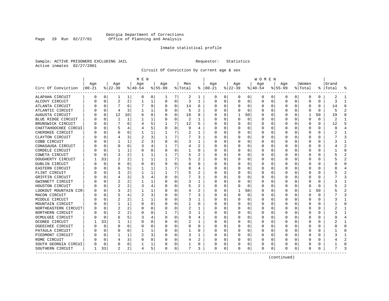## Georgia Department of Corrections Page 29 Run 02/27/01 Office of Planning and Analysis

## Inmate statistical profile

Sample: ACTIVE PRISONERS EXCLUDING JAIL **Requestor:** Statistics Active inmates 02/27/2001

Circuit Of Conviction by current age & sex

|                       |          |          |                |                | M E N     |          |           |             |         |              |               |          |           |          | W O M E N |          |           |              |              |    |           |                |
|-----------------------|----------|----------|----------------|----------------|-----------|----------|-----------|-------------|---------|--------------|---------------|----------|-----------|----------|-----------|----------|-----------|--------------|--------------|----|-----------|----------------|
|                       | Age      |          | Age            |                | Age       |          | Age       |             | Men     |              | Age           |          | Age       |          | Age       |          | Age       |              | Women        |    | Grand     |                |
| Circ Of Conviction    | $ 00-21$ |          | $ 22-39 $      |                | $ 40-54 $ |          | $8 55-99$ |             | % Total |              | $8   00 - 21$ |          | $ 22-39 $ |          | $ 40-54 $ |          | $8 55-99$ |              | % Total      |    | %   Total | 옹              |
| ALAPAHA CIRCUIT       | 0        | 0        | 1              | 1              | 0         | 0        | 1         | 7           | 2       | 1            | 0             | 0        | 0         | 0        | 0         | 0        | 0         | 0            | $\Omega$     | 0  | 2         | -1             |
| ALCOVY CIRCUIT        |          | $\Omega$ | $\overline{2}$ | 2              | 1         | 1        | $\Omega$  | $\Omega$    | 3       | 1            | <sup>0</sup>  | $\Omega$ | $\Omega$  | $\Omega$ | $\Omega$  | 0        | 0         | 0            | $\Omega$     | 0  | 3         | -1             |
| ATLANTA CIRCUIT       |          | $\Omega$ | 7              | 6              |           | 9        | O         | $\Omega$    | 14      | 6            | <sup>0</sup>  | $\Omega$ | $\Omega$  | $\Omega$ | O         | $\Omega$ | U         | <sup>0</sup> | $\Omega$     | 0  | 14        | 6              |
| ATLANTIC CIRCUIT      |          | $\Omega$ | 4              | 3              |           | 1        |           | $\Omega$    | 5       | 2            |               | $\Omega$ | O         | 0        | $\left($  | $\Omega$ | O         | $\Omega$     | O            | 0  |           |                |
| AUGUSTA CIRCUIT       |          | 0        | 12             | 10             | 6         | 8        |           | $\mathbf 0$ | 18      | 8            |               | 0        | 1         | 50       | $\Omega$  | 0        | O         | 0            |              | 50 | 19        |                |
| BLUE RIDGE CIRCUIT    |          | $\Omega$ | 1              | 1              |           | 1        |           | $\mathbf 0$ | 2       | 1            |               | $\Omega$ | 0         | 0        |           | 0        | O         | U            | 0            | 0  | 2         |                |
| BRUNSWICK CIRCUIT     |          | $\Omega$ | 7              | 6              |           | 5        |           | 7           | 12      | 5            | ∩             | 0        | U         | 0        | O         | 0        | U         | 0            | <sup>0</sup> | 0  | 12        | Б,             |
| CHATTAHOOCHEE CIRCUI  |          | $\Omega$ | 5              |                |           | 5        | O         | 0           | 9       | 4            | n             | 0        | 0         | 0        | 0         | 0        | 0         | 0            | 0            | 0  | Q         |                |
| CHEROKEE CIRCUIT      |          | $\Omega$ | U              | U              |           | 1        |           | 7           | 2       | 1            | <sup>0</sup>  | $\Omega$ | 0         | $\Omega$ | 0         | 0        | 0         | 0            | 0            | 0  |           |                |
| CLAYTON CIRCUIT       |          | O        |                |                | 2         | 3        |           | 7           |         | 3            |               | 0        |           | 0        | 0         | 0        | 0         |              | 0            | 0  |           |                |
| COBB CIRCUIT          |          | $\cap$   |                |                |           | 3        | O         | O           | 3       |              |               | U        | 0         | 0        | O         | $\Omega$ | U         | U            | $\Omega$     | 0  |           |                |
| CONASAUGA CIRCUIT     |          | $\Omega$ | U              | U              |           | 4        |           | 7           |         | 2            |               | $\Omega$ | $\Omega$  | 0        | 0         | $\Omega$ | O         | U            | <sup>0</sup> | 0  |           |                |
| CORDELE CIRCUIT       |          | $\Omega$ |                | 1              | $\Omega$  | 0        | O         | $\Omega$    |         | O            |               | $\Omega$ | $\Omega$  | $\Omega$ | O         | $\Omega$ | O         | <sup>0</sup> | O            | 0  |           | $\bigcap$      |
| COWETA CIRCUIT        |          | $\Omega$ | 3              | 2              |           | 1        |           | 7           | 5       | 2            |               | $\Omega$ | C         | $\Omega$ |           | 0        | O         | 0            | O            | U  |           |                |
| DOUGHERTY CIRCUIT     |          | 33       | 2              |                |           | 1        |           | 7           | 5       |              |               | $\Omega$ | C         | $\Omega$ | Ω         | 0        | O         | <sup>0</sup> | <sup>0</sup> | 0  |           | $\overline{2}$ |
| DUBLIN CIRCUIT        |          | $\Omega$ | U              | U              | $\Omega$  | 0        | U         | $\Omega$    | U       | O            |               | $\Omega$ | 0         | 0        | n         | 0        | U         | 0            | O            | 0  |           | $\cap$         |
| EASTERN CIRCUIT       |          | 0        | 6              |                |           | 1        |           | 7           | 8       | 4            | n             | 0        | 0         | 0        | O         | 0        | O         | 0            | O            | 0  |           |                |
| FLINT CIRCUIT         |          | 0        | 3              |                |           | 1        |           | 7           | 5       | 2            |               | $\Omega$ | 0         | 0        | O         | 0        | O         | 0            | 0            | 0  |           |                |
| GRIFFIN CIRCUIT       |          | n        |                |                |           | 4        | O         | 0           |         | 3            |               | 0        |           | 0        |           | 0        | O         |              | O            | 0  |           |                |
| GWINNETT CIRCUIT      |          | $\Omega$ |                |                |           |          |           | O           | 3       |              |               | $\Omega$ | O         | 0        |           | 0        | n         |              | O            | 0  |           |                |
| HOUSTON CIRCUIT       |          | $\Omega$ | 2              |                |           | 4        |           | O           |         | 2            |               | $\Omega$ | ∩         | $\Omega$ | O         | 0        |           | U            | <sup>0</sup> | 0  |           |                |
| LOOKOUT MOUNTAIN CIR  |          | $\Omega$ |                |                |           | 1        |           | $\Omega$    | 4       | 2            |               | $\Omega$ | -1        | 50       | O         | n        | O         | <sup>0</sup> |              | 50 |           |                |
| MACON CIRCUIT         |          | O        | 5              |                | 2         | 3        |           | $\Omega$    |         | ς            |               | $\Omega$ | $\Omega$  | 0        | O         | 0        | U         | <sup>0</sup> | <sup>0</sup> | U  |           | 3              |
| MIDDLE CIRCUIT        |          | $\Omega$ | 2              | 2              |           | 1        |           | 0           | 3       | $\mathbf{1}$ |               | 0        | C         | $\Omega$ |           | 0        | O         | O            | 0            | 0  |           |                |
| MOUNTAIN CIRCUIT      |          | $\Omega$ |                | 1              | n         | 0        |           | 0           |         | O            |               | $\Omega$ | U         | $\Omega$ | U         | 0        | U         | U            | <sup>0</sup> | 0  |           | $\cap$         |
| NORTHEASTERN CIRCUIT  |          | $\Omega$ | 2              | 2              | 0         | 0        | O         | 0           | 2       | 1            | ∩             | 0        | 0         | 0        | 0         | 0        | O         | 0            | O            | 0  |           | -1             |
| NORTHERN CIRCUIT      |          | $\Omega$ | 2              |                | 0         | $\Omega$ |           | 7           | 3       | ı            | ∩             | $\Omega$ | O         | 0        | 0         | 0        | U         | 0            | 0            | 0  |           |                |
| OCMULGEE CIRCUIT      |          | $\Omega$ | 6              | 5.             | 3         | 4        |           | $\Omega$    | 9       | 4            |               | 0        | C         | 0        | 0         | 0        | 0         | 0            | 0            | 0  |           |                |
| <b>OCONEE CIRCUIT</b> |          | 33       |                | 1              |           | $\Omega$ |           | $\Omega$    |         |              |               | U        | C         | 0        | 0         | C.       | U         |              | ſ            | 0  |           |                |
| OGEECHEE CIRCUIT      |          | $\Omega$ | U              | U              | $\Omega$  | $\Omega$ |           | O           | U       | $\Omega$     |               | $\Omega$ | U         | 0        | O         | $\Omega$ | U         | U            | <sup>0</sup> | U  |           | $\cap$         |
| PATAULA CIRCUIT       |          | $\Omega$ |                | U              |           | 1        |           | $\Omega$    |         | 0            |               | $\Omega$ | $\Omega$  | 0        | O         | $\Omega$ | n         | <sup>0</sup> | O            | 0  |           | n              |
| PIEDMONT CIRCUIT      |          | $\Omega$ |                | 1              | 2         | 3        |           | $\Omega$    | ٦       | 1            |               | $\Omega$ | U         | $\Omega$ | O         | 0        | O         | <sup>0</sup> | O            | U  |           |                |
| ROME CIRCUIT          |          | $\Omega$ |                | 3              | 0         | 0        |           | 0           |         | 2            |               | 0        |           | 0        |           | 0        |           | <sup>0</sup> | O            | 0  |           |                |
| SOUTH GEORGIA CIRCUI  |          | $\Omega$ | 0              | 0              |           | 1        |           | 0           |         | 0            |               | 0        |           | 0        | 0         | 0        | U         | 0            | ſ            | 0  |           | $\cap$         |
| SOUTHERN CIRCUIT      | 1        | 33       | $\overline{2}$ | $\overline{a}$ | 4         | 5        | $\Omega$  | 0           | 7       | 3            | $\Omega$      | 0        | 0         | 0        | $\Omega$  | 0        | U         | 0            | $\Omega$     | 0  |           | ∍              |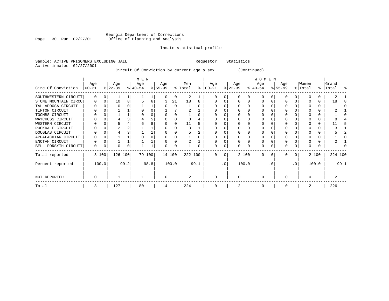## Georgia Department of Corrections Page 30 Run 02/27/01 Office of Planning and Analysis

## Inmate statistical profile

Sample: ACTIVE PRISONERS EXCLUDING JAIL **Requestor:** Statistics Active inmates 02/27/2001

## Circuit Of Conviction by current age & sex (Continued)

|                      |          |       |           |      | M E N     |      |           |       |                |      |               |          |           |       | W O M E N |           |              |                 |         |       |           |      |
|----------------------|----------|-------|-----------|------|-----------|------|-----------|-------|----------------|------|---------------|----------|-----------|-------|-----------|-----------|--------------|-----------------|---------|-------|-----------|------|
|                      | Age      |       | Age       |      | Age       |      | Age       |       | Men            |      | Age           |          | Age       |       | Age       |           | Age          |                 | Women   |       | Grand     |      |
| Circ Of Conviction   | $ 00-21$ |       | $ 22-39 $ |      | $ 40-54 $ |      | $ 55-99 $ |       | % Total        |      | $8   00 - 21$ |          | $ 22-39 $ |       | $ 40-54 $ |           | $8 55-99$    |                 | % Total |       | %   Total | ႜ    |
| SOUTHWESTERN CIRCUIT | 0        | 0     |           |      |           |      |           | 0     | 2              |      |               |          | $\Omega$  | 0     | $\Omega$  |           | O            |                 |         |       |           |      |
| STONE MOUNTAIN CIRCU | 0        |       | 10        | 8    |           | 6    |           | 21    | 18             | 8    |               |          |           |       | $\Omega$  |           |              |                 |         | 0     | 18        |      |
| TALLAPOOSA CIRCUIT   |          |       |           |      |           |      |           |       |                |      |               |          |           |       |           |           |              |                 |         |       |           |      |
| TIFTON CIRCUIT       |          |       |           |      |           |      |           |       |                |      |               |          |           |       |           |           |              |                 |         |       |           |      |
| TOOMBS CIRCUIT       |          |       |           |      |           |      |           |       |                |      |               |          |           |       |           |           |              |                 |         |       |           |      |
| WAYCROSS CIRCUIT     |          |       |           |      |           |      |           |       |                |      |               |          |           |       |           |           |              |                 |         |       |           |      |
| WESTERN CIRCUIT      |          |       |           |      |           |      |           |       | 11             |      |               |          |           |       |           |           |              |                 |         |       |           |      |
| ROCKDALE CIRCUIT     |          |       |           |      |           |      |           |       |                |      |               |          |           |       |           |           |              |                 |         |       |           |      |
| DOUGLAS CIRCUIT      |          |       |           |      |           |      |           |       |                |      |               |          |           |       |           |           |              |                 |         |       |           |      |
| APPALACHIAN CIRCUIT  |          |       |           |      |           |      |           |       |                |      |               |          |           |       |           |           |              |                 |         |       |           |      |
| ENOTAH CIRCUIT       |          |       |           |      |           |      |           |       |                |      |               |          |           |       |           |           |              |                 |         |       |           |      |
| BELL-FORSYTH CIRCUIT | 0        |       | U         | 0    |           |      | O         | 0     |                | 0    |               | 0        |           | 0     | $\Omega$  |           | <sup>0</sup> |                 |         |       |           |      |
| Total reported       |          | 3 100 | 126 100   |      | 79 100    |      | 14 100    |       | 222 100        |      | $\Omega$      | $\Omega$ |           | 2 100 | $\Omega$  | $\Omega$  | <sup>0</sup> | $\Omega$        |         | 2 100 | 224 100   |      |
| Percent reported     |          | 100.0 |           | 99.2 |           | 98.8 |           | 100.0 |                | 99.1 |               | .0'      |           | 100.0 |           | $\cdot$ 0 |              | .0 <sup>°</sup> |         | 100.0 |           | 99.1 |
| NOT REPORTED         |          |       |           |      |           |      | $\Omega$  |       | $\overline{2}$ |      | $\Omega$      |          | $\Omega$  |       | $\Omega$  |           |              |                 |         |       |           |      |
| Total                | 3        |       | 127       |      | 80        |      | 14        |       | 224            |      | 0             |          |           |       | $\Omega$  |           |              |                 | 2       |       | 226       |      |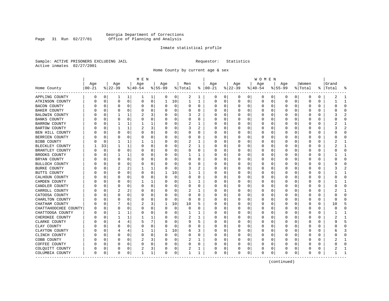## Georgia Department of Corrections Page 31 Run 02/27/01 Office of Planning and Analysis

## Inmate statistical profile

Sample: ACTIVE PRISONERS EXCLUDING JAIL **Requestor:** Statistics Active inmates 02/27/2001

Home County by current age & sex

|                      |          |              |          |              | M E N          |             |           |             |          |              |               |          |          |          | W O M E N |             |             |              |              |    |          |                |
|----------------------|----------|--------------|----------|--------------|----------------|-------------|-----------|-------------|----------|--------------|---------------|----------|----------|----------|-----------|-------------|-------------|--------------|--------------|----|----------|----------------|
|                      | Age      |              | Age      |              | Age            |             | Age       |             | Men      |              | Age           |          | Age      |          | Age       |             | Age         |              | Women        |    | Grand    |                |
| Home County          | $ 00-21$ |              | $ 22-39$ |              | $8 40-54$      |             | $8 55-99$ |             | % Total  |              | $8   00 - 21$ |          | $ 22-39$ |          | $ 40-54$  |             | $8155 - 99$ |              | % Total      | ႜၟ | Total    |                |
| APPLING COUNTY       | 0        | 0            | 1        | 1            | 1              | 1           | 0         | 0           | 2        | 1            | 0             | 0        | 0        | 0        | 0         | 0           | 0           | 0            | 0            | 0  | 2        | -1             |
| ATKINSON COUNTY      |          | 0            | 0        | 0            | 0              | 0           | 1         | 10          | 1        | $\mathbf{1}$ | 0             | 0        | 0        | 0        | 0         | 0           | $\mathbf 0$ | 0            | 0            | 0  |          | $\mathbf{1}$   |
| BACON COUNTY         |          | 0            | 0        | 0            | 0              | 0           | O         | 0           | 0        | 0            | <sup>0</sup>  | 0        | $\Omega$ | 0        | 0         | 0           | 0           | 0            | 0            | 0  | U        | $\mathbf 0$    |
| BAKER COUNTY         |          | $\Omega$     | 0        | 0            | 0              | 0           | O         | 0           | 0        | 0            |               | $\Omega$ | 0        | $\Omega$ | 0         | 0           | 0           | 0            | 0            | 0  |          | $\Omega$       |
| BALDWIN COUNTY       |          | n            |          | 1            |                | 3           |           | $\Omega$    | 3        |              |               | U        | $\Omega$ | O        | O         | 0           | U           | O            | C            | U  |          |                |
| <b>BANKS COUNTY</b>  |          | <sup>0</sup> | U        | 0            | 0              | 0           | O         | 0           | U        | 0            |               | $\Omega$ | O        | 0        | O         | 0           | O           | <sup>0</sup> | O            | U  |          | $\Omega$       |
| <b>BARROW COUNTY</b> |          | $\Omega$     | 1        | 1            | 1              | 1           | O         | $\mathbf 0$ | 2        | 1            |               | 0        | $\Omega$ | 0        | 0         | 0           | 0           | 0            | 0            | 0  |          | 1              |
| <b>BARTOW COUNTY</b> |          | $\Omega$     |          | $\mathbf{1}$ | $\overline{c}$ | 3           |           | 0           | 3        | 2            |               | 0        | C        | $\Omega$ | 0         | 0           | 0           | 0            | 0            | 0  |          | $\overline{2}$ |
| BEN HILL COUNTY      |          | $\Omega$     | U        | $\Omega$     | 0              | 0           | O         | 0           | O        | O            | <sup>0</sup>  | 0        | 0        | 0        | O         | 0           | U           | 0            | <sup>0</sup> | 0  |          | $\Omega$       |
| BERRIEN COUNTY       |          | 0            | U        | U            | 0              | 0           | O         | 0           | 0        | 0            | O             | 0        | 0        | 0        | 0         | 0           | U           | 0            | 0            | 0  |          | 0              |
| BIBB COUNTY          |          | $\Omega$     |          | 1            |                | 1           |           | 0           | 2        |              | <sup>0</sup>  | 0        | C        | 0        | 0         | 0           | U           | U            | $\Omega$     | 0  |          | -1             |
| BLECKLEY COUNTY      |          | 33           | 1        | 1            | 0              | 0           | O         | 0           | 2        | 1            | <sup>0</sup>  | 0        | $\Omega$ | 0        | 0         | 0           | O           | 0            | $\Omega$     | 0  |          | -1             |
| BRANTLEY COUNTY      |          | 0            | 0        | 0            | 0              | 0           | 0         | 0           | 0        | 0            |               | 0        | $\Omega$ | 0        | 0         | 0           | 0           | $\Omega$     | 0            | 0  |          | $\mathbf 0$    |
| BROOKS COUNTY        |          | $\Omega$     |          | 1            | 0              | 0           |           | 0           |          | 1            |               | $\Omega$ | C        | $\Omega$ | 0         | 0           | 0           | 0            | 0            | 0  |          | $\mathbf{1}$   |
| BRYAN COUNTY         |          | 0            | 0        | $\Omega$     | 0              | 0           | O         | 0           | 0        | 0            | <sup>0</sup>  | 0        | O        | 0        | O         | 0           | U           | 0            | O            | 0  |          | $\Omega$       |
| BULLOCH COUNTY       |          | $\Omega$     | 0        | U            | 0              | 0           | O         | 0           | 0        | 0            | <sup>0</sup>  | 0        | $\Omega$ | 0        | 0         | 0           | 0           | 0            | 0            | 0  |          | $\Omega$       |
| <b>BURKE COUNTY</b>  |          | $\Omega$     |          |              |                | 1           | O         | 0           | 3        | 2            | <sup>0</sup>  | 0        | C        | $\Omega$ | 0         | 0           | 0           | O            | $\Omega$     | 0  |          |                |
| BUTTS COUNTY         |          | $\Omega$     | 0        | $\Omega$     | $\Omega$       | 0           | 1         | 10          | 1        | 1            |               | $\Omega$ | $\Omega$ | 0        | 0         | $\Omega$    | 0           | 0            | $\Omega$     | 0  |          | -1             |
| CALHOUN COUNTY       |          | O            | U        | $\Omega$     | 0              | 0           | O         | $\mathbf 0$ | 0        | 0            | O             | $\Omega$ | $\Omega$ | $\Omega$ | 0         | 0           | U           | $\Omega$     | 0            | 0  |          | $\Omega$       |
| CAMDEN COUNTY        |          | $\Omega$     | U        | U            |                | 1           |           | 0           |          |              |               | 0        | C        | 0        | 0         | 0           | U           | 0            | 0            | 0  |          | $\mathbf{1}$   |
| CANDLER COUNTY       |          | 0            | U        | 0            | 0              | 0           |           | 0           | 0        | 0            | ∩             | 0        | $\Omega$ | 0        | 0         | 0           | 0           | 0            | 0            | 0  |          | $\Omega$       |
| CARROLL COUNTY       |          | $\Omega$     | 2        | 2            | $\Omega$       | 0           | U         | 0           | 2        | 1            | <sup>0</sup>  | $\Omega$ | 0        | 0        | 0         | 0           | 0           | $\Omega$     | 0            | 0  |          | 1              |
| CATOOSA COUNTY       |          | 0            | 0        | 0            | $\Omega$       | $\Omega$    |           | 0           | 0        | 0            | 0             | 0        | C        | 0        | 0         | 0           | 0           | O            | 0            | 0  |          | $\bigcap$      |
| CHARLTON COUNTY      |          | $\Omega$     | U        | 0            | $\Omega$       | 0           | O         | 0           | $\Omega$ | O            | O             | $\Omega$ | $\Omega$ | 0        | O         | $\Omega$    | U           | <sup>0</sup> | $\Omega$     | U  | $\Omega$ | $\cap$         |
| CHATHAM COUNTY       |          | $\Omega$     |          | 6            | 2              | 3           | 1         | 10          | 10       | 5            |               | $\Omega$ | 0        | $\Omega$ | 0         | 0           | 0           | 0            | 0            | 0  | 10       | 5              |
| CHATTAHOOCHEE COUNTY |          | 0            | 0        | 0            | 0              | 0           | 0         | 0           | 0        | 0            | 0             | 0        | 0        | 0        | 0         | 0           | 0           | 0            | 0            | 0  |          | $\Omega$       |
| CHATTOOGA COUNTY     |          | 0            |          | 1            | 0              | 0           | O         | 0           | 1        | 1            | $\Omega$      | 0        | 0        | 0        | 0         | 0           | 0           | 0            | 0            | 0  |          | $\mathbf{1}$   |
| CHEROKEE COUNTY      |          | 0            |          | 1            |                | 1           | O         | 0           | 2        | 1            | O             | $\Omega$ | 0        | 0        | 0         | 0           | O           | 0            | 0            | 0  |          | -1             |
| CLARKE COUNTY        |          | n            | 4        | 4            | 5              | 7           |           | 0           | 9        | 5            |               | 0        | 0        | 0        | 0         | 0           | O           | O            | O            | 0  |          | 5              |
| CLAY COUNTY          |          | $\cap$       | U        | 0            | $\Omega$       | 0           | O         | 0           | O        | O            | ∩             | $\Omega$ | $\Omega$ | 0        | O         | $\Omega$    | U           | U            | <sup>0</sup> | U  |          | $\Omega$       |
| CLAYTON COUNTY       |          | $\Omega$     | 4        | 4            | 1              | 1           | 1         | 10          | 6        | 3            |               | $\Omega$ | $\Omega$ | $\Omega$ | 0         | 0           | U           | $\Omega$     | 0            | 0  | h        | 3              |
| CLINCH COUNTY        |          | $\Omega$     | 0        | $\Omega$     | $\mathbf 0$    | $\mathbf 0$ | 0         | $\mathbf 0$ | 0        | $\Omega$     |               | 0        | 0        | $\Omega$ | 0         | $\mathbf 0$ | 0           | 0            | 0            | 0  |          | $\bigcap$      |
| COBB COUNTY          |          | $\Omega$     | U        | U            | 2              | 3           | O         | 0           | 2        | 1            |               | 0        | 0        | 0        | 0         | 0           | U           | 0            | 0            | 0  |          | $\mathbf{1}$   |
| COFFEE COUNTY        |          | 0            | 0        | 0            | 0              | 0           | O         | 0           | 0        | 0            | ∩             | 0        | 0        | 0        | 0         | 0           | 0           | 0            | 0            | 0  |          | $\Omega$       |
| COLQUITT COUNTY      |          | 0            | 0        | 0            | 2              | 3           |           | 0           | 2        | 1            |               | 0        | 0        | 0        | 0         | 0           | 0           | 0            | 0            | 0  |          |                |
| COLUMBIA COUNTY      | $\Omega$ | 0            | 0        | 0            | $\mathbf{1}$   | $\mathbf 1$ | 0         | 0           | 1        | 1            | $\Omega$      | 0        | $\Omega$ | 0        | $\Omega$  | $\mathbf 0$ | $\Omega$    | 0            | $\Omega$     | 0  |          | $\mathbf{1}$   |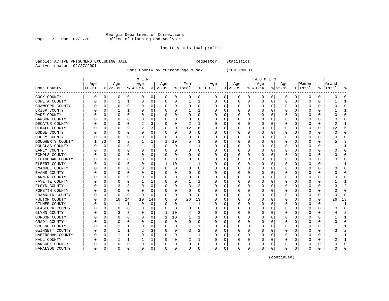#### Georgia Department of Corrections Page 32 Run 02/27/01 Office of Planning and Analysis

## Inmate statistical profile

|  |                           | Sample: ACTIVE PRISONERS EXCLUDING JAIL |  | Requestor: Statistics |  |
|--|---------------------------|-----------------------------------------|--|-----------------------|--|
|  | Active inmates 02/27/2001 |                                         |  |                       |  |

Home County by current age & sex (CONTINUED)

|                          |           |             |           |              | M E N     |          |           |             |          |             |               |          |           |          | W O M E N        |              |             |              |              |   |           |              |
|--------------------------|-----------|-------------|-----------|--------------|-----------|----------|-----------|-------------|----------|-------------|---------------|----------|-----------|----------|------------------|--------------|-------------|--------------|--------------|---|-----------|--------------|
|                          | Age       |             | Age       |              | Age       |          | Age       |             | Men      |             | Age           |          | Age       |          | Aqe              |              | Age         |              | Women        |   | Grand     |              |
| Home County<br>--------- | $ 00-21 $ |             | $8 22-39$ |              | $ 40-54 $ |          | $8 55-99$ |             | % Total  |             | $8   00 - 21$ |          | $ 22-39 $ |          | $8 40-54$        |              | $8155 - 99$ |              | % Total      |   | %   Total | ႜ            |
| COOK COUNTY              | 0         | 0           | 0         | 0            | 0         | 0        | 0         | 0           | 0        | 0           | 0             | 0        | 0         | 0        | 0                | 0            | 0           | 0            | $\Omega$     | 0 | O         | $\bigcap$    |
| COWETA COUNTY            |           | 0           | 1         | 1            | $\Omega$  | 0        | O         | 0           |          | 1           | 0             | 0        | 0         | 0        | 0                | 0            | $\Omega$    | 0            | 0            | 0 |           | -1           |
| CRAWFORD COUNTY          |           | 0           | 0         | 0            | 0         | 0        | O         | 0           | 0        | 0           | O             | 0        | 0         | 0        | 0                | 0            | $\Omega$    | 0            | 0            | 0 |           | $\bigcap$    |
| CRISP COUNTY             |           | $\Omega$    |           | 1            | C         | $\Omega$ |           | $\Omega$    |          |             |               | O        | O         | O        | Ω                | $\Omega$     | ∩           | U            | O            | U |           | $\mathbf{1}$ |
| DADE COUNTY              |           | $\Omega$    | O         | O            | n         | $\Omega$ |           | $\Omega$    | U        | U           | O             | $\Omega$ | O         | 0        | O                | $\Omega$     | O           | <sup>0</sup> | <sup>0</sup> | U |           | $\cap$       |
| DAWSON COUNTY            |           | $\Omega$    | O         | O            | 0         | $\Omega$ |           | $\Omega$    | 0        | U           | O             | $\Omega$ | O         | $\Omega$ | $\left( \right)$ | $\Omega$     | O           | <sup>0</sup> | O            | O |           | C            |
| DECATUR COUNTY           |           | 0           | 0         | O            | 2         | 3        |           | 0           | 2        | 1           |               | 0        | C         | $\Omega$ |                  | $\Omega$     | O           | 0            | 0            | U | 2         |              |
| DEKALB COUNTY            |           | 0           | 10        | 9            | 2         | 3        |           | $\mathbf 0$ | 12       | 6           |               | 0        | C         | 0        |                  | 0            | 0           | O            | 0            | 0 | 12        | 6            |
| DODGE COUNTY             |           | $\mathbf 0$ | 0         | O            | 0         | 0        |           | 0           | 0        | U           | C             | $\Omega$ | O         | $\Omega$ | Ω                | 0            | $\Omega$    | 0            | 0            | 0 |           | $\bigcap$    |
| DOOLY COUNTY             |           | $\mathbf 0$ | 0         | O            | 0         | 0        | O         | 0           | 0        | U           | C             | 0        | O         | 0        | 0                | $\Omega$     | $\Omega$    | 0            | 0            | 0 |           | $\bigcap$    |
| DOUGHERTY COUNTY         |           | 33          |           |              |           | 1        |           | 10          | 5        | 3           | O             | 0        | O         | $\Omega$ | 0                | $\Omega$     | $\Omega$    | 0            | 0            | 0 |           | 3            |
| DOUGLAS COUNTY           |           | $\mathbf 0$ | O         | O            |           | 1        |           | $\mathbf 0$ |          |             |               | 0        | O         | 0        | 0                | 0            | $\Omega$    | O            | O            | U |           | $\mathbf{1}$ |
| EARLY COUNTY             |           | $\Omega$    | O         | U            | 0         | 0        |           | 0           | 0        | 0           | O             | $\Omega$ | O         | 0        | 0                | $\Omega$     | $\Omega$    | 0            | <sup>0</sup> | 0 |           | $\Omega$     |
| ECHOLS COUNTY.           |           | $\Omega$    | O         | O            | 0         | $\Omega$ |           | $\Omega$    | 0        | 0           | 0             | $\Omega$ | O         | 0        | 0                | $\Omega$     | $\Omega$    | 0            | 0            | 0 |           | $\cap$       |
| EFFINGHAM COUNTY         |           | 0           | 0         | 0            | 0         | 0        |           | $\Omega$    | 0        | 0           | 0             | $\Omega$ | 0         | 0        | 0                | $\Omega$     | $\Omega$    | 0            | 0            | 0 |           | $\cap$       |
| ELBERT COUNTY            |           | 0           | 0         | $\Omega$     | 0         | 0        |           | 10          |          | 1           |               | 0        | C         | $\Omega$ |                  | $\Omega$     | 0           | $\Omega$     | 0            | 0 |           |              |
| EMANUEL COUNTY           |           | 0           | 0         | 0            | 0         | 0        | U         | 0           | 0        | $\mathbf 0$ |               | $\Omega$ | 0         | 0        | Ω                | $\Omega$     | $\Omega$    | 0            | 0            | 0 |           | $\bigcap$    |
| EVANS COUNTY             |           | 0           | 0         | 0            | 0         | 0        |           | $\Omega$    | 0        | 0           | O             | $\Omega$ | 0         | 0        | 0                | $\Omega$     | $\Omega$    | 0            | 0            | 0 |           | $\Omega$     |
| FANNIN COUNTY            |           | 0           | 0         | O            | 0         | 0        | n         | $\Omega$    | 0        | 0           | O             | $\Omega$ | 0         | 0        | 0                | 0            | $\Omega$    | 0            | 0            | 0 |           | $\cap$       |
| FAYETTE COUNTY           |           | 0           | 0         |              |           | 1        |           | 0           |          |             |               | 0        | 0         | 0        | 0                | 0            | $\Omega$    | O            | 0            | 0 |           |              |
| FLOYD COUNTY             |           | $\Omega$    |           | 3            | 0         | 0        |           | 0           | 3        | 2           | 0             | O        | O         | 0        | O                | 0            | O           | 0            | 0            | 0 |           | 2            |
| FORSYTH COUNTY           |           | $\Omega$    | O         | O            | C         | 0        |           | 0           | 0        | 0           | O             | $\Omega$ | O         | 0        | Ω                | $\Omega$     | $\Omega$    | 0            | 0            | 0 |           | $\cap$       |
| FRANKLIN COUNTY          |           | 0           | $\Omega$  | $\Omega$     | n         | 0        |           | $\Omega$    | $\Omega$ | 0           | O             | $\Omega$ | 0         | 0        | 0                | $\Omega$     | O           | 0            | 0            | 0 | O         | $\cap$       |
| FULTON COUNTY            |           | 0           | 16        | 14           | 10        | 14       |           | 0           | 26       | 13          | O             | 0        | 0         | 0        |                  | 0            | $\Omega$    | 0            | 0            | 0 | 26        | 13           |
| GILMER COUNTY            |           | $\mathbf 0$ | 1         | $\mathbf{1}$ | 0         | $\Omega$ |           | 0           |          | 1           | O             | 0        | 0         | 0        |                  | 0            | 0           | O            | 0            | 0 |           | $\mathbf{1}$ |
| GLASCOCK COUNTY          |           | 0           | 0         | 0            | 0         | 0        |           | 0           | 0        | 0           | O             | 0        | 0         | 0        | 0                | 0            | $\Omega$    | 0            | 0            | 0 |           | $\mathbf 0$  |
| GLYNN COUNTY             |           | 0           | 3         | 3            | 0         | 0        |           | 10          | 4        | 2           | 0             | 0        | 0         | 0        | 0                | 0            | O           | 0            | 0            | 0 |           | 2            |
| GORDON COUNTY            |           | 0           | 0         | 0            | 0         | 0        |           | 10          |          | 1           | 0             | 0        | 0         | 0        | 0                | 0            | $\Omega$    | 0            | 0            | 0 |           | -1           |
| GRADY COUNTY             |           | 0           | 0         | 0            | 0         | 0        |           | 0           | 0        | 0           |               | 0        | 0         | 0        | 0                | 0            | 0           | O            | 0            | 0 |           | $\Omega$     |
| GREENE COUNTY            |           | $\Omega$    |           | 1            | C         | 0        |           | $\Omega$    |          |             |               | O        | O         | 0        | O                | 0            | O           | n            | O            | U |           | -1           |
| GWINNETT COUNTY          |           | 0           |           | 1            |           | 3        |           | $\Omega$    | 3        | 2           | 0             | $\Omega$ | O         | 0        | 0                | <sup>0</sup> | ∩           | 0            | O            | O |           |              |
| HABERSHAM COUNTY         |           | 0           |           | 1            | $\Omega$  | 0        |           | 0           |          | 1           | 0             | $\Omega$ | O         | $\Omega$ | Ω                | $\Omega$     | O           | 0            | 0            | 0 |           |              |
| HALL COUNTY              |           | 0           |           | 1            |           | 1        |           | 0           | 2        | 1           | 0             | 0        | 0         | 0        |                  | 0            | 0           | 0            | 0            | 0 |           |              |
| HANCOCK COUNTY           |           | 0           | 0         | 0            | 0         | 0        |           | 0           | 0        | 0           | O             | 0        | 0         | 0        | 0                | 0            | O           | 0            | C            | 0 |           | $\cap$       |
| HARALSON COUNTY          | $\Omega$  | 0           | $\Omega$  | 0            | $\Omega$  | 0        | O         | 0           | 0        | 0           | $\Omega$      | 0        | 0         | 0        | $\Omega$         | 0            | $\Omega$    | 0            | 0            | 0 | U         | $\cap$       |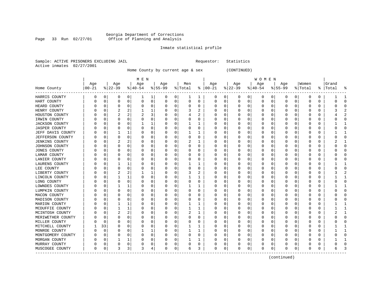### Georgia Department of Corrections Page 33 Run 02/27/01 Office of Planning and Analysis

### Inmate statistical profile

|                |            | Sample: ACTIVE PRISONERS EXCLUDING JAIL |  |
|----------------|------------|-----------------------------------------|--|
| Active inmates | 02/27/2001 |                                         |  |

Home County by current age & sex (CONTINUED)

| M E N | W O M E N | Age | Age | Age | Age | Men | Age | Age | Age | Age |Women |Grand Home County |00-21 %|22-39 %|40-54 %|55-99 %|Total % |00-21 %|22-39 %|40-54 %|55-99 %|Total % |Total % ------------------------------------------------------------------------------------------------------------------------------------HARRIS COUNTY | 0 0| 0 0| 1 1| 0 0| 1 1 | 0 0| 0 0| 0 0| 0 0| 0 0 | 1 1 HART COUNTY | 0 0| 0 0| 0 0| 0 0| 0 0 | 0 0| 0 0| 0 0| 0 0| 0 0 | 0 0 HEARD COUNTY | 0 0| 0 0| 0 0| 0 0| 0 0 | 0 0| 0 0| 0 0| 0 0| 0 0 | 0 0 HENRY COUNTY | 0 0| 2 2| 1 1| 0 0| 3 2 | 0 0| 0 0| 0 0| 0 0| 0 0 | 3 2 HOUSTON COUNTY | 0 0| 2 2| 2 3| 0 0| 4 2 | 0 0| 0 0| 0 0| 0 0| 0 0 | 4 2 IRWIN COUNTY | 0 0| 0 0| 0 0| 0 0| 0 0 | 0 0| 0 0| 0 0| 0 0| 0 0 | 0 0 JACKSON COUNTY | 0 0| 0 0| 1 1| 0 0| 1 1 | 0 0| 0 0| 0 0| 0 0| 0 0 | 1 1 JASPER COUNTY | 0 0| 0 0| 0 0| 0 0| 0 0 | 0 0| 0 0| 0 0| 0 0| 0 0 | 0 0 JEFF DAVIS COUNTY | 0 0| 1 1| 0 0| 0 0| 1 1 | 0 0| 0 0| 0 0| 0 0| 0 0 | 1 1 JEFFERSON COUNTY | 0 0| 0 0| 0 0| 0 0| 0 0 | 0 0| 0 0| 0 0| 0 0| 0 0 | 0 0 JENKINS COUNTY | 0 0| 2 2| 0 0| 0 0| 2 1 | 0 0| 0 0| 0 0| 0 0| 0 0 | 2 1 JOHNSON COUNTY | 0 0| 0 0| 0 0| 0 0| 0 0 | 0 0| 0 0| 0 0| 0 0| 0 0 | 0 0 JONES COUNTY | 0 0| 0 0| 0 0| 0 0| 0 0 | 0 0| 0 0| 0 0| 0 0| 0 0 | 0 0 LAMAR COUNTY | 0 0| 0 0| 0 0| 0 0| 0 0 | 0 0| 0 0| 0 0| 0 0| 0 0 | 0 0 LANIER COUNTY | 0 0| 0 0| 0 0| 0 0| 0 0 | 0 0| 0 0| 0 0| 0 0| 0 0 | 0 0 LAURENS COUNTY | 0 0| 1 1| 0 0| 0 0| 1 1 | 0 0| 0 0| 0 0| 0 0| 0 0 | 1 1 LEE COUNTY | 0 0| 0 0| 0 0| 0 0| 0 0 | 0 0| 0 0| 0 0| 0 0| 0 0 | 0 0 LIBERTY COUNTY | 0 0| 2 2| 1 1| 0 0| 3 2 | 0 0| 0 0| 0 0| 0 0| 0 0 | 3 2 LINCOLN COUNTY | 0 0| 1 1| 0 0| 0 0| 1 1 | 0 0| 0 0| 0 0| 0 0| 0 0 | 1 1 LONG COUNTY | 0 0| 0 0| 0 0| 0 0| 0 0 | 0 0| 0 0| 0 0| 0 0| 0 0 | 0 0 LOWNDES COUNTY | 0 0| 1 1| 0 0| 0 0| 1 1 | 0 0| 0 0| 0 0| 0 0| 0 0 | 1 1 LUMPKIN COUNTY | 0 0| 0 0| 0 0| 0 0| 0 0 | 0 0| 0 0| 0 0| 0 0| 0 0 | 0 0 MACON COUNTY | 0 0| 0 0| 0 0| 0 0| 0 0 | 0 0| 0 0| 0 0| 0 0| 0 0 | 0 0 MADISON COUNTY | 0 0| 0 0| 0 0| 0 0| 0 0 | 0 0| 0 0| 0 0| 0 0| 0 0 | 0 0 MARION COUNTY | 0 0| 1 1| 0 0| 0 0| 1 1 | 0 0| 0 0| 0 0| 0 0| 0 0 | 1 1 MCDUFFIE COUNTY | 0 0| 1 1| 0 0| 0 0| 1 1 | 0 0| 0 0| 0 0| 0 0| 0 0 | 1 1 MCINTOSH COUNTY | 0 0| 2 2| 0 0| 0 0| 2 1 | 0 0| 0 0| 0 0| 0 0| 0 0 | 2 1 MERIWETHER COUNTY | 0 0 | 0 0 | 0 0 | 0 0 | 0 0 | 0 0 | 0 0 | 0 0 | 0 0 | 0 0 | 0 0 | 0 0 | 0 0 | 0 0 | 0 0 | 0 MILLER COUNTY | 0 0| 0 0| 0 0| 0 0| 0 0 | 0 0| 0 0| 0 0| 0 0| 0 0 | 0 0 MITCHELL COUNTY | 1 33| 0 0| 0 0| 0 0| 1 1 | 0 0| 0 0| 0 0| 0 0| 0 0 | 1 1 MONROE COUNTY | 0 0| 0 0| 1 1| 0 0| 1 1 | 0 0| 0 0| 0 0| 0 0| 0 0 | 1 1 MONTGOMERY COUNTY | 0 0| 0 0| 0 0| 0 0| 0 0 | 0 0| 0 0| 0 0| 0 0| 0 0 | 0 0 MORGAN COUNTY | 0 0| 1 1| 0 0| 0 0| 1 1 | 0 0| 0 0| 0 0| 0 0| 0 0 | 1 1 MURRAY COUNTY | 0 0| 0 0| 0 0| 0 0| 0 0 | 0 0| 0 0| 0 0| 0 0| 0 0 | 0 0 MUSCOGEE COUNTY | 0 0| 3 3| 3 4| 0 0| 6 3 | 0 0| 0 0| 0 0| 0 0| 0 0 | 6 3 ------------------------------------------------------------------------------------------------------------------------------------

(continued)

Requestor: Statistics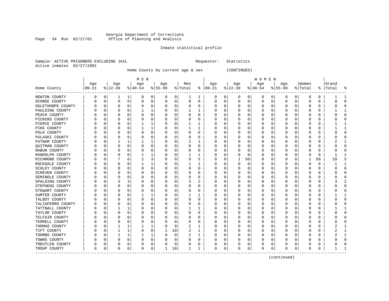#### Georgia Department of Corrections Page 34 Run 02/27/01 Office of Planning and Analysis

## Inmate statistical profile

|                |            | Sample: ACTIVE PRISONERS EXCLUDING JAIL |  |
|----------------|------------|-----------------------------------------|--|
| Active inmates | 02/27/2001 |                                         |  |

Home County by current age & sex (CONTINUED)

Requestor: Statistics

|                          |          |          |                  |          | M E N     |                |          |          |                |          |               |             |          |             | W O M E N |   |           |              |         |          |           |              |
|--------------------------|----------|----------|------------------|----------|-----------|----------------|----------|----------|----------------|----------|---------------|-------------|----------|-------------|-----------|---|-----------|--------------|---------|----------|-----------|--------------|
|                          | Age      |          | Age              |          | Age       |                | Age      |          | Men            |          | Age           |             | Age      |             | Age       |   | Age       |              | Women   |          | Grand     |              |
| Home County<br>--------- | $ 00-21$ |          | $ 22-39$         |          | $ 40-54 $ |                | $ 55-99$ |          | % Total        |          | $8   00 - 21$ |             | $ 22-39$ |             | $ 40-54$  |   | $8 55-99$ |              | % Total |          | %   Total | ႜ            |
| NEWTON COUNTY            | 0        | 0        | 1                | 1        | 0         | $\overline{0}$ | 0        | 0        | 1              | 1        | 0             | 0           | 0        | 0           | 0         | 0 | 0         | 0            | 0       | 0        |           | -1           |
| OCONEE COUNTY            | $\Omega$ | 0        | $\Omega$         | 0        | $\Omega$  | $\mathbf 0$    | 0        | 0        | $\Omega$       | $\Omega$ | 0             | 0           | $\Omega$ | 0           | $\Omega$  | 0 | $\Omega$  | 0            | 0       | 0        | Ω         | $\Omega$     |
| OGLETHORPE COUNTY        |          | $\Omega$ | U                | 0        |           | $\mathbf 0$    | U        | 0        |                | $\Omega$ | U             | 0           |          | 0           | U         | 0 |           | $\Omega$     | O       | 0        |           | $\bigcap$    |
| PAULDING COUNTY          |          | 0        | U                | 0        |           | $\mathbf{1}$   | U        | 0        |                |          | 0             | 0           |          | 0           | O         | 0 |           | $\Omega$     |         | 0        |           |              |
| PEACH COUNTY             |          | U        | U                | $\Omega$ |           | $\Omega$       | U        | O        | ∩              | $\Omega$ | U             | 0           | C        | $\mathbf 0$ | U         | 0 |           | U            | C       | U        |           | $\Omega$     |
| PICKENS COUNTY           |          | $\Omega$ | U                | $\Omega$ | n         | $\Omega$       | O        | O        | ∩              | $\Omega$ | 0             | 0           | C        | 0           | U         | U |           | <sup>0</sup> | O       | 0        |           | $\cap$       |
| PIERCE COUNTY            |          | 0        | $\left( \right)$ | 0        |           | 1              | O        | 0        |                | ı        | 0             | $\mathbf 0$ | O        | $\mathbf 0$ | U         | U |           | $\Omega$     | O       | 0        |           | -1           |
| PIKE COUNTY              |          | $\Omega$ | 0                | $\Omega$ |           | 1              | 0        | 0        |                | 1        | 0             | $\mathbf 0$ |          | $\mathbf 0$ | 0         | 0 |           | 0            | C       | 0        |           | -1           |
| POLK COUNTY              |          | 0        |                  | 0        | 0         | $\Omega$       | 0        | 0        | $\Omega$       | $\Omega$ | 0             | 0           |          | 0           | 0         | 0 |           | O            | C       | 0        |           | $\Omega$     |
| PULASKI COUNTY           |          | 0        | U                | 0        | O         | $\Omega$       | U        | 0        | $\Omega$       | $\Omega$ | 0             | 0           |          | 0           | 0         | 0 | O         | O            | C       | 0        |           | $\Omega$     |
| PUTNAM COUNTY            |          | $\Omega$ | 1                | 1        |           | 1              | U        | 0        | 2              |          | 0             | 0           | 0        | 0           | 0         | 0 | O         | 0            | 0       | 0        |           | -1           |
| <b>OUITMAN COUNTY</b>    |          | U        | U                | 0        |           | $\mathbf 0$    | U        | O        |                | $\Omega$ | U             | 0           |          | 0           | U         | U |           | O            | C       | 0        |           | $\Omega$     |
| RABUN COUNTY             |          | U        | U                | 0        |           | $\mathbf 0$    | U        | O        |                | $\Omega$ | U             | 0           |          | $\mathbf 0$ | O         | 0 |           | O            |         | O        |           | $\bigcap$    |
| RANDOLPH COUNTY          |          | U        | U                | O        |           | 1              | U        | O        |                |          | U             | $\Omega$    | $\Omega$ | 0           | U         | U |           | $\Omega$     | C       | $\Omega$ |           |              |
| RICHMOND COUNTY          |          | U        |                  | 6        | 2         | 3              | U        | O        | 9              | 5        | 0             | 0           |          | 50          | 0         | U |           | $\Omega$     |         | 50       | 10        | 5            |
| ROCKDALE COUNTY          |          | U        | U                | $\Omega$ |           | 1              | O        | 0        |                | 1        | 0             | $\mathbf 0$ | $\Omega$ | $\mathbf 0$ | 0         | U |           | <sup>0</sup> | O       | 0        |           | -1           |
| SCHLEY COUNTY            |          | 0        | 0                | 0        |           | $\mathbf 0$    | U        | 0        | O              | 0        | 0             | $\mathbf 0$ |          | $\mathbf 0$ | 0         | 0 |           | $\Omega$     | C       | 0        |           | $\bigcap$    |
| SCREVEN COUNTY           |          | 0        | 0                | 0        |           | $\mathbf 0$    | 0        | 0        |                | 0        | 0             | $\mathbf 0$ |          | 0           | 0         | 0 |           | $\Omega$     | C       | 0        |           | $\bigcap$    |
| SEMINOLE COUNTY          |          | 0        | U                | 0        | O         | $\mathbf 0$    | O        | 0        | $\Omega$       | 0        | U             | 0           |          | 0           | U         | 0 | O         | 0            | Ω       | 0        |           | $\Omega$     |
| SPALDING COUNTY          |          | $\Omega$ | 3                | 3        | 0         | $\Omega$       | 0        | 0        | 3              | 2        | 0             | 0           | 0        | 0           | 0         | 0 | O         | 0            | 0       | 0        |           | 2            |
| STEPHENS COUNTY          |          | 0        | 0                | 0        |           | $\Omega$       | U        | 0        |                | $\Omega$ | 0             | 0           |          | 0           | 0         | 0 | O         | 0            | 0       | 0        |           | $\Omega$     |
| STEWART COUNTY           |          | 0        | O                | 0        |           | $\mathbf 0$    | U        | 0        |                | $\Omega$ | U             | 0           |          | 0           | U         | 0 |           | O            | C       | 0        |           | $\bigcap$    |
| SUMTER COUNTY            |          | 0        | U                | 0        |           | 1              | U        | $\Omega$ |                |          | 0             | 0           |          | $\mathbf 0$ | O         | 0 |           | $\Omega$     | C       | 0        |           | $\mathbf{1}$ |
| TALBOT COUNTY            |          | $\Omega$ |                  | $\Omega$ | U         | $\Omega$       | U        | O        | ∩              | 0        | 0             | 0           | C        | 0           | U         | U |           | $\Omega$     | O       | 0        |           | $\Omega$     |
| TALIAFERRO COUNTY        |          | $\Omega$ | U                | $\Omega$ |           | $\Omega$       | U        | 0        | $\Omega$       | $\Omega$ | 0             | $\mathbf 0$ |          | 0           | U         | U |           | <sup>0</sup> | O       | 0        |           | $\Omega$     |
| TATTNALL COUNTY          |          | 0        | 1                | 1        |           | $\mathbf 0$    | U        | 0        |                | 1        | 0             | 0           |          | 0           | U         | 0 |           | $\Omega$     | 0       | 0        |           | -1           |
| TAYLOR COUNTY            |          | 0        | U                | 0        |           | $\mathbf 0$    | U        | 0        | $\Omega$       | 0        | 0             | 0           |          | 0           | 0         | 0 |           | O            | C       | 0        |           | $\bigcap$    |
| TELFAIR COUNTY           |          | 0        | U                | 0        |           | $\Omega$       | U        | 0        |                | $\Omega$ | 0             | 0           |          | 0           | 0         | 0 |           | O            | C       | 0        |           | $\Omega$     |
| TERRELL COUNTY           |          | 0        | U                | 0        | O         | $\Omega$       | U        | 0        | ∩              | $\Omega$ | 0             | 0           | O        | 0           | 0         | 0 | O         | 0            | 0       | 0        |           | $\Omega$     |
| THOMAS COUNTY            |          | 0        | 1                | 1        |           | 1              | 0        | 0        | 2              |          | 0             | 0           |          | 0           | 0         | 0 | O         | 0            | 0       | 0        |           | -1           |
| TIFT COUNTY              |          | 0        | 1                | 1        |           | $\mathbf 0$    | 1        | 10       | $\overline{c}$ | 1        | 0             | 0           |          | 0           | 0         | 0 |           | 0            | C       | 0        |           | -1           |
| TOOMBS COUNTY            |          | U        | 1                | 1        |           | 1              | U        | O        |                | 1        | U             | 0           | C        | 0           | U         | 0 | O         | O            | C       | U        |           | -1           |
| TOWNS COUNTY             |          | U        | U                | O        |           | $\Omega$       | U        | O        | U              | $\Omega$ | U             | 0           |          | 0           | U         | U |           | U            |         | U        |           | $\Omega$     |
| TREUTLEN COUNTY          |          | 0        | 0                | 0        |           | 0              | 0        | 0        |                | 0        | 0             | 0           |          | 0           | 0         | 0 |           | 0            | 0       | 0        |           | $\cap$       |
| TROUP COUNTY             | $\Omega$ | 0        | $\Omega$         | 0        | O         | 0              | 1        | 10       |                | 1        | O             | 0           | $\Omega$ | $\mathbf 0$ | O         | 0 | $\cap$    | 0            | O       | 0        |           |              |

------------------------------------------------------------------------------------------------------------------------------------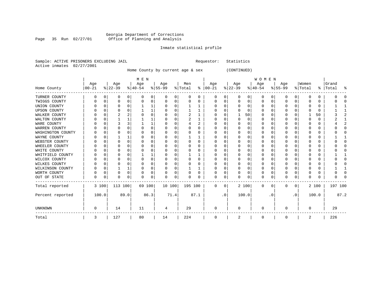#### Georgia Department of Corrections Page 35 Run 02/27/01 Office of Planning and Analysis

## Inmate statistical profile

| Sample: ACTIVE PRISONERS EXCLUDING JAIL |  |  | Requestor: Statistics |  |
|-----------------------------------------|--|--|-----------------------|--|
| Active inmates 02/27/2001               |  |  |                       |  |

Home County by current age & sex (CONTINUED)

|                     |          |          |          |          | M E N     |          |          |              |         |          |               |           |           |              | WOMEN    |           |              |           |          |          |         |      |
|---------------------|----------|----------|----------|----------|-----------|----------|----------|--------------|---------|----------|---------------|-----------|-----------|--------------|----------|-----------|--------------|-----------|----------|----------|---------|------|
|                     | Age      |          | Age      |          | Age       |          | Age      |              | Men     |          | Age           |           | Age       |              | Age      |           | Age          |           | Women    |          | Grand   |      |
| Home County         | $ 00-21$ |          | $ 22-39$ |          | $ 40-54 $ |          | $ 55-99$ |              | % Total |          | $8   00 - 21$ |           | $ 22-39 $ |              | $ 40-54$ |           | $ 55-99 $    |           | % Total  | ွေ       | Total   |      |
| TURNER COUNTY       | O        | 0        | 0        | 0        |           | 0        |          | 0            | 0       | 0        | 0             | 0         |           | 0            | 0        | 0         | 0            | 0         | 0        | 0        |         |      |
| TWIGGS COUNTY       |          | n        | 0        | $\Omega$ |           | 0        |          | $\Omega$     | U       | U        | 0             | U         |           | $\Omega$     | $\Omega$ | 0         | 0            | $\Omega$  |          | 0        |         |      |
| UNION COUNTY        |          | n        | O        |          |           |          |          |              |         |          |               | U         |           | <sup>0</sup> | O        |           | 0            | U         |          | $\Omega$ |         |      |
| <b>UPSON COUNTY</b> |          |          |          |          |           |          |          |              |         |          |               | U         |           | U            | O        |           | 0            | U         |          | $\Omega$ |         |      |
| WALKER COUNTY       |          | C        |          |          |           | 0        |          |              |         |          |               | U         |           | 50           | 0        |           | 0            | U         |          | 50       |         |      |
| WALTON COUNTY       |          | $\Omega$ |          |          |           |          |          |              |         |          | $\left($      | U         |           | $\Omega$     | O        |           | 0            | U         |          | $\Omega$ |         |      |
| WARE COUNTY         |          | n        |          |          |           |          |          |              |         |          |               | U         |           | <sup>0</sup> | U        |           | O            | U         |          | $\Omega$ |         |      |
| WARREN COUNTY       |          |          |          |          |           | 0        |          |              |         | U        |               |           |           | 0            | 0        |           | 0            |           |          | 0        |         |      |
| WASHINGTON COUNTY   |          | C        | O        |          |           | 0        |          | <sup>0</sup> |         | U        |               | U         |           | <sup>0</sup> | O        |           | 0            | U         |          | $\Omega$ |         |      |
| WAYNE COUNTY        |          |          |          |          |           | 0        |          |              |         |          |               |           |           | U            | O        |           | 0            |           |          | $\Omega$ |         |      |
| WEBSTER COUNTY      |          | 0        | $\Omega$ | $\Omega$ |           | 0        |          | O            | 0       | $\Omega$ |               | U         |           | 0            | 0        |           | 0            | U         |          | $\Omega$ |         |      |
| WHEELER COUNTY      |          | $\cap$   |          |          |           | U        |          |              |         | U        | $\left($      | U         |           | <sup>0</sup> | O        |           | <sup>0</sup> | U         |          | $\Omega$ |         |      |
| WHITE COUNTY        |          | C        |          |          |           | 0        |          |              |         |          |               | U         |           | U            | O        |           | O            | U         |          | $\Omega$ |         |      |
| WHITFIELD COUNTY    |          |          |          |          |           |          |          |              |         |          |               |           |           | 0            | 0        |           | 0            |           |          | $\Omega$ |         |      |
| WILCOX COUNTY       |          | n        | O        |          |           | $\Omega$ |          |              | U       | U        |               | U         |           | <sup>0</sup> | O        |           | 0            | U         |          | $\Omega$ |         |      |
| WILKES COUNTY       |          | O        | O        |          |           | 0        |          |              | U       | U        |               | U         |           | <sup>0</sup> | O        |           | $\Omega$     | U         |          | $\Omega$ |         |      |
| WILKINSON COUNTY    |          | 0        |          |          |           | 0        |          | 0            |         | 1        |               | U         |           | $\Omega$     | $\Omega$ | O         | $\Omega$     | U         |          | $\Omega$ |         |      |
| WORTH COUNTY        |          | 0        | 0        | $\Omega$ |           | 0        |          | $\Omega$     | U       | U        |               | 0         |           | $\Omega$     | O        | n         | 0            | 0         | O        | 0        |         |      |
| OUT OF STATE        | U        | 0        | $\Omega$ | 0        |           | 0        |          | 0            |         | U        | U             | 0         |           | 0            | O        |           | $\Omega$     | 0         | ∩        | $\Omega$ |         |      |
| Total reported      |          | 3 100    | 113 100  |          | 69 100    |          | 10 100   |              | 195 100 |          | 0             | 0         |           | 2 100        | $\Omega$ | $\Omega$  | 0            | 0         |          | 2 100    | 197 100 |      |
| Percent reported    |          | 100.0    |          | 89.0     |           | 86.3     |          | 71.4         |         | 87.1     |               | $\cdot$ 0 |           | 100.0        |          | $\cdot$ 0 |              | $\cdot$ 0 |          | 100.0    |         | 87.2 |
| <b>UNKNOWN</b>      | 0        |          | 14       |          | 11        |          | 4        |              | 29      |          | O             |           |           |              | 0        |           | <sup>0</sup> |           | $\Omega$ |          | 29      |      |
| Total               | 3        |          | 127      |          | 80        |          | 14       |              | 224     |          | 0             |           | 2         |              | 0        |           | 0            |           | 2        |          | 226     |      |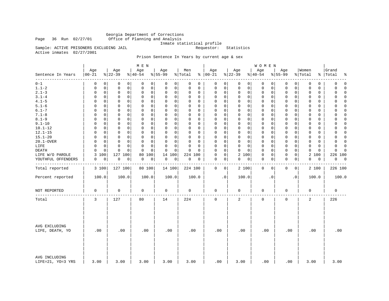Georgia Department of Corrections Page 36 Run 02/27/01 Office of Planning and Analysis

Inmate statistical profile<br>Requestor: Statistics

Active inmates 02/27/2001

Sample: ACTIVE PRISONERS EXCLUDING JAIL

## Prison Sentence In Years by current age & sex

|                                    |                   |                 | M E N                        |                  |                |                            |                 | WOMEN            |                             |                  |                         |
|------------------------------------|-------------------|-----------------|------------------------------|------------------|----------------|----------------------------|-----------------|------------------|-----------------------------|------------------|-------------------------|
| Sentence In Years<br>--------      | Age<br>$ 00 - 21$ | Age<br>$ 22-39$ | Age<br>$\frac{1}{6}$   40-54 | Age<br>$8 55-99$ | Men<br>% Total | Age<br>$8   00 - 21$       | Age<br>$ 22-39$ | Age<br>$ 40-54$  | Age<br>$8 55-99$            | Women<br>% Total | Grand<br>%   Total<br>ႜ |
| $0 - 1$                            | 0                 | 0               | 0                            | 0                | 0              | 0                          | $\mathbf 0$     | $\mathbf 0$      | 0                           | 0                | $\mathbf 0$             |
|                                    | $\Omega$          | 0               | 0                            | 0                | 0              | 0                          | 0               | 0                | 0                           | $\mathbf 0$      | 0                       |
| $1.1 - 2$                          | 0                 | $\mathsf 0$     | $\mathbf 0$                  | 0                | 0              | $\mathsf 0$                | $\mathbf 0$     | $\mathbf 0$      | $\mathsf{O}$                | $\mathbf 0$      | 0                       |
|                                    | 0                 | 0               | 0                            | $\mathbf 0$      | 0              | 0                          | $\mathbf 0$     | 0                | 0                           | 0                | $\Omega$                |
| $2.1 - 3$                          | $\mathsf 0$       | $\mathsf 0$     | $\mathsf 0$                  | 0                | $\Omega$       | $\mathbf 0$                | $\mathbf 0$     | 0                | $\mathbf 0$                 | 0                | 0                       |
|                                    | $\mathbf 0$       | $\mathbf 0$     | $\mathbf 0$                  | $\mathbf 0$      | 0              | 0                          | $\mathbf 0$     | 0                | 0                           | $\mathbf 0$      | $\Omega$                |
| $3.1 - 4$                          | $\Omega$          | 0               | $\mathbf 0$                  | 0                | $\Omega$       | $\mathbf 0$                | 0               | 0                | 0                           | $\mathbf 0$      | $\Omega$                |
|                                    | 0                 | 0               | $\Omega$                     | 0                | 0              | 0                          | 0               | 0                | 0                           | 0                | $\Omega$                |
| $4.1 - 5$                          | $\Omega$          | $\mathbf 0$     | $\mathbf 0$                  | 0                | $\Omega$       | $\mathsf 0$                | $\mathbf 0$     | 0                | 0                           | $\mathbf 0$      | $\Omega$                |
|                                    | 0                 | 0               | 0                            | 0                | 0              | 0                          | 0               | 0                | 0                           | 0                | 0                       |
| $5.1 - 6$                          | $\Omega$          | $\Omega$        | $\mathbf 0$                  | 0                | $\Omega$       | $\mathbf 0$                | $\mathbf 0$     | 0                | $\mathbf 0$                 | $\mathbf 0$      | $\mathbf 0$             |
|                                    | 0                 | 0               | $\Omega$                     | 0                | $\Omega$       | 0                          | $\mathbf 0$     | 0                | $\mathbf 0$                 | 0                | 0                       |
| $6.1 - 7$                          | $\Omega$          | $\Omega$        | $\Omega$                     | 0                | $\Omega$       | $\Omega$                   | $\Omega$        | $\mathbf 0$      | $\mathbf 0$                 | $\Omega$         | $\Omega$                |
|                                    | $\Omega$          | 0               | $\Omega$                     | $\mathbf 0$      | $\Omega$       | $\Omega$                   | $\Omega$        | $\Omega$         | $\Omega$                    | $\Omega$         | O                       |
| $7.1 - 8$                          | 0                 | 0               | $\mathsf 0$                  | 0                | 0              | $\mathsf 0$                | $\mathsf{O}$    | 0                | $\mathsf{O}$                | $\mathbf 0$      | $\Omega$                |
|                                    | 0                 | 0               | $\mathsf 0$                  | $\mathsf 0$      | 0              | $\mathbf 0$                | $\mathbf 0$     | 0                | $\mathbf 0$                 | 0                | 0                       |
| $8.1 - 9$                          | 0                 | 0               | $\mathbf 0$                  | 0                | 0              | $\Omega$                   | $\mathbf 0$     | $\mathbf 0$      | $\mathbf 0$                 | $\Omega$         | 0                       |
|                                    | $\Omega$          | 0               | 0                            | 0                | $\Omega$       | $\mathbf 0$                | $\mathbf 0$     | 0                | $\mathbf 0$                 | 0                | $\Omega$                |
| $9.1 - 10$                         | $\Omega$          | 0               | $\Omega$                     | $\mathbf 0$      | $\Omega$       | $\mathbf 0$                | $\mathbf 0$     | $\mathbf 0$      | $\mathbf 0$                 | $\mathbf 0$      | $\Omega$                |
|                                    | $\Omega$          | 0               | $\mathbf 0$                  | 0                | 0              | 0                          | $\mathbf 0$     | 0                | $\mathbf 0$                 | $\mathbf 0$      | 0                       |
| $10.1 - 12$                        | 0                 | $\mathbf 0$     | $\mathbf 0$                  | $\mathbf 0$      | $\Omega$       | $\mathbf 0$                | $\mathbf 0$     | $\mathbf 0$      | $\mathbf 0$                 | $\mathbf 0$      | $\mathbf 0$             |
|                                    | 0                 | 0               | $\mathbf 0$                  | 0                | 0              | 0                          | $\mathbf 0$     | 0                | 0                           | 0                | 0                       |
| $12.1 - 15$                        | $\Omega$          | 0               | 0                            | 0                | $\Omega$       | $\Omega$                   | $\mathbf 0$     | 0                | $\mathbf 0$                 | 0                | 0                       |
|                                    | 0                 | 0               | 0                            | 0                | $\Omega$       | 0                          | 0               | 0                | 0                           | 0                | 0                       |
| $15.1 - 20$                        | $\Omega$          | 0               | $\mathbf 0$                  | 0                | $\Omega$       | $\mathbf 0$                | $\mathbf 0$     | 0                | $\mathbf 0$                 | $\mathbf 0$      | $\Omega$                |
|                                    | $\Omega$          | 0               | $\Omega$                     | $\mathbf 0$      | 0              | 0                          | 0               | 0                | $\mathbf 0$                 | 0                | $\Omega$                |
| 20.1-OVER                          | $\Omega$          | $\mathbf 0$     | $\mathbf 0$                  | 0                | 0              | 0                          | $\mathbf 0$     | 0                | 0                           | $\mathbf 0$      | $\Omega$                |
|                                    | 0                 | 0               | 0                            | 0                | $\Omega$       | 0                          | $\mathbf 0$     | 0                | 0                           | 0                | 0                       |
| LIFE                               | 0                 | $\mathbf 0$     | $\mathbf 0$                  | 0                | $\mathbf 0$    | $\Omega$                   | $\mathbf 0$     | 0                | $\mathbf 0$                 | $\mathbf 0$      | 0                       |
|                                    | 0                 | 0               | 0                            | 0                | $\Omega$       | 0                          | $\mathbf 0$     | 0                | 0                           | $\mathbf 0$      | $\mathbf 0$             |
| <b>DEATH</b>                       | $\Omega$          | 0               | $\Omega$                     | $\Omega$         | $\Omega$       | $\mathbf 0$                | $\Omega$        | 0                | $\mathbf 0$                 | $\mathbf 0$      | 0                       |
|                                    | $\Omega$          | $\Omega$        | $\Omega$                     | $\Omega$         | $\Omega$       | $\Omega$                   | $\mathbf 0$     | 0                | 0                           | 0                | $\Omega$                |
| LIFE W/O PAROLE                    | 3<br>100          | 127 100         | 100<br>80                    | 14 100           | 224 100        | $\mathsf 0$<br>$\mathbf 0$ | 2 100           | $\mathsf 0$<br>0 | $\mathsf{O}$<br>$\mathbf 0$ | 2 100            | 226 100                 |
| YOUTHFUL OFFENDERS                 | 0                 | 0               | 0                            | 0                | 0              | 0                          | 0               | 0                | $\mathbf 0$                 | 0                | 0                       |
|                                    | 0                 | 0               | 0                            | 0                | $\mathbf 0$    | 0                          | 0               | 0                | 0                           | 0                | 0                       |
|                                    |                   |                 |                              |                  |                |                            |                 |                  |                             |                  |                         |
| Total reported                     | 3 100             | 127 100         | 80 100                       | 14 100           | 224 100        | 0<br>$\mathbf{0}$          | 2 100           | $\mathbf 0$<br>0 | 0<br>0                      | 2 100            | 226 100                 |
| Percent reported                   | 100.0             | 100.0           | 100.0                        | 100.0            | 100.0          | $\cdot$ 0                  | 100.0           | $\cdot$ 0        | $\cdot$ 0                   | 100.0            | 100.0                   |
| NOT REPORTED                       | 0                 | $\mathbf 0$     | 0                            | 0                | 0              | 0                          | 0               | 0                | 0                           | 0                | $\mathbf 0$             |
| Total                              | 3                 | 127             | 80                           | 14               | 224            | $\mathbf 0$                | 2               | $\mathbf 0$      | $\mathbf 0$                 | 2                | 226                     |
| AVG EXCLUDING<br>LIFE, DEATH, YO   | .00               | .00             | .00                          | .00              | .00            | .00                        | .00             | .00              | .00                         | .00              | .00                     |
| AVG INCLUDING<br>LIFE=21, YO=3 YRS | 3.00              | 3.00            | 3.00                         | 3.00             | 3.00           | .00                        | 3.00            | .00              | .00                         | 3.00             | 3.00                    |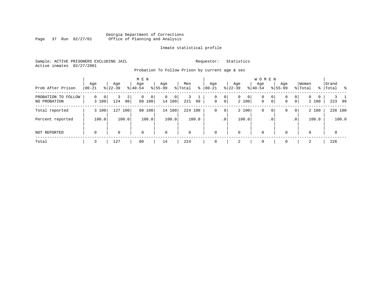## Georgia Department of Corrections Page 37 Run 02/27/01 Office of Planning and Analysis

## Inmate statistical profile

Sample: ACTIVE PRISONERS EXCLUDING JAIL **Requestor:** Statistics Active inmates 02/27/2001

Probation To Follow Prison by current age & sex

| Prob After Prison                   | Age<br>$00 - 21$          | Age<br>$8 22-39$            | M E N<br>Age<br>$8 40-54$          | Age<br>$8 55-99$            | Men<br>% Total<br>⊱ | Age<br>$ 00-21 $            | Age<br>$ 22-39 $                      | <b>WOMEN</b><br>Aqe<br>$ 40-54 $ | Age<br>$8155 - 99$                                    | Women<br>% Total                           | Grand<br>%  Total<br>- 옹 |
|-------------------------------------|---------------------------|-----------------------------|------------------------------------|-----------------------------|---------------------|-----------------------------|---------------------------------------|----------------------------------|-------------------------------------------------------|--------------------------------------------|--------------------------|
| PROBATION TO FOLLOW<br>NO PROBATION | $\mathbf 0$<br>0<br>3 100 | $\overline{2}$<br>124<br>98 | $\Omega$<br>$\mathbf{0}$<br>80 100 | $\mathbf{0}$<br>0<br>14 100 | 99<br>221           | 0<br>0<br>$\mathbf 0$<br> 0 | $\mathbf{0}$<br>$\mathbf{0}$<br>2 100 | $\mathbf 0$<br>$\mathbf 0$       | 0 <sup>1</sup><br>0<br>0 <sup>1</sup><br>$\mathbf{0}$ | 0 <br>$\Omega$<br>$\Omega$<br> 0 <br>2 100 | 223<br>99                |
| Total reported                      | 3 100                     | 127 100                     | 80<br>100                          | 14 100                      | 224 100             | 0 <sup>1</sup><br>0         | 2 100                                 | 0                                | 0 <sup>1</sup><br>0                                   | 2 100<br>0 <sup>1</sup>                    | 226 100                  |
| Percent reported                    | 100.0                     | 100.0                       | 100.0                              | 100.0                       | 100.0               | $\cdot$ 0                   | 100.0                                 | .0 <sup>°</sup>                  |                                                       | 100.0<br>.0 <sup>1</sup>                   | 100.0                    |
| NOT REPORTED                        | $\mathbf 0$               | $\Omega$                    | $\mathbf 0$                        | $\mathbf 0$                 | $\Omega$            | $\mathbf 0$                 | $\mathbf 0$                           | $\mathbf 0$                      | $\Omega$                                              | $\Omega$                                   | $\Omega$                 |
| Total                               | 3                         | 127                         | 80                                 | 14                          | 224                 |                             | 2                                     | $\Omega$                         |                                                       | 2                                          | 226                      |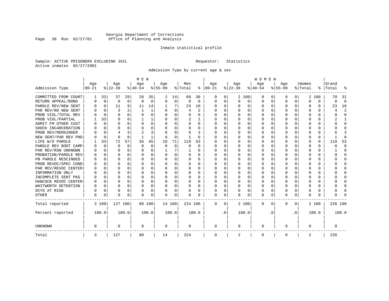## Georgia Department of Corrections Page 38 Run 02/27/01 Office of Planning and Analysis

## Inmate statistical profile

Sample: ACTIVE PRISONERS EXCLUDING JAIL **Requestor:** Statistics Active inmates 02/27/2001

Admission Type by current age & sex

|                      |           |             |          |             | M E N     |        |           |             |          |          |          |           |          |          | <b>WOMEN</b> |          |              |              |         |          |         |                         |
|----------------------|-----------|-------------|----------|-------------|-----------|--------|-----------|-------------|----------|----------|----------|-----------|----------|----------|--------------|----------|--------------|--------------|---------|----------|---------|-------------------------|
|                      | Age       |             | Age      |             | Age       |        | Aqe       |             | Men      |          | Age      |           | Age      |          | Age          |          | Aqe          |              | Women   |          | Grand   |                         |
| Admission Type       | $00 - 21$ |             | $ 22-39$ |             | $ 40-54 $ |        | $8 55-99$ |             | % Total  | ႜ        | $ 00-21$ |           | $ 22-39$ |          | $ 40-54$     |          | $8 55-99$    |              | % Total | ွေ       | Total   | ş                       |
| COMMITTED FROM COURT | 1         | 33          | 37       | 29          | 28        | 35     | 2         | 14          | 68       | 30       | 0        | 0         |          | 2 100    | 0            | U        | 0            | 0            |         | 2 100    | 70      | 31                      |
| RETURN APPEAL/BOND   | 0         | $\mathbf 0$ | 0        | $\mathbf 0$ | $\Omega$  | 0      | $\Omega$  | 0           | $\Omega$ | $\Omega$ | 0        | 0         | $\Omega$ | 0        | 0            | $\Omega$ | <sup>0</sup> | $\Omega$     | O       | $\Omega$ | U       | $\Omega$                |
| PAROLE REV/NEW SENT  | 0         | 0           | 11       | 9           | 11        | 14     |           | 7           | 23       | 10       | $\Omega$ | 0         | ∩        | $\Omega$ | 0            | ∩        | $\cap$       | $\Omega$     | U       | 0        | 23      | 10                      |
| PAR REV/NO NEW SENT  | U         | $\Omega$    | 3        |             |           | 1      |           | $\Omega$    | 4        | 2        | ∩        | 0         | ∩        | $\Omega$ | O            | C        | $\cap$       | $\cap$       | U       | O        |         | $\overline{\mathbf{c}}$ |
| PROB VIOL/TOTAL REV  | O         | $\Omega$    | $\Omega$ | $\Omega$    | $\cap$    | 0      | ∩         | $\Omega$    | $\Omega$ | O        | $\Omega$ | 0         | $\Omega$ | $\Omega$ | O            | C        | $\cap$       | <sup>n</sup> | $\cap$  | O        | U       | $\cap$                  |
| PROB VIOL/PARTIAL    |           | 33          | $\Omega$ | $\Omega$    |           | 1      |           | $\Omega$    | 2        |          | $\Omega$ | 0         | $\Omega$ | $\Omega$ | U            | C        | <sup>0</sup> | $\Omega$     |         | O        |         |                         |
| ADMIT FM OTHER CUST  | O         | $\Omega$    | O        | $\Omega$    | 0         | 0      |           | $\Omega$    | 0        | 0        | $\Omega$ | 0         | $\Omega$ | $\Omega$ | 0            | O        | <sup>0</sup> | $\Omega$     |         | U        |         | $\Omega$                |
| SHOCK INCARCERATION  | O         | $\Omega$    | O        | $\Omega$    | O         | 0      | ∩         | $\Omega$    | O        | 0        | $\Omega$ | 0         | O        | $\Omega$ | O            | O        | O            | 0            | O       | 0        |         | ∩                       |
| PROB REV/REMAINDER   | U         | $\Omega$    | 4        | 3           | 2         | 3      |           | $\Omega$    | 6        | 3        | $\Omega$ | 0         | O        | $\Omega$ | O            | O        | <sup>0</sup> | 0            | O       | 0        |         | 3                       |
| NEW SENT/PAR REV PND | O         | $\Omega$    | $\Omega$ | $\Omega$    |           | 1      | O         | $\Omega$    |          | O        | $\Omega$ | 0         | $\Omega$ | $\Omega$ | O            | O        | <sup>0</sup> | 0            | O       | 0        |         | $\Omega$                |
| LIFE W/O PAROLE      |           | 33          | 72       | 57          | 36        | 45     | 10        | 71          | 119      | 53       | O        | 0         |          | $\Omega$ | U            | $\Omega$ | <sup>0</sup> | 0            | O       | 0        | 119     | 53                      |
| PAROLE REV BOOT CAMP |           | $\mathbf 0$ | $\Omega$ | 0           | $\Omega$  | 0      | $\Omega$  | $\mathbf 0$ | O        | $\Omega$ | O        | O         |          | $\Omega$ | U            | $\Omega$ | <sup>0</sup> | 0            | O       | 0        |         | $\Omega$                |
| PAR REV/RSN UNKNOWN  |           | 0           | O        | $\Omega$    | O         | 0      |           | 7           |          | 0        | O        | O         |          | $\Omega$ | 0            | $\Omega$ | <sup>0</sup> | 0            | Ω       | U        |         | <sup>0</sup>            |
| PROBATION/PAROLE REV |           | $\Omega$    | O        | $\Omega$    | O         | 0      |           | $\Omega$    | O        | 0        | $\Omega$ | 0         | $\Omega$ | $\Omega$ | O            | $\Omega$ | <sup>0</sup> | 0            | O       | U        | ი       | <sup>0</sup>            |
| PB PAROLE RESCINDED  |           | $\Omega$    | U        | $\Omega$    | O         | 0      |           | $\Omega$    | O        | 0        | $\Omega$ | 0         | $\Omega$ | $\Omega$ | O            | $\Omega$ | <sup>0</sup> | 0            | O       | U        | U       | <sup>0</sup>            |
| PROB REVOC/SPEC COND | U         | $\Omega$    | U        | $\cap$      | $\Omega$  | O      |           | $\Omega$    | O        | 0        | $\Omega$ | 0         | ∩        | $\Omega$ | O            | C        | ∩            | $\cap$       | U       | U        |         | ∩                       |
| PAR REV/REVOC CENTER | O         | $\Omega$    | U        | $\cap$      | $\Omega$  | 0      |           | $\Omega$    | 0        | O        | $\Omega$ | O         | ∩        | $\Omega$ | U            | C        | ∩            | <sup>n</sup> | U       | 0        |         | ∩                       |
| INFORMATION ONLY     |           | $\Omega$    | U        | $\Omega$    | $\Omega$  | 0      |           | $\Omega$    | 0        | O        | $\Omega$ | O         | $\Omega$ | $\Omega$ | U            | C        | ∩            | $\Omega$     | U       | 0        |         | ∩                       |
| INCOMPLETE SENT PKG  |           | 0           | U        | $\Omega$    | O         | 0      |           | $\Omega$    | 0        | O        | n        | 0         | O        | $\Omega$ | 0            | C        |              | 0            |         | 0        |         | <sup>0</sup>            |
| HANCOCK REVOC CENTER | 0         | 0           | O        | $\Omega$    | 0         | 0      |           | $\Omega$    | 0        | 0        | $\Omega$ | 0         | $\Omega$ | $\Omega$ | 0            | $\Omega$ | <sup>0</sup> | 0            |         | 0        |         | <sup>0</sup>            |
| WHITWORTH DETENTION  | 0         | 0           | U        | $\Omega$    | O         | 0      | ∩         | $\Omega$    | 0        | 0        | $\Omega$ | 0         | $\Omega$ | $\Omega$ | 0            | $\Omega$ | <sup>0</sup> | 0            | O       | 0        |         | ∩                       |
| DCYS AT RISK         | O         | 0           | O        | $\Omega$    | O         | 0      | ∩         | $\Omega$    | O        | 0        | $\Omega$ | 0         | $\Omega$ | $\Omega$ | O            | $\Omega$ | <sup>0</sup> | $\Omega$     | O       | 0        |         | ∩                       |
| <b>OTHER</b>         | O         | 0           | O        | 0           | O         | 0      | $\Omega$  | 0           | N        | O        | $\Omega$ | 0         | $\Omega$ | 0        | 0            | $\Omega$ | $\Omega$     | 0            | O       | U        |         |                         |
| Total reported       |           | 3 100       | 127 100  |             |           | 80 100 | 14 100    |             | 224 100  |          | $\Omega$ | $\Omega$  |          | 2 100    | 0            | $\Omega$ | $\Omega$     | 0            |         | 2 100    | 226 100 |                         |
| Percent reported     |           | 100.0       |          | 100.0       |           | 100.0  |           | 100.0       |          | 100.0    |          | $\cdot$ 0 |          | 100.0    |              | . 0      |              | $\cdot$ 0    |         | 100.0    |         | 100.0                   |
| <b>UNKNOWN</b>       | 0         |             | 0        |             | $\Omega$  |        | 0         |             | 0        |          | 0        |           | $\Omega$ |          | 0            |          | O            |              | 0       |          | 0       |                         |
| Total                | 3         |             | 127      |             | 80        |        | 14        |             | 224      |          | 0        |           | 2        |          | 0            |          | $\Omega$     |              | 2       |          | 226     |                         |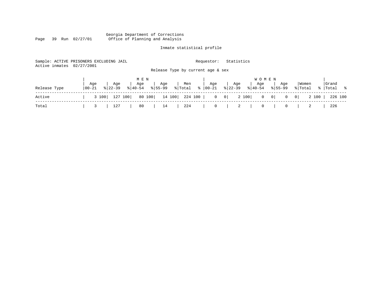#### Georgia Department of Corrections Page 39 Run 02/27/01 Office of Planning and Analysis

## Inmate statistical profile

| Active inmates | Sample: ACTIVE PRISONERS EXCLUDING JAIL<br>02/27/2001 |                                       | Requestor:    | Statistics                         |                                                    |                  |
|----------------|-------------------------------------------------------|---------------------------------------|---------------|------------------------------------|----------------------------------------------------|------------------|
|                |                                                       | Release Type by current age & sex     |               |                                    |                                                    |                  |
|                |                                                       | M E N                                 |               | <b>WOMEN</b>                       |                                                    |                  |
|                | Aqe<br>Aqe                                            | Age<br>Men<br>Age                     | Aqe           | Age<br>Aqe                         | Women<br>Aqe                                       | Grand            |
| Release Type   | 00-21<br>$8 22-39$                                    | $8155 - 99$<br>% Total<br>$8140 - 54$ | $8   00 - 21$ | $ 22-39 $<br>$\frac{1}{6}$   40-54 | $8155 - 99$<br>% Total                             | %   Total %      |
| Active         | 127 100<br>3 100                                      | 80 100<br>224 100  <br>14 100         |               | 2 100<br>$0 \qquad 0$              | $\begin{array}{ccc} 0 & 0 \end{array}$<br> 0 <br>0 | 2 100<br>226 100 |
| Total          | 127                                                   | 80<br>224<br>14                       | $\circ$       | 2<br>$\mathbf{0}$                  | 0                                                  | 226              |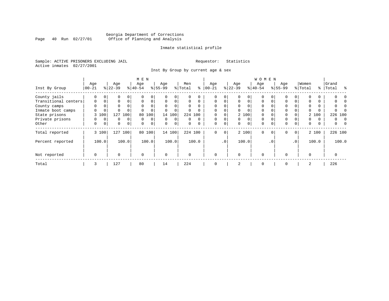## Georgia Department of Corrections Page 40 Run 02/27/01 Office of Planning and Analysis

## Inmate statistical profile

Sample: ACTIVE PRISONERS EXCLUDING JAIL **Requestor:** Statistics Active inmates 02/27/2001

Inst By Group by current age & sex

|                      |             |                |           |          | M E N       |        |             |             |          |          |             |             |             |          | W O M E N   |           |             |                |          |       |           |          |
|----------------------|-------------|----------------|-----------|----------|-------------|--------|-------------|-------------|----------|----------|-------------|-------------|-------------|----------|-------------|-----------|-------------|----------------|----------|-------|-----------|----------|
|                      | Age         |                | Age       |          | Age         |        | Age         |             | Men      |          | Age         |             | Age         |          | Age         |           | Age         |                | Women    |       | Grand     |          |
| Inst By Group        | $ 00 - 21$  |                | $8 22-39$ |          | $8 40-54$   |        | $8 55-99$   |             | % Total  | ႜ        | $00 - 21$   |             | $ 22-39 $   |          | $ 40-54 $   |           | $8155 - 99$ |                | % Total  |       | %   Total | ႜ        |
| County jails         | 0           |                | 0         | 0        |             |        |             | 0           |          |          | $\Omega$    |             | $\Omega$    |          | $\Omega$    |           | 0           |                |          |       |           |          |
| Transitional centers | 0           | 0              | 0         | $\Omega$ | $\mathbf 0$ |        | $\mathbf 0$ | 0           | 0        | $\Omega$ | $\mathbf 0$ | $\Omega$    | $\mathbf 0$ | 0        | $\Omega$    | $\Omega$  | $\Omega$    |                | $\Omega$ | 0     |           |          |
| County camps         | 0           |                | 0         |          | $\Omega$    |        | $\Omega$    | 0           | 0        | $\Omega$ | $\Omega$    |             | $\Omega$    |          | $\Omega$    |           | $\Omega$    |                | $\Omega$ | 0     |           |          |
| Inmate boot camps    |             |                | 0         |          |             |        |             | $\mathbf 0$ | 0        | $\Omega$ | 0           |             | $\Omega$    | $\Omega$ | $\Omega$    |           | $\Omega$    |                |          | 0     |           |          |
| State prisons        |             | 3 100          | 127       | 100      | 80          | 100    |             | 14 100      |          | 224 100  |             |             |             | 2 100    | $\Omega$    |           | $\Omega$    |                |          | 2 100 | 226 100   |          |
| Private prisons      |             |                | 0         | $\Omega$ | $\mathbf 0$ | 0      | $\Omega$    | 0           | 0        | $\Omega$ | $\mathbf 0$ |             | $\Omega$    | 0        | $\Omega$    | $\Omega$  | $\Omega$    |                | $\Omega$ | 0     | 0         | $\Omega$ |
| Other                | 0           | 0 <sup>1</sup> | 0         | 0        | $\mathbf 0$ | 0      | $\mathbf 0$ | $\mathbf 0$ | 0        | 0        | 0           | $\mathbf 0$ | 0           | 0        | $\mathbf 0$ | $\Omega$  | $\Omega$    | 0              | 0        | 0     | 0         |          |
| Total reported       |             | 3 100          |           | 127 100  |             | 80 100 |             | 14 100      |          | 224 100  | $\mathbf 0$ | $\mathbf 0$ |             | 2 100    | $\mathbf 0$ | $\Omega$  | $\mathbf 0$ | $\overline{0}$ |          | 2 100 | 226 100   |          |
| Percent reported     |             | 100.0          |           | 100.0    |             | 100.0  |             | 100.0       |          | 100.0    |             | .0'         |             | 100.0    |             | $\cdot$ 0 |             | $\cdot$ 0      |          | 100.0 |           | 100.0    |
| Not reported         | $\mathbf 0$ |                | 0         |          | $\mathbf 0$ |        | $\Omega$    |             | $\Omega$ |          | $\Omega$    |             | $\Omega$    |          | $\mathbf 0$ |           | $\Omega$    |                | $\Omega$ |       | $\Omega$  |          |
| Total                | 3           |                | 127       |          | 80          |        | 14          |             | 224      |          | 0           |             | 2           |          | $\mathbf 0$ |           | 0           |                | 2        |       | 226       |          |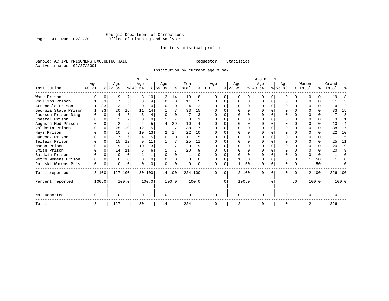## Georgia Department of Corrections<br>Page 41 Run 02/27/01 Office of Planning and Analysis Page 41 Run 02/27/01 Office of Planning and Analysis

## Inmate statistical profile

Sample: ACTIVE PRISONERS EXCLUDING JAIL **Requestor:** Statistics Active inmates 02/27/2001

Institution by current age & sex

|                      |           |          |                |                | M E N     |          |           |          |          |       |           |           |              |       | <b>WOMEN</b> |          |           |           |                |          |           |                |
|----------------------|-----------|----------|----------------|----------------|-----------|----------|-----------|----------|----------|-------|-----------|-----------|--------------|-------|--------------|----------|-----------|-----------|----------------|----------|-----------|----------------|
|                      | Age       |          | Age            |                | Age       |          | Age       |          | Men      |       | Age       |           | Age          |       | Age          |          | Age       |           | Women          |          | Grand     |                |
| Institution          | $00 - 21$ |          | $ 22-39 $      |                | $ 40-54 $ |          | $ 55-99 $ |          | % Total  | ႜ     | $00 - 21$ |           | $ 22-39 $    |       | $ 40-54 $    |          | $8 55-99$ |           | % Total        |          | %   Total | ႜ              |
| Ware Prison          |           |          |                |                |           | 10       | 2         | 14       | 19       | 8     |           |           |              |       |              |          |           | O         |                |          | 19        | 8              |
| Phillips Prison      |           | 33       |                | 6              | 3         | 4        | U         | 0        | 11       | 5     |           |           | $\Omega$     | O     | $\Omega$     | $\Omega$ |           | $\Omega$  |                | $\Omega$ | 11        | 5              |
| Arrendale Prison     |           | 33       | 3              | 2              |           |          | U         | 0        | 4        | 2     |           |           | <sup>0</sup> | O     | ∩            |          |           | $\Omega$  |                | $\Omega$ | 4         | $\overline{2}$ |
| Georgia State Prison |           | 33       | 20             | 16             | 11        | 14       |           |          | 33       | 15    |           |           | ∩            | U     | O            |          |           | U         |                | $\Omega$ | 33        | 15             |
| Jackson Prison-Diag  | U         | $\Omega$ |                | 3              |           |          |           | U        |          | ζ     |           |           | ∩            | U     | ∩            |          |           | U         |                | $\Omega$ |           | 3              |
| Coastal Prison       |           | $\cap$   |                |                |           |          |           | 7        |          |       |           |           | ∩            | U     | ∩            | ∩        |           | $\Omega$  |                | $\Omega$ |           |                |
| Augusta Med Prison   |           |          | $\overline{2}$ | 2              |           |          |           | 29       | 10       |       |           |           |              |       |              |          |           | U         |                | $\Omega$ | 10        | 4              |
| Valdosta Prison      | O         |          | 25             | 20             | 12        | 15       |           | 7        | 38       | 17    | $\Omega$  |           | ∩            | U     |              |          | N         | $\Omega$  | ∩              | $\Omega$ | 38        | 17             |
| Hays Prison          |           | $\Omega$ | 10             | 8              | 10        | 13       |           | 14       | 22       | 10    |           |           | <sup>0</sup> | O     |              | $\Omega$ |           | $\Omega$  | ∩              | $\Omega$ | 22        | 10             |
| Hancock Prison       |           |          |                | б              |           |          |           | $\Omega$ | 11       | 5     |           |           |              | O     |              | ∩        |           |           |                | $\Omega$ | 11        | 5              |
| Telfair Prison       |           |          | 15             | 12             |           | 11       |           |          | 25       | 11    |           |           |              | U     |              |          |           |           |                |          | 25        | 11             |
| Macon Prison         |           |          | 9              | 7              | 10        | 13       |           | 7        | 20       | 9     |           |           |              | 0     |              |          |           | U         |                | $\Omega$ | 20        | 9              |
| Smith Prison         |           | $\Omega$ | 14             | 11             |           | б.       |           | 7        | 20       | q     |           |           |              | O     |              |          |           | U         |                |          | 20        | 9              |
| Baldwin Prison       |           |          |                | $\Omega$       |           |          | $\Omega$  |          |          |       |           |           |              | O     |              | ∩        |           | U         |                | $\Omega$ |           | $\Omega$       |
| Metro Womens Prison  |           | $\Omega$ | U              | $\Omega$       | O         | $\Omega$ | U         | $\Omega$ | $\Omega$ | U     |           |           |              | 50    | $\Omega$     | $\Omega$ |           | U         |                | 50       |           |                |
| Pulaski Womens Pris  | 0         | 0        | U              | $\overline{0}$ |           | 0        | U         | 0        |          |       | ∩         | 0         |              | 50    | $\Omega$     | 0        | N         | 0         |                | 50       |           |                |
| Total reported       |           | 3 100    | 127 100        |                |           | 80 100   |           | 14 100   | 224 100  |       | $\Omega$  | $\Omega$  |              | 2 100 | $\Omega$     | $\Omega$ | 0         | $\Omega$  |                | 2 100    |           | 226 100        |
| Percent reported     |           | 100.0    |                | 100.0          |           | 100.0    |           | 100.0    |          | 100.0 |           | $\cdot$ 0 |              | 100.0 |              | . 0      |           | $\cdot$ 0 |                | 100.0    |           | 100.0          |
| Not Reported         | O         |          | U              |                | $\cap$    |          | $\Omega$  |          |          |       | $\Omega$  |           | $\Omega$     |       | $\Omega$     |          | O         |           | $\Omega$       |          | O         |                |
| Total                | 3         |          | 127            |                | 80        |          | 14        |          | 224      |       | $\Omega$  |           | 2            |       | $\Omega$     |          | O         |           | $\overline{2}$ |          | 226       |                |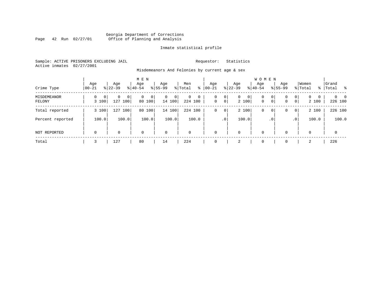## Georgia Department of Corrections Page 42 Run 02/27/01 Office of Planning and Analysis

## Inmate statistical profile

Sample: ACTIVE PRISONERS EXCLUDING JAIL **Requestor:** Statistics Active inmates 02/27/2001

Misdemeanors And Felonies by current age & sex

| Crime Type            | Age<br>  00-21 |                         | Age<br>$8 22-39$ |       | M E N<br>Age<br>$8 40-54$ |       | Age<br>$8155 - 99$ |             | Men<br>% Total | ႜ     | Age<br>$00 - 21$ |                     | Age<br>$ 22-39 $ |             | <b>WOMEN</b><br>Aqe<br>$ 40-54 $ |                   | Age<br>$8155 - 99$ |                 | Women<br>% Total  |   | Grand<br>%   Total              |  |
|-----------------------|----------------|-------------------------|------------------|-------|---------------------------|-------|--------------------|-------------|----------------|-------|------------------|---------------------|------------------|-------------|----------------------------------|-------------------|--------------------|-----------------|-------------------|---|---------------------------------|--|
| MISDEMEANOR<br>FELONY | 0              | 0 <sup>1</sup><br>3 100 | 0<br>127 100     | 0     | $\mathbf{0}$<br>80 100    | 0     | 0                  | 0<br>14 100 | 0<br>224 100   | 0     | 0<br>$\mathbf 0$ | 0<br>$\overline{0}$ | $\mathbf{0}$     | 0 <br>2 100 | 0<br>$\mathbf 0$                 | 0<br>$\mathbf{0}$ | 0<br>0             | 0<br> 0         | $\Omega$<br>2 100 | 0 | $\Omega$<br>$\Omega$<br>226 100 |  |
| Total reported        |                | 3 100                   | 127 100          |       | 80                        | 100   |                    | 14 100      | 224 100        |       | 0                | 0                   |                  | 2 100       | 0                                | 0                 | 0                  | $\overline{0}$  | 2 100             |   | 226 100                         |  |
| Percent reported      |                | 100.0                   |                  | 100.0 |                           | 100.0 |                    | 100.0       |                | 100.0 |                  | $\cdot$ 0           |                  | 100.0       |                                  | . 0               |                    | .0 <sup>1</sup> | 100.0             |   | 100.0                           |  |
| NOT REPORTED          | $\mathbf 0$    |                         | 0                |       | $\mathbf 0$               |       | $\mathbf 0$        |             | $\mathbf 0$    |       | $\mathbf{0}$     |                     | $\mathbf 0$      |             | 0                                |                   | $\Omega$           |                 | $\Omega$          |   | $\mathbf 0$                     |  |
| Total                 |                |                         | 127              |       | 80                        |       | 14                 |             | 224            |       | $\mathbf 0$      |                     | 2                |             | 0                                |                   |                    |                 | 2                 |   | 226                             |  |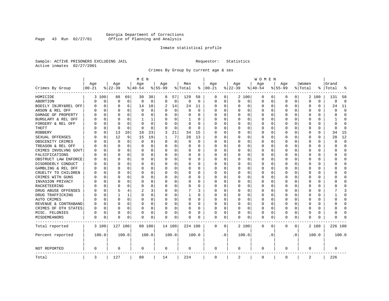## Georgia Department of Corrections<br>Page 43 Run 02/27/01 Office of Planning and Analysis Page 43 Run 02/27/01 Office of Planning and Analysis

## Inmate statistical profile

Sample: ACTIVE PRISONERS EXCLUDING JAIL **Requestor:** Statistics Active inmates 02/27/2001

Crimes By Group by current age & sex

|                      |                    |          |                    |              | M E N           |          |                  |             |                |             |                      |             |                    |          | W O M E N        |           |                  |              |                  |          |                |                |
|----------------------|--------------------|----------|--------------------|--------------|-----------------|----------|------------------|-------------|----------------|-------------|----------------------|-------------|--------------------|----------|------------------|-----------|------------------|--------------|------------------|----------|----------------|----------------|
| Crimes By Group      | Age<br>$ 00 - 21 $ |          | Age<br>$8$   22-39 |              | Age<br>$ 40-54$ |          | Age<br>$8 55-99$ |             | Men<br>% Total |             | Age<br>$8   00 - 21$ |             | Age<br>$8$   22-39 |          | Age<br>$8 40-54$ |           | Age<br>$8 55-99$ |              | Women<br>% Total | ႜ        | Grand<br>Total |                |
|                      |                    |          |                    |              |                 |          |                  |             |                |             |                      |             |                    |          |                  |           |                  |              |                  |          |                |                |
| HOMICIDE             |                    | 3 100    | 88                 | 69           | 30              | 38       | 8                | 57          | 129            | 58          | 0                    | 0           |                    | 2 100    | 0                | 0         | 0                | $\circ$      |                  | 2 100    | 131            | 58             |
| ABORTION             | N                  | 0        | $\Omega$           | $\mathbf 0$  | 0               | 0        | $\Omega$         | $\mathbf 0$ | $\mathsf 0$    | $\mathbf 0$ | $\Omega$             | 0           | $\Omega$           | 0        | 0                | 0         | $\mathbf 0$      | 0            | 0                | 0        | 0              | $\overline{0}$ |
| BODILY INJRY&REL OFF | U                  | 0        | 8                  | 6            | 14              | 18       | 2                | 14          | 24             | 11          | 0                    | 0           | 0                  | 0        | 0                | 0         | $\Omega$         | 0            | 0                | 0        | 24             | 11             |
| ARSON & REL OFF      | N                  | $\Omega$ | $\Omega$           | $\Omega$     | $\Omega$        | 0        | U                | $\mathbf 0$ | 0              | $\Omega$    | C                    | 0           |                    | $\Omega$ | 0                | $\Omega$  | $\Omega$         | $\Omega$     | $\Omega$         | 0        | O              | $\Omega$       |
| DAMAGE OF PROPERTY   |                    | O        | O                  | $\Omega$     | O               | 0        | O                | 0           | 0              | $\Omega$    | U                    | $\Omega$    | <sup>0</sup>       | $\Omega$ | 0                | 0         | ∩                | $\Omega$     | U                | 0        | U              | $\Omega$       |
| BURGLARY & REL OFF   |                    | 0        | O                  | $\Omega$     | 1               | 1        |                  | 0           | 1              | U           | C                    | 0           |                    | 0        | 0                | O         | O                | $\Omega$     | 0                | 0        |                | $\Omega$       |
| FORGERY & REL OFF    |                    | 0        | $\Omega$           | $\Omega$     | $\Omega$        | 0        |                  | 0           | 0              | O           |                      | 0           |                    | $\Omega$ | 0                | 0         | $\Omega$         | $\Omega$     | $\Omega$         | 0        | O              | $\Omega$       |
| THEFT                |                    | 0        | $\Omega$           | $\Omega$     | $\Omega$        | $\Omega$ | U                | $\Omega$    | $\Omega$       | $\Omega$    | C                    | $\Omega$    |                    | $\Omega$ | 0                | 0         | $\Omega$         | $\Omega$     | U                | $\Omega$ | U              | $\Omega$       |
| <b>ROBBERY</b>       |                    | 0        | 13                 | 10           | 18              | 23       | 3                | 21          | 34             | 15          | C                    | $\Omega$    |                    | $\Omega$ | 0                | 0         | O                | $\Omega$     | 0                | 0        | 34             | 15             |
| SEXUAL OFFENSES      |                    | 0        | 12                 | 9            | 15              | 19       |                  | 7           | 28             | 13          | C                    | $\Omega$    |                    | $\Omega$ | 0                | 0         | $\Omega$         | $\Omega$     | $\Omega$         | 0        | 28             | 12             |
| OBSCENITY CRIMES     |                    | O        | $\Omega$           | $\Omega$     | $\Omega$        | 0        | O                | 0           | $\Omega$       | $\Omega$    | 0                    | $\Omega$    | O                  | $\Omega$ | O                | O         | O                | $\Omega$     | U                | 0        | U              | $\Omega$       |
| TREASON & REL OFF    |                    | 0        | $\Omega$           | $\Omega$     | O               | 0        | U                | $\mathbf 0$ | 0              | $\Omega$    | 0                    | 0           |                    | $\Omega$ | U                | 0         | O                | $\Omega$     | U                | O        | U              | $\Omega$       |
| CRIMES INVOLVNG GOVT |                    | O        | O                  | 0            | O               | 0        | U                | 0           | U              | 0           | C                    | $\Omega$    |                    | $\Omega$ | U                | O         | O                | 0            | U                | $\Omega$ | U              | $\Omega$       |
| FALSIFICATIONS       |                    | O        | $\Omega$           | 0            | O               | 0        | O                | 0           | 0              | $\Omega$    | C                    | 0           |                    | $\Omega$ | 0                | 0         | O                | 0            | U                | 0        | U              | $\Omega$       |
| OBSTRUCT LAW ENFORCE |                    | O        | O                  | 0            | O               | 0        | O                | 0           | U              | U           | C                    | 0           |                    | $\Omega$ | O                | O         |                  | <sup>0</sup> | O                | 0        |                | <sup>0</sup>   |
| DISORDERLY CONDUCT   |                    | U        | n                  | 0            | O               | $\Omega$ | U                | $\Omega$    | U              | U           | C                    | 0           |                    | $\Omega$ | O                | n         | U                | <sup>0</sup> | U                | 0        |                | ∩              |
| GAMBLING & REL OFF   |                    | O        | n                  | $\Omega$     | O               | 0        | O                | 0           | 0              | 0           | C                    | $\Omega$    | <sup>0</sup>       | $\Omega$ | 0                | O         | O                | 0            | U                | 0        |                | ∩              |
| CRUELTY TO CHILDREN  |                    | 0        | O                  | $\Omega$     | 0               | 0        |                  | $\mathbf 0$ | 0              | O           | C                    | 0           |                    | 0        | 0                | 0         | O                | $\Omega$     | 0                | 0        |                | Λ              |
| CRIMES WITH GUNS     |                    | O        | n                  | 0            | U               | 0        | U                | 0           | 0              | 0           | C                    | 0           |                    | $\Omega$ | 0                | O         | ∩                | 0            | U                | 0        | ∩              | ∩              |
| INVASION PRIVACY     |                    | 0        | n                  | 0            | O               | 0        | U                | 0           | 0              | U           | O                    | 0           |                    | $\Omega$ | 0                | O         | O                | 0            | U                | 0        |                | <sup>0</sup>   |
| RACKETEERING         |                    | O        |                    | $\Omega$     | $\Omega$        | 0        | $\Omega$         | 0           | 0              | O           | C                    | 0           |                    | $\Omega$ | $\Omega$         | O         | ∩                | $\Omega$     | $\Omega$         | 0        |                | $\sqrt{ }$     |
| DRUG ABUSE OFFENSES  |                    | O        |                    | 4            | $\overline{2}$  | 3        | O                | 0           |                | 3           | O                    | 0           |                    | $\Omega$ | 0                | O         | O                | $\Omega$     | $\Omega$         | 0        |                | κ              |
| DRUG TRAFFICKING     |                    | 0        | 1                  | $\mathbf{1}$ | $\Omega$        | $\Omega$ | $\Omega$         | $\mathbf 0$ | $\mathbf{1}$   | O           | C                    | $\Omega$    | 0                  | $\Omega$ | 0                | O         | O                | $\Omega$     | $\Omega$         | 0        |                | $\Omega$       |
| AUTO CRIMES          |                    | $\Omega$ | $\Omega$           | $\Omega$     | $\Omega$        | $\Omega$ | 0                | $\mathbf 0$ | 0              | 0           | C                    | 0           |                    | $\Omega$ | 0                | $\Omega$  |                  | $\Omega$     | 0                | $\Omega$ | በ              | $\Omega$       |
| REVENUE & CONTRABAND | 0                  | 0        | $\Omega$           | $\Omega$     | $\Omega$        | 0        | $\Omega$         | 0           | $\Omega$       | $\Omega$    | C                    | $\Omega$    |                    | $\Omega$ | 0                | 0         | $\Omega$         | $\Omega$     | 0                | 0        | ი              | $\Omega$       |
| CRIMES OF OTH STATES | 0                  | 0        | 0                  | $\Omega$     | 0               | 0        | $\Omega$         | 0           | 0              | 0           | $\Omega$             | 0           |                    | $\Omega$ | 0                | 0         | 0                | $\Omega$     | 0                | 0        | ი              | 0              |
| MISC. FELONIES       | 0                  | 0        | $\Omega$           | $\Omega$     | $\Omega$        | 0        | $\Omega$         | $\mathbf 0$ | 0              | 0           | C                    | 0           |                    | $\Omega$ | $\Omega$         | 0         | $\Omega$         | 0            | $\Omega$         | 0        | በ              | $\sqrt{ }$     |
| MISDEMEANORS         | 0                  | 0        | $\Omega$           | 0            | O               | 0        | O                | 0           | 0              | U           | $\Omega$             | 0           | O                  | 0        | 0                | 0         | $\Omega$         | 0            | 0                | 0        | ი              |                |
| Total reported       |                    | 3 100    | 127 100            |              |                 | 80 100   |                  | 14 100      | 224 100        |             | 0                    | $\mathbf 0$ |                    | 2 100    | $\mathbf 0$      | 0         | $\Omega$         | 0            |                  | 2 100    | 226 100        |                |
| Percent reported     |                    | 100.0    |                    | 100.0        |                 | 100.0    |                  | 100.0       |                | 100.0       |                      | $\cdot$ 0   |                    | 100.0    |                  | $\cdot$ 0 |                  | $\cdot$ 0    |                  | 100.0    |                | 100.0          |
| <b>NOT REPORTED</b>  | 0                  |          | 0                  |              | 0               |          | 0                |             | 0              |             | 0                    |             | 0                  |          | 0                |           | $\Omega$         |              | 0                |          | 0              |                |
| Total                | 3                  |          | 127                |              | 80              |          | 14               |             | 224            |             | 0                    |             | 2                  |          | 0                |           | $\mathbf 0$      |              | 2                |          | 226            |                |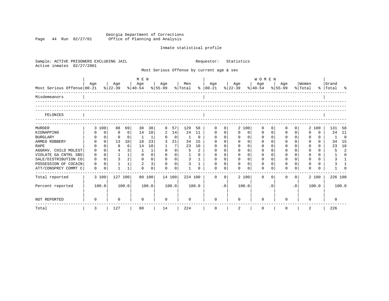Georgia Department of Corrections Page 44 Run 02/27/01 Office of Planning and Analysis

## Inmate statistical profile

| Sample: ACTIVE PRISONERS EXCLUDING JAIL<br>Active inmates<br>02/27/2001 |             |                |                |                 |                                |                |              |                |                |              | Requestor:                                |                | Statistics       |                |                                            |             |             |                |                  |          |                    |                |
|-------------------------------------------------------------------------|-------------|----------------|----------------|-----------------|--------------------------------|----------------|--------------|----------------|----------------|--------------|-------------------------------------------|----------------|------------------|----------------|--------------------------------------------|-------------|-------------|----------------|------------------|----------|--------------------|----------------|
|                                                                         |             |                |                |                 |                                |                |              |                |                |              | Most Serious Offense by current age & sex |                |                  |                |                                            |             |             |                |                  |          |                    |                |
|                                                                         |             |                |                |                 | M E N                          |                |              |                |                |              |                                           |                |                  |                | WOMEN                                      |             |             |                |                  |          |                    |                |
| Most Serious Offense 00-21                                              | Age         |                | Age<br>% 22-39 |                 | Age<br>% 40-54 % 55-99 % Total |                | Age          |                | Men            |              | Age<br>$8   00 - 21$                      |                | Age<br>$ 22-39 $ |                | Age<br>$\frac{8}{40-54}$ $\frac{8}{55-99}$ |             | Age         |                | Women<br>% Total |          | Grand<br>% Total % |                |
| Misdemeanors                                                            |             |                |                |                 |                                |                |              |                |                |              |                                           |                |                  |                |                                            |             |             |                |                  |          |                    |                |
| FELONIES                                                                |             |                |                |                 |                                |                |              |                |                |              |                                           |                |                  |                |                                            |             |             |                |                  |          |                    |                |
| <b>MURDER</b>                                                           |             | 3 100          | 88             | 69              | 30                             | 38             | 8            | 57             | 129            | 58           | 0                                         | 0              |                  | 2 100          | $\Omega$                                   |             | $\Omega$    | 0 <sup>1</sup> |                  | 2 100    | 131                | 58             |
| KIDNAPPING                                                              |             | $\mathbf{0}$   | 8              | 6               | 14                             | 18             | 2            | 14             | 24             | 11           | $\mathbf 0$                               | $\overline{0}$ | $\mathbf 0$      | 0              | 0                                          | $\mathbf 0$ | 0           | $\Omega$       | $\Omega$         | 0        | 24                 | 11             |
| <b>BURGLARY</b>                                                         | 0           | $\overline{0}$ | $\Omega$       | $\overline{0}$  | $\mathbf{1}$                   | $\mathbf 1$    | 0            | $\mathbf 0$    | 1              | 0            | $\mathbf{0}$                              | 0 <sup>1</sup> | $\mathbf 0$      | $\mathbf 0$    | 0                                          | $\Omega$    | $\mathbf 0$ | $\Omega$       | $\mathbf 0$      | $\Omega$ | 1                  | $\overline{0}$ |
| ARMED ROBBERY                                                           | $\Omega$    | 0 <sup>1</sup> | 13             | 10 <sup>1</sup> | 18                             | 23             | 3            | 21             | 34             | 15           | $\Omega$                                  | $\Omega$       | $\Omega$         | $\Omega$       | $\Omega$                                   | $\Omega$    | $\Omega$    | $\Omega$       | $\Omega$         | $\Omega$ | 34                 | 15             |
| <b>RAPE</b>                                                             |             | $\Omega$       | 8              | $6 \mid$        | 14                             | 18             | $\mathbf{1}$ | 7              | 23             | 10           | $\Omega$                                  | $\Omega$       | $\Omega$         | $\Omega$       | $\Omega$                                   | $\Omega$    | $\Omega$    | $\Omega$       | $\Omega$         | $\Omega$ | 23                 | 10             |
| AGGRAV. CHILD MOLEST                                                    | $\mathbf 0$ | $\Omega$       | $\overline{4}$ | 3               | 1                              | $\mathbf 1$    | $\Omega$     | 0 <sup>1</sup> | 5              | 2            | $\Omega$                                  | $\Omega$       | $\Omega$         | $\Omega$       | $\Omega$                                   | $\Omega$    | $\Omega$    | $\Omega$       | $\Omega$         | $\Omega$ | 5                  | $\overline{2}$ |
| VIOLATE GA CNTRL SBS                                                    | $\mathbf 0$ | 0 <sup>1</sup> | $\mathbf{1}$   | 1               | $\mathbf 0$                    | $\mathbf 0$    | $\mathbf 0$  | 0 <sup>1</sup> | $\mathbf{1}$   | $\Omega$     | $\mathbf 0$                               | 0 <sup>1</sup> | $\mathbf 0$      | $\mathbf 0$    | $\mathbf 0$                                | $\Omega$    | $\mathbf 0$ | 0 <sup>1</sup> | $\Omega$         | $\Omega$ | $\mathbf{1}$       | $\Omega$       |
| SALE/DISTRIBUTION CO                                                    | $\mathbf 0$ | $\Omega$       | $\overline{3}$ | 2 <sup>1</sup>  | $\mathbf 0$                    | $\mathbf 0$    | $\mathbf 0$  | 0 <sup>1</sup> | $\overline{3}$ | $\mathbf{1}$ | $\mathbf{0}$                              | $\Omega$       | $\mathbf 0$      | 0 <sup>1</sup> | $\mathbf 0$                                | $\Omega$    | $\mathbf 0$ | $\Omega$       | $\mathbf 0$      | $\Omega$ | 3                  | $\overline{1}$ |
| POSSESSION OF COCAIN                                                    | $\Omega$    | $\Omega$       | $\mathbf{1}$   | $1\vert$        | $\overline{2}$                 | $\overline{3}$ | $\Omega$     | $\Omega$       | $\overline{3}$ | $\mathbf{1}$ | $\Omega$                                  | $\Omega$       | $\Omega$         | $\Omega$       | $\Omega$                                   | $\cap$      | $\Omega$    | $\cap$         | $\Omega$         | $\Omega$ | 3                  |                |
| ATT/CONSPRCY COMMT C                                                    | $\mathbf 0$ | 0              | $\mathbf{1}$   | $\mathbf{1}$    | $\Omega$                       | $\Omega$       | $\Omega$     | $\mathbf 0$    | $\mathbf{1}$   | $\Omega$     | $\Omega$                                  | $\Omega$       | $\Omega$         | $\Omega$       | $\Omega$                                   |             | $\Omega$    | $\Omega$       | $\Omega$         | $\Omega$ | $\mathbf{1}$       |                |
| Total reported                                                          |             | 3 100          | 127 100        |                 |                                | 80 100         |              | 14 100         | 224 100        |              | $\Omega$                                  | $\Omega$       |                  | 2 100          | $\Omega$                                   | $\Omega$    | $\Omega$    | $\Omega$       |                  | 2 100    | 226 100            |                |
| Percent reported                                                        |             | 100.0          |                | 100.0           |                                | 100.0          |              | 100.0          |                | 100.0        |                                           | .0             |                  | 100.0          |                                            | $\cdot$ 0   |             | $\cdot$ 0      |                  | 100.0    |                    | 100.0          |
| <b>NOT REPORTED</b>                                                     | 0           |                | 0              |                 | $\Omega$                       |                | $\Omega$     |                | $\Omega$       |              | $\Omega$                                  |                | $\Omega$         |                | $\Omega$                                   |             | ∩           |                | $\Omega$         |          | <sup>0</sup>       |                |
| Total                                                                   | 3           |                | 127            |                 | 80                             |                | 14           |                | 224            |              | $\mathsf{O}$                              |                | 2                |                | 0                                          |             | $\mathbf 0$ |                | 2                |          | 226                |                |